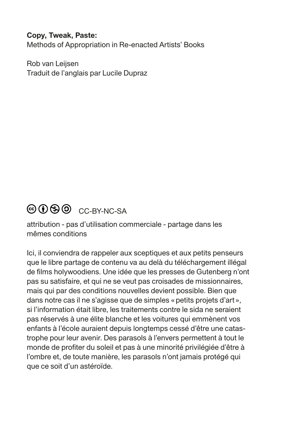#### **Copy, Tweak, Paste:**

Methods of Appropriation in Re-enacted Artists' Books

Rob van Leijsen Traduit de l'anglais par Lucile Dupraz

### © ① S ① CC-BY-NC-SA

attribution - pas d'utilisation commerciale - partage dans les mêmes conditions

Ici, il conviendra de rappeler aux sceptiques et aux petits penseurs que le libre partage de contenu va au delà du téléchargement illégal de films holywoodiens. Une idée que les presses de Gutenberg n'ont pas su satisfaire, et qui ne se veut pas croisades de missionnaires, mais qui par des conditions nouvelles devient possible. Bien que dans notre cas il ne s'agisse que de simples «petits projets d'art», si l'information était libre, les traitements contre le sida ne seraient pas réservés à une élite blanche et les voitures qui emmènent vos enfants à l'école auraient depuis longtemps cessé d'être une catastrophe pour leur avenir. Des parasols à l'envers permettent à tout le monde de profiter du soleil et pas à une minorité privilégiée d'être à l'ombre et, de toute manière, les parasols n'ont jamais protégé qui que ce soit d'un astéroïde.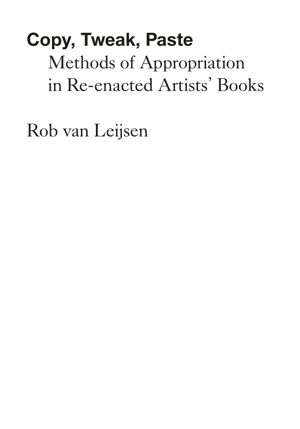# **Copy, Tweak, Paste** Methods of Appropriation in Re-enacted Artists' Books

Rob van Leijsen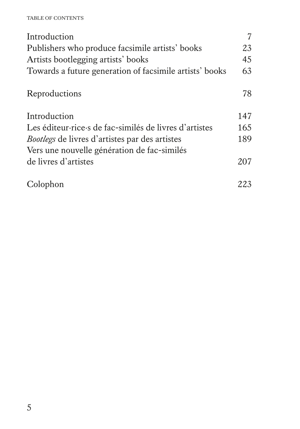#### TABLE OF CONTENTS

| Introduction                                            |     |
|---------------------------------------------------------|-----|
| Publishers who produce facsimile artists' books         | 23  |
| Artists bootlegging artists' books                      | 45  |
| Towards a future generation of facsimile artists' books | 63  |
| Reproductions                                           | 78  |
| Introduction                                            | 147 |
| Les éditeur rice s de fac-similés de livres d'artistes  | 165 |
| <i>Bootlegs</i> de livres d'artistes par des artistes   | 189 |
| Vers une nouvelle génération de fac-similés             |     |
| de livres d'artistes                                    | 207 |
| Colophon                                                | 223 |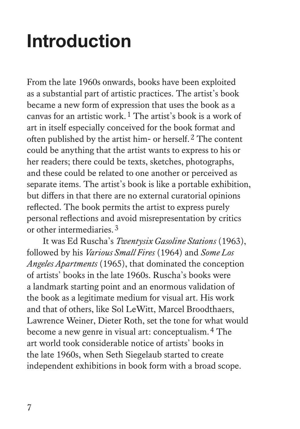## **Introduction**

From the late 1960s onwards, books have been exploited as a substantial part of artistic practices. The artist's book became a new form of expression that uses the book as a canvas for an artistic work.1 The artist's book is a work of art in itself especially conceived for the book format and often published by the artist him- or herself.2 The content could be anything that the artist wants to express to his or her readers; there could be texts, sketches, photographs, and these could be related to one another or perceived as separate items. The artist's book is like a portable exhibition, but differs in that there are no external curatorial opinions reflected. The book permits the artist to express purely personal reflections and avoid misrepresentation by critics or other intermediaries.3

It was Ed Ruscha's *Twentysix Gasoline Stations* (1963), followed by his *Various Small Fires* (1964) and *Some Los Angeles Apartments* (1965), that dominated the conception of artists' books in the late 1960s. Ruscha's books were a landmark starting point and an enormous validation of the book as a legitimate medium for visual art. His work and that of others, like Sol LeWitt, Marcel Broodthaers, Lawrence Weiner, Dieter Roth, set the tone for what would become a new genre in visual art: conceptualism.4 The art world took considerable notice of artists' books in the late 1960s, when Seth Siegelaub started to create independent exhibitions in book form with a broad scope.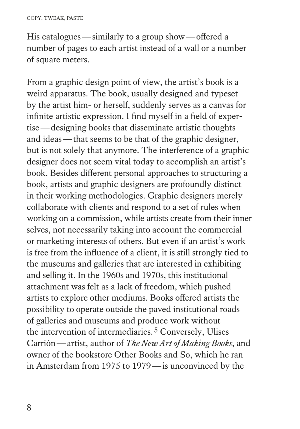His catalogues—similarly to a group show—offered a number of pages to each artist instead of a wall or a number of square meters.

From a graphic design point of view, the artist's book is a weird apparatus. The book, usually designed and typeset by the artist him- or herself, suddenly serves as a canvas for infinite artistic expression. I find myself in a field of expertise—designing books that disseminate artistic thoughts and ideas—that seems to be that of the graphic designer, but is not solely that anymore. The interference of a graphic designer does not seem vital today to accomplish an artist's book. Besides different personal approaches to structuring a book, artists and graphic designers are profoundly distinct in their working methodologies. Graphic designers merely collaborate with clients and respond to a set of rules when working on a commission, while artists create from their inner selves, not necessarily taking into account the commercial or marketing interests of others. But even if an artist's work is free from the influence of a client, it is still strongly tied to the museums and galleries that are interested in exhibiting and selling it. In the 1960s and 1970s, this institutional attachment was felt as a lack of freedom, which pushed artists to explore other mediums. Books offered artists the possibility to operate outside the paved institutional roads of galleries and museums and produce work without the intervention of intermediaries.<sup>5</sup> Conversely, Ulises Carrión—artist, author of *The New Art of Making Books*, and owner of the bookstore Other Books and So, which he ran in Amsterdam from 1975 to 1979—is unconvinced by the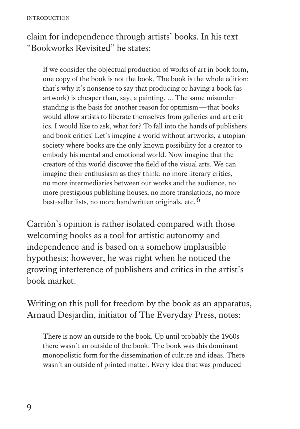### claim for independence through artists' books. In his text "Bookworks Revisited" he states:

 If we consider the objectual production of works of art in book form, one copy of the book is not the book. The book is the whole edition; that's why it's nonsense to say that producing or having a book (as artwork) is cheaper than, say, a painting. … The same misunderstanding is the basis for another reason for optimism—that books would allow artists to liberate themselves from galleries and art critics. I would like to ask, what for? To fall into the hands of publishers and book critics! Let's imagine a world without artworks, a utopian society where books are the only known possibility for a creator to embody his mental and emotional world. Now imagine that the creators of this world discover the field of the visual arts. We can imagine their enthusiasm as they think: no more literary critics, no more intermediaries between our works and the audience, no more prestigious publishing houses, no more translations, no more best-seller lists, no more handwritten originals, etc.<sup>6</sup>

Carrión's opinion is rather isolated compared with those welcoming books as a tool for artistic autonomy and independence and is based on a somehow implausible hypothesis; however, he was right when he noticed the growing interference of publishers and critics in the artist's book market.

Writing on this pull for freedom by the book as an apparatus, Arnaud Desjardin, initiator of The Everyday Press, notes:

 There is now an outside to the book. Up until probably the 1960s there wasn't an outside of the book. The book was this dominant monopolistic form for the dissemination of culture and ideas. There wasn't an outside of printed matter. Every idea that was produced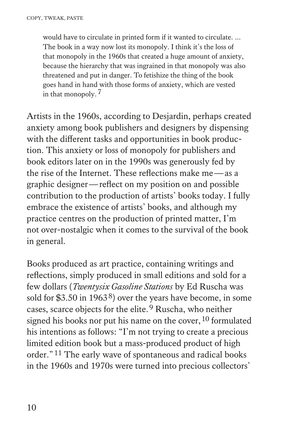would have to circulate in printed form if it wanted to circulate. … The book in a way now lost its monopoly. I think it's the loss of that monopoly in the 1960s that created a huge amount of anxiety, because the hierarchy that was ingrained in that monopoly was also threatened and put in danger. To fetishize the thing of the book goes hand in hand with those forms of anxiety, which are vested in that monopoly.7

Artists in the 1960s, according to Desjardin, perhaps created anxiety among book publishers and designers by dispensing with the different tasks and opportunities in book production. This anxiety or loss of monopoly for publishers and book editors later on in the 1990s was generously fed by the rise of the Internet. These reflections make me—as a graphic designer—reflect on my position on and possible contribution to the production of artists' books today. I fully embrace the existence of artists' books, and although my practice centres on the production of printed matter, I'm not over-nostalgic when it comes to the survival of the book in general.

Books produced as art practice, containing writings and reflections, simply produced in small editions and sold for a few dollars (*Twentysix Gasoline Stations* by Ed Ruscha was sold for \$3.50 in 1963<sup>8</sup>) over the years have become, in some cases, scarce objects for the elite.9 Ruscha, who neither signed his books nor put his name on the cover,  $10$  formulated his intentions as follows: "I'm not trying to create a precious limited edition book but a mass-produced product of high order."11 The early wave of spontaneous and radical books in the 1960s and 1970s were turned into precious collectors'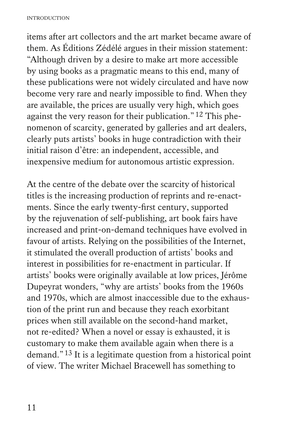items after art collectors and the art market became aware of them. As Éditions Zédélé argues in their mission statement: "Although driven by a desire to make art more accessible by using books as a pragmatic means to this end, many of these publications were not widely circulated and have now become very rare and nearly impossible to find. When they are available, the prices are usually very high, which goes against the very reason for their publication."12 This phenomenon of scarcity, generated by galleries and art dealers, clearly puts artists' books in huge contradiction with their initial raison d'être: an independent, accessible, and inexpensive medium for autonomous artistic expression.

At the centre of the debate over the scarcity of historical titles is the increasing production of reprints and re-enactments. Since the early twenty-first century, supported by the rejuvenation of self-publishing, art book fairs have increased and print-on-demand techniques have evolved in favour of artists. Relying on the possibilities of the Internet, it stimulated the overall production of artists' books and interest in possibilities for re-enactment in particular. If artists' books were originally available at low prices, Jérôme Dupeyrat wonders, "why are artists' books from the 1960s and 1970s, which are almost inaccessible due to the exhaustion of the print run and because they reach exorbitant prices when still available on the second-hand market, not re-edited? When a novel or essay is exhausted, it is customary to make them available again when there is a demand."13 It is a legitimate question from a historical point of view. The writer Michael Bracewell has something to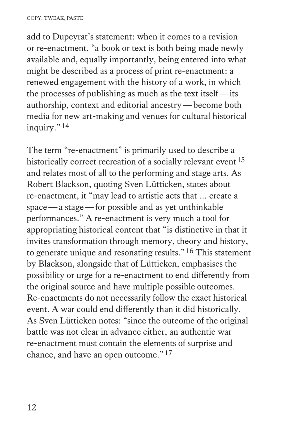add to Dupeyrat's statement: when it comes to a revision or re-enactment, "a book or text is both being made newly available and, equally importantly, being entered into what might be described as a process of print re-enactment: a renewed engagement with the history of a work, in which the processes of publishing as much as the text itself—its authorship, context and editorial ancestry—become both media for new art-making and venues for cultural historical inquiry."14

The term "re-enactment" is primarily used to describe a historically correct recreation of a socially relevant event  $15$ and relates most of all to the performing and stage arts. As Robert Blackson, quoting Sven Lütticken, states about re-enactment, it "may lead to artistic acts that … create a space—a stage—for possible and as yet unthinkable performances." A re-enactment is very much a tool for appropriating historical content that "is distinctive in that it invites transformation through memory, theory and history, to generate unique and resonating results."16 This statement by Blackson, alongside that of Lütticken, emphasises the possibility or urge for a re-enactment to end differently from the original source and have multiple possible outcomes. Re-enactments do not necessarily follow the exact historical event. A war could end differently than it did historically. As Sven Lütticken notes: "since the outcome of the original battle was not clear in advance either, an authentic war re-enactment must contain the elements of surprise and chance, and have an open outcome."17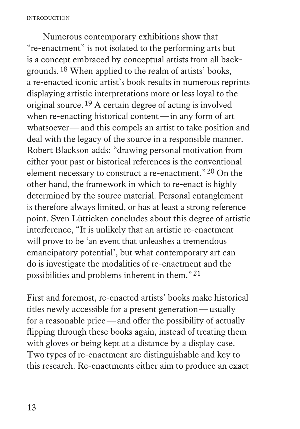INTRODUCTION

Numerous contemporary exhibitions show that "re-enactment" is not isolated to the performing arts but is a concept embraced by conceptual artists from all backgrounds.18 When applied to the realm of artists' books, a re-enacted iconic artist's book results in numerous reprints displaying artistic interpretations more or less loyal to the original source.19 A certain degree of acting is involved when re-enacting historical content—in any form of art whatsoever—and this compels an artist to take position and deal with the legacy of the source in a responsible manner. Robert Blackson adds: "drawing personal motivation from either your past or historical references is the conventional element necessary to construct a re-enactment."20 On the other hand, the framework in which to re-enact is highly determined by the source material. Personal entanglement is therefore always limited, or has at least a strong reference point. Sven Lütticken concludes about this degree of artistic interference, "It is unlikely that an artistic re-enactment will prove to be 'an event that unleashes a tremendous emancipatory potential', but what contemporary art can do is investigate the modalities of re-enactment and the possibilities and problems inherent in them."21

First and foremost, re-enacted artists' books make historical titles newly accessible for a present generation—usually for a reasonable price—and offer the possibility of actually flipping through these books again, instead of treating them with gloves or being kept at a distance by a display case. Two types of re-enactment are distinguishable and key to this research. Re-enactments either aim to produce an exact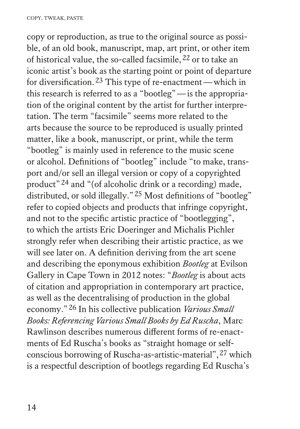copy or reproduction, as true to the original source as possible, of an old book, manuscript, map, art print, or other item of historical value, the so-called facsimile,  $22$  or to take an iconic artist's book as the starting point or point of departure for diversification.23 This type of re-enactment—which in this research is referred to as a "bootleg"—is the appropriation of the original content by the artist for further interpretation. The term "facsimile" seems more related to the arts because the source to be reproduced is usually printed matter, like a book, manuscript, or print, while the term "bootleg" is mainly used in reference to the music scene or alcohol. Definitions of "bootleg" include "to make, transport and/or sell an illegal version or copy of a copyrighted product"24 and "(of alcoholic drink or a recording) made, distributed, or sold illegally."25 Most definitions of "bootleg" refer to copied objects and products that infringe copyright, and not to the specific artistic practice of "bootlegging", to which the artists Eric Doeringer and Michalis Pichler strongly refer when describing their artistic practice, as we will see later on. A definition deriving from the art scene and describing the eponymous exhibition *Bootleg* at Evilson Gallery in Cape Town in 2012 notes: "*Bootleg* is about acts of citation and appropriation in contemporary art practice, as well as the decentralising of production in the global economy."26 In his collective publication *Various Small Books: Referencing Various Small Books by Ed Ruscha*, Marc Rawlinson describes numerous different forms of re-enactments of Ed Ruscha's books as "straight homage or selfconscious borrowing of Ruscha-as-artistic-material",27 which is a respectful description of bootlegs regarding Ed Ruscha's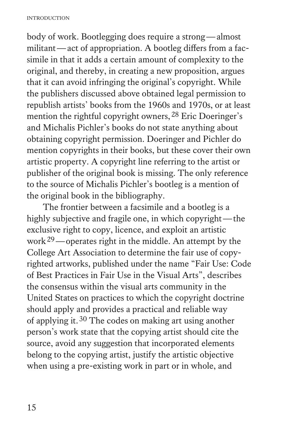body of work. Bootlegging does require a strong—almost militant—act of appropriation. A bootleg differs from a facsimile in that it adds a certain amount of complexity to the original, and thereby, in creating a new proposition, argues that it can avoid infringing the original's copyright. While the publishers discussed above obtained legal permission to republish artists' books from the 1960s and 1970s, or at least mention the rightful copyright owners, <sup>28</sup> Eric Doeringer's and Michalis Pichler's books do not state anything about obtaining copyright permission. Doeringer and Pichler do mention copyrights in their books, but these cover their own artistic property. A copyright line referring to the artist or publisher of the original book is missing. The only reference to the source of Michalis Pichler's bootleg is a mention of the original book in the bibliography.

The frontier between a facsimile and a bootleg is a highly subjective and fragile one, in which copyright—the exclusive right to copy, licence, and exploit an artistic work29—operates right in the middle. An attempt by the College Art Association to determine the fair use of copyrighted artworks, published under the name "Fair Use: Code of Best Practices in Fair Use in the Visual Arts", describes the consensus within the visual arts community in the United States on practices to which the copyright doctrine should apply and provides a practical and reliable way of applying it.30 The codes on making art using another person's work state that the copying artist should cite the source, avoid any suggestion that incorporated elements belong to the copying artist, justify the artistic objective when using a pre-existing work in part or in whole, and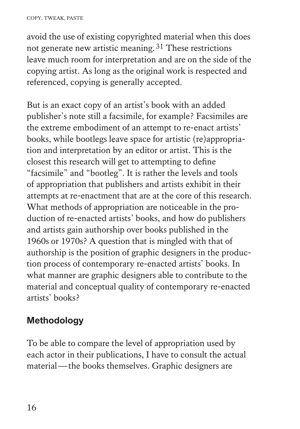avoid the use of existing copyrighted material when this does not generate new artistic meaning.31 These restrictions leave much room for interpretation and are on the side of the copying artist. As long as the original work is respected and referenced, copying is generally accepted.

But is an exact copy of an artist's book with an added publisher's note still a facsimile, for example? Facsimiles are the extreme embodiment of an attempt to re-enact artists' books, while bootlegs leave space for artistic (re)appropriation and interpretation by an editor or artist. This is the closest this research will get to attempting to define "facsimile" and "bootleg". It is rather the levels and tools of appropriation that publishers and artists exhibit in their attempts at re-enactment that are at the core of this research. What methods of appropriation are noticeable in the production of re-enacted artists' books, and how do publishers and artists gain authorship over books published in the 1960s or 1970s? A question that is mingled with that of authorship is the position of graphic designers in the production process of contemporary re-enacted artists' books. In what manner are graphic designers able to contribute to the material and conceptual quality of contemporary re-enacted artists' books?

### **Methodology**

To be able to compare the level of appropriation used by each actor in their publications, I have to consult the actual material—the books themselves. Graphic designers are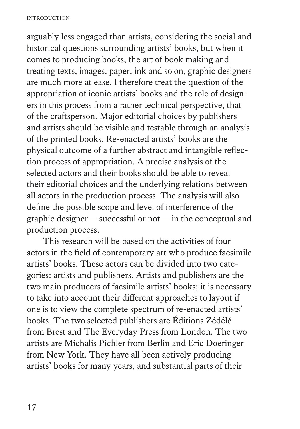arguably less engaged than artists, considering the social and historical questions surrounding artists' books, but when it comes to producing books, the art of book making and treating texts, images, paper, ink and so on, graphic designers are much more at ease. I therefore treat the question of the appropriation of iconic artists' books and the role of designers in this process from a rather technical perspective, that of the craftsperson. Major editorial choices by publishers and artists should be visible and testable through an analysis of the printed books. Re-enacted artists' books are the physical outcome of a further abstract and intangible reflection process of appropriation. A precise analysis of the selected actors and their books should be able to reveal their editorial choices and the underlying relations between all actors in the production process. The analysis will also define the possible scope and level of interference of the graphic designer—successful or not—in the conceptual and production process.

This research will be based on the activities of four actors in the field of contemporary art who produce facsimile artists' books. These actors can be divided into two categories: artists and publishers. Artists and publishers are the two main producers of facsimile artists' books; it is necessary to take into account their different approaches to layout if one is to view the complete spectrum of re-enacted artists' books. The two selected publishers are Éditions Zédélé from Brest and The Everyday Press from London. The two artists are Michalis Pichler from Berlin and Eric Doeringer from New York. They have all been actively producing artists' books for many years, and substantial parts of their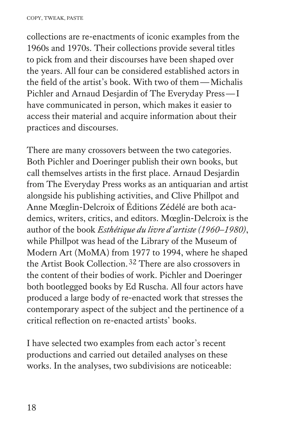collections are re-enactments of iconic examples from the 1960s and 1970s. Their collections provide several titles to pick from and their discourses have been shaped over the years. All four can be considered established actors in the field of the artist's book. With two of them—Michalis Pichler and Arnaud Desjardin of The Everyday Press—I have communicated in person, which makes it easier to access their material and acquire information about their practices and discourses.

There are many crossovers between the two categories. Both Pichler and Doeringer publish their own books, but call themselves artists in the first place. Arnaud Desjardin from The Everyday Press works as an antiquarian and artist alongside his publishing activities, and Clive Phillpot and Anne Mœglin-Delcroix of Éditions Zédélé are both academics, writers, critics, and editors. Mœglin-Delcroix is the author of the book *Esthétique du livre d'artiste (1960–1980)*, while Phillpot was head of the Library of the Museum of Modern Art (MoMA) from 1977 to 1994, where he shaped the Artist Book Collection.32 There are also crossovers in the content of their bodies of work. Pichler and Doeringer both bootlegged books by Ed Ruscha. All four actors have produced a large body of re-enacted work that stresses the contemporary aspect of the subject and the pertinence of a critical reflection on re-enacted artists' books.

I have selected two examples from each actor's recent productions and carried out detailed analyses on these works. In the analyses, two subdivisions are noticeable: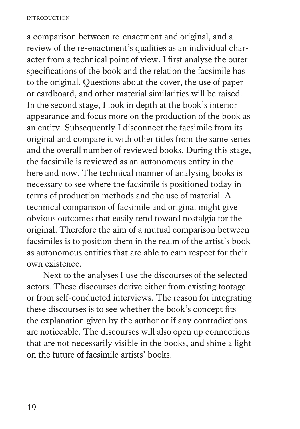a comparison between re-enactment and original, and a review of the re-enactment's qualities as an individual character from a technical point of view. I first analyse the outer specifications of the book and the relation the facsimile has to the original. Questions about the cover, the use of paper or cardboard, and other material similarities will be raised. In the second stage, I look in depth at the book's interior appearance and focus more on the production of the book as an entity. Subsequently I disconnect the facsimile from its original and compare it with other titles from the same series and the overall number of reviewed books. During this stage, the facsimile is reviewed as an autonomous entity in the here and now. The technical manner of analysing books is necessary to see where the facsimile is positioned today in terms of production methods and the use of material. A technical comparison of facsimile and original might give obvious outcomes that easily tend toward nostalgia for the original. Therefore the aim of a mutual comparison between facsimiles is to position them in the realm of the artist's book as autonomous entities that are able to earn respect for their own existence.

Next to the analyses I use the discourses of the selected actors. These discourses derive either from existing footage or from self-conducted interviews. The reason for integrating these discourses is to see whether the book's concept fits the explanation given by the author or if any contradictions are noticeable. The discourses will also open up connections that are not necessarily visible in the books, and shine a light on the future of facsimile artists' books.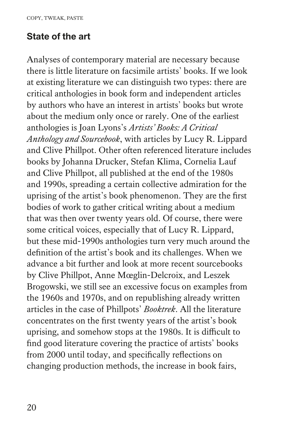#### **State of the art**

Analyses of contemporary material are necessary because there is little literature on facsimile artists' books. If we look at existing literature we can distinguish two types: there are critical anthologies in book form and independent articles by authors who have an interest in artists' books but wrote about the medium only once or rarely. One of the earliest anthologies is Joan Lyons's *Artists' Books: A Critical Anthology and Sourcebook*, with articles by Lucy R. Lippard and Clive Phillpot. Other often referenced literature includes books by Johanna Drucker, Stefan Klima, Cornelia Lauf and Clive Phillpot, all published at the end of the 1980s and 1990s, spreading a certain collective admiration for the uprising of the artist's book phenomenon. They are the first bodies of work to gather critical writing about a medium that was then over twenty years old. Of course, there were some critical voices, especially that of Lucy R. Lippard, but these mid-1990s anthologies turn very much around the definition of the artist's book and its challenges. When we advance a bit further and look at more recent sourcebooks by Clive Phillpot, Anne Mœglin-Delcroix, and Leszek Brogowski, we still see an excessive focus on examples from the 1960s and 1970s, and on republishing already written articles in the case of Phillpots' *Booktrek*. All the literature concentrates on the first twenty years of the artist's book uprising, and somehow stops at the 1980s. It is difficult to find good literature covering the practice of artists' books from 2000 until today, and specifically reflections on changing production methods, the increase in book fairs,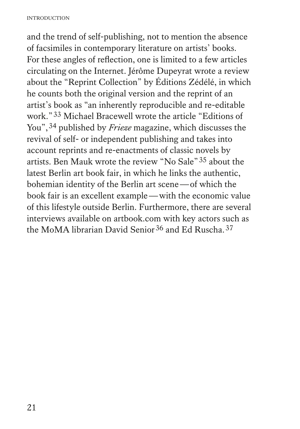and the trend of self-publishing, not to mention the absence of facsimiles in contemporary literature on artists' books. For these angles of reflection, one is limited to a few articles circulating on the Internet. Jérôme Dupeyrat wrote a review about the "Reprint Collection" by Éditions Zédélé, in which he counts both the original version and the reprint of an artist's book as "an inherently reproducible and re-editable work."33 Michael Bracewell wrote the article "Editions of You", <sup>34</sup> published by *Frieze* magazine, which discusses the revival of self- or independent publishing and takes into account reprints and re-enactments of classic novels by artists. Ben Mauk wrote the review "No Sale"35 about the latest Berlin art book fair, in which he links the authentic, bohemian identity of the Berlin art scene—of which the book fair is an excellent example—with the economic value of this lifestyle outside Berlin. Furthermore, there are several interviews available on artbook.com with key actors such as the MoMA librarian David Senior<sup>36</sup> and Ed Ruscha.<sup>37</sup>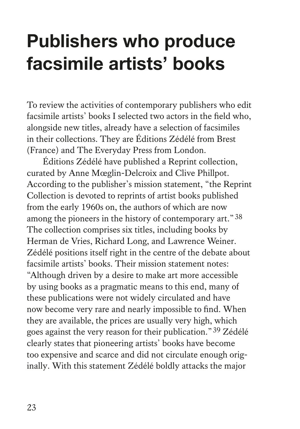## **Publishers who produce facsimile artists' books**

To review the activities of contemporary publishers who edit facsimile artists' books I selected two actors in the field who, alongside new titles, already have a selection of facsimiles in their collections. They are Éditions Zédélé from Brest (France) and The Everyday Press from London.

Éditions Zédélé have published a Reprint collection, curated by Anne Mœglin-Delcroix and Clive Phillpot. According to the publisher's mission statement, "the Reprint Collection is devoted to reprints of artist books published from the early 1960s on, the authors of which are now among the pioneers in the history of contemporary art."38 The collection comprises six titles, including books by Herman de Vries, Richard Long, and Lawrence Weiner. Zédélé positions itself right in the centre of the debate about facsimile artists' books. Their mission statement notes: "Although driven by a desire to make art more accessible by using books as a pragmatic means to this end, many of these publications were not widely circulated and have now become very rare and nearly impossible to find. When they are available, the prices are usually very high, which goes against the very reason for their publication."39 Zédélé clearly states that pioneering artists' books have become too expensive and scarce and did not circulate enough originally. With this statement Zédélé boldly attacks the major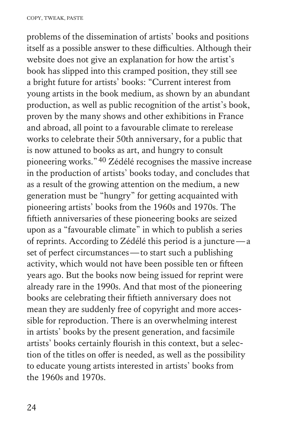problems of the dissemination of artists' books and positions itself as a possible answer to these difficulties. Although their website does not give an explanation for how the artist's book has slipped into this cramped position, they still see a bright future for artists' books: "Current interest from young artists in the book medium, as shown by an abundant production, as well as public recognition of the artist's book, proven by the many shows and other exhibitions in France and abroad, all point to a favourable climate to rerelease works to celebrate their 50th anniversary, for a public that is now attuned to books as art, and hungry to consult pioneering works."40 Zédélé recognises the massive increase in the production of artists' books today, and concludes that as a result of the growing attention on the medium, a new generation must be "hungry" for getting acquainted with pioneering artists' books from the 1960s and 1970s. The fiftieth anniversaries of these pioneering books are seized upon as a "favourable climate" in which to publish a series of reprints. According to Zédélé this period is a juncture—a set of perfect circumstances—to start such a publishing activity, which would not have been possible ten or fifteen years ago. But the books now being issued for reprint were already rare in the 1990s. And that most of the pioneering books are celebrating their fiftieth anniversary does not mean they are suddenly free of copyright and more accessible for reproduction. There is an overwhelming interest in artists' books by the present generation, and facsimile artists' books certainly flourish in this context, but a selection of the titles on offer is needed, as well as the possibility to educate young artists interested in artists' books from the 1960s and 1970s.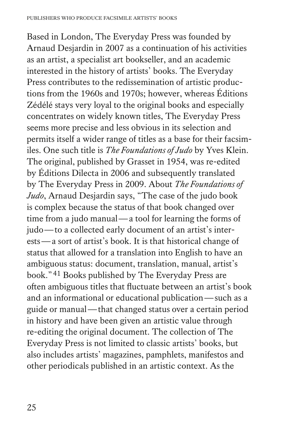Based in London, The Everyday Press was founded by Arnaud Desjardin in 2007 as a continuation of his activities as an artist, a specialist art bookseller, and an academic interested in the history of artists' books. The Everyday Press contributes to the redissemination of artistic productions from the 1960s and 1970s; however, whereas Éditions Zédélé stays very loyal to the original books and especially concentrates on widely known titles, The Everyday Press seems more precise and less obvious in its selection and permits itself a wider range of titles as a base for their facsimiles. One such title is *The Foundations of Judo* by Yves Klein. The original, published by Grasset in 1954, was re-edited by Éditions Dilecta in 2006 and subsequently translated by The Everyday Press in 2009. About *The Foundations of Judo*, Arnaud Desjardin says, "The case of the judo book is complex because the status of that book changed over time from a judo manual—a tool for learning the forms of judo—to a collected early document of an artist's interests—a sort of artist's book. It is that historical change of status that allowed for a translation into English to have an ambiguous status: document, translation, manual, artist's book."41 Books published by The Everyday Press are often ambiguous titles that fluctuate between an artist's book and an informational or educational publication—such as a guide or manual—that changed status over a certain period in history and have been given an artistic value through re-editing the original document. The collection of The Everyday Press is not limited to classic artists' books, but also includes artists' magazines, pamphlets, manifestos and other periodicals published in an artistic context. As the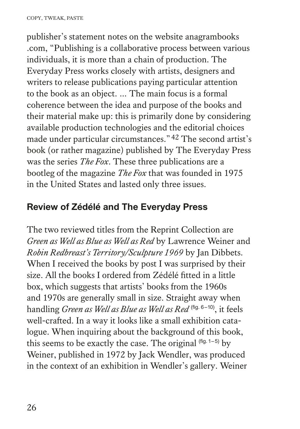publisher's statement notes on the website anagrambooks .com, "Publishing is a collaborative process between various individuals, it is more than a chain of production. The Everyday Press works closely with artists, designers and writers to release publications paying particular attention to the book as an object. … The main focus is a formal coherence between the idea and purpose of the books and their material make up: this is primarily done by considering available production technologies and the editorial choices made under particular circumstances."42 The second artist's book (or rather magazine) published by The Everyday Press was the series *The Fox*. These three publications are a bootleg of the magazine *The Fox* that was founded in 1975 in the United States and lasted only three issues.

#### **Review of Zédélé and The Everyday Press**

The two reviewed titles from the Reprint Collection are *Green as Well as Blue as Well as Red* by Lawrence Weiner and *Robin Redbreast's Territory/Sculpture 1969* by Jan Dibbets. When I received the books by post I was surprised by their size. All the books I ordered from Zédélé fitted in a little box, which suggests that artists' books from the 1960s and 1970s are generally small in size. Straight away when handling *Green as Well as Blue as Well as Red* (fig. 6–10), it feels well-crafted. In a way it looks like a small exhibition catalogue. When inquiring about the background of this book, this seems to be exactly the case. The original  $(fig. 1-5)$  by Weiner, published in 1972 by Jack Wendler, was produced in the context of an exhibition in Wendler's gallery. Weiner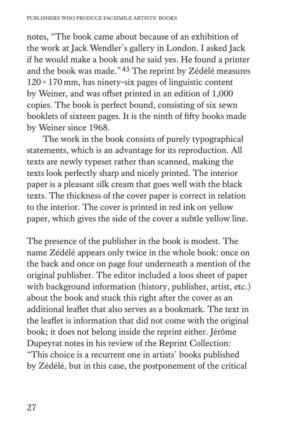notes, "The book came about because of an exhibition of the work at Jack Wendler's gallery in London. I asked Jack if he would make a book and he said yes. He found a printer and the book was made."43 The reprint by Zédélé measures  $120 \times 170$  mm, has ninety-six pages of linguistic content by Weiner, and was offset printed in an edition of 1,000 copies. The book is perfect bound, consisting of six sewn booklets of sixteen pages. It is the ninth of fifty books made by Weiner since 1968.

The work in the book consists of purely typographical statements, which is an advantage for its reproduction. All texts are newly typeset rather than scanned, making the texts look perfectly sharp and nicely printed. The interior paper is a pleasant silk cream that goes well with the black texts. The thickness of the cover paper is correct in relation to the interior. The cover is printed in red ink on yellow paper, which gives the side of the cover a subtle yellow line.

The presence of the publisher in the book is modest. The name Zédélé appears only twice in the whole book: once on the back and once on page four underneath a mention of the original publisher. The editor included a loos sheet of paper with background information (history, publisher, artist, etc.) about the book and stuck this right after the cover as an additional leaflet that also serves as a bookmark. The text in the leaflet is information that did not come with the original book; it does not belong inside the reprint either. Jérôme Dupeyrat notes in his review of the Reprint Collection: "This choice is a recurrent one in artists' books published by Zédélé, but in this case, the postponement of the critical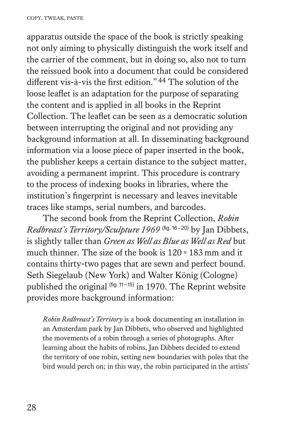apparatus outside the space of the book is strictly speaking not only aiming to physically distinguish the work itself and the carrier of the comment, but in doing so, also not to turn the reissued book into a document that could be considered different vis-à-vis the first edition."44 The solution of the loose leaflet is an adaptation for the purpose of separating the content and is applied in all books in the Reprint Collection. The leaflet can be seen as a democratic solution between interrupting the original and not providing any background information at all. In disseminating background information via a loose piece of paper inserted in the book, the publisher keeps a certain distance to the subject matter, avoiding a permanent imprint. This procedure is contrary to the process of indexing books in libraries, where the institution's fingerprint is necessary and leaves inevitable traces like stamps, serial numbers, and barcodes.

The second book from the Reprint Collection, *Robin Redbreast's Territory/Sculpture 1969* (fig. 16–20) by Jan Dibbets, is slightly taller than *Green as Well as Blue as Well as Red* but much thinner. The size of the book is 120×183 mm and it contains thirty-two pages that are sewn and perfect bound. Seth Siegelaub (New York) and Walter König (Cologne) published the original (fig. 11–15) in 1970. The Reprint website provides more background information:

 *Robin Redbreast's Territory* is a book documenting an installation in an Amsterdam park by Jan Dibbets, who observed and highlighted the movements of a robin through a series of photographs. After learning about the habits of robins, Jan Dibbets decided to extend the territory of one robin, setting new boundaries with poles that the bird would perch on; in this way, the robin participated in the artists'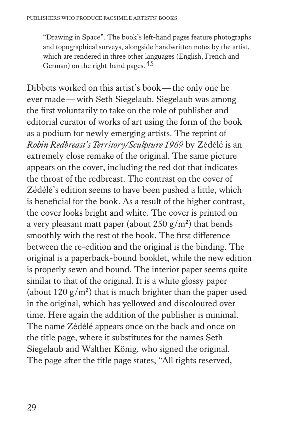"Drawing in Space". The book's left-hand pages feature photographs and topographical surveys, alongside handwritten notes by the artist, which are rendered in three other languages (English, French and German) on the right-hand pages. 45

Dibbets worked on this artist's book—the only one he ever made—with Seth Siegelaub. Siegelaub was among the first voluntarily to take on the role of publisher and editorial curator of works of art using the form of the book as a podium for newly emerging artists. The reprint of *Robin Redbreast's Territory/Sculpture 1969* by Zédélé is an extremely close remake of the original. The same picture appears on the cover, including the red dot that indicates the throat of the redbreast. The contrast on the cover of Zédélé's edition seems to have been pushed a little, which is beneficial for the book. As a result of the higher contrast, the cover looks bright and white. The cover is printed on a very pleasant matt paper (about 250  $g/m^2$ ) that bends smoothly with the rest of the book. The first difference between the re-edition and the original is the binding. The original is a paperback-bound booklet, while the new edition is properly sewn and bound. The interior paper seems quite similar to that of the original. It is a white glossy paper (about  $120 \text{ g/m}^2$ ) that is much brighter than the paper used in the original, which has yellowed and discoloured over time. Here again the addition of the publisher is minimal. The name Zédélé appears once on the back and once on the title page, where it substitutes for the names Seth Siegelaub and Walther König, who signed the original. The page after the title page states, "All rights reserved,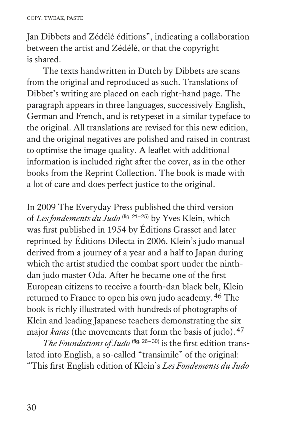Jan Dibbets and Zédélé éditions", indicating a collaboration between the artist and Zédélé, or that the copyright is shared.

The texts handwritten in Dutch by Dibbets are scans from the original and reproduced as such. Translations of Dibbet's writing are placed on each right-hand page. The paragraph appears in three languages, successively English, German and French, and is retypeset in a similar typeface to the original. All translations are revised for this new edition, and the original negatives are polished and raised in contrast to optimise the image quality. A leaflet with additional information is included right after the cover, as in the other books from the Reprint Collection. The book is made with a lot of care and does perfect justice to the original.

In 2009 The Everyday Press published the third version of *Les fondements du Judo* (fig. 21-25) by Yves Klein, which was first published in 1954 by Éditions Grasset and later reprinted by Éditions Dilecta in 2006. Klein's judo manual derived from a journey of a year and a half to Japan during which the artist studied the combat sport under the ninthdan judo master Oda. After he became one of the first European citizens to receive a fourth-dan black belt, Klein returned to France to open his own judo academy.46 The book is richly illustrated with hundreds of photographs of Klein and leading Japanese teachers demonstrating the six major *katas* (the movements that form the basis of judo).<sup>47</sup>

The Foundations of Judo<sup>(fig. 26-30)</sup> is the first edition translated into English, a so-called "transimile" of the original: "This first English edition of Klein's *Les Fondements du Judo*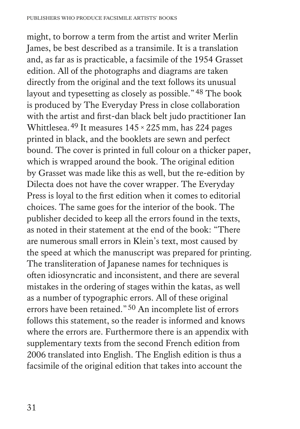might, to borrow a term from the artist and writer Merlin James, be best described as a transimile. It is a translation and, as far as is practicable, a facsimile of the 1954 Grasset edition. All of the photographs and diagrams are taken directly from the original and the text follows its unusual layout and typesetting as closely as possible."48 The book is produced by The Everyday Press in close collaboration with the artist and first-dan black belt judo practitioner Ian Whittlesea.<sup>49</sup> It measures  $145 \times 225$  mm, has 224 pages printed in black, and the booklets are sewn and perfect bound. The cover is printed in full colour on a thicker paper, which is wrapped around the book. The original edition by Grasset was made like this as well, but the re-edition by Dilecta does not have the cover wrapper. The Everyday Press is loyal to the first edition when it comes to editorial choices. The same goes for the interior of the book. The publisher decided to keep all the errors found in the texts, as noted in their statement at the end of the book: "There are numerous small errors in Klein's text, most caused by the speed at which the manuscript was prepared for printing. The transliteration of Japanese names for techniques is often idiosyncratic and inconsistent, and there are several mistakes in the ordering of stages within the katas, as well as a number of typographic errors. All of these original errors have been retained."50 An incomplete list of errors follows this statement, so the reader is informed and knows where the errors are. Furthermore there is an appendix with supplementary texts from the second French edition from 2006 translated into English. The English edition is thus a facsimile of the original edition that takes into account the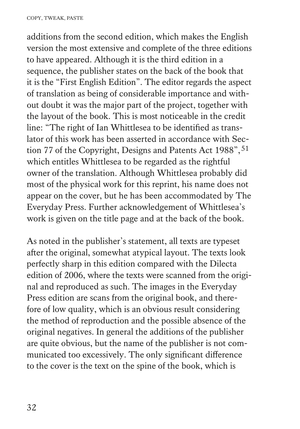additions from the second edition, which makes the English version the most extensive and complete of the three editions to have appeared. Although it is the third edition in a sequence, the publisher states on the back of the book that it is the "First English Edition". The editor regards the aspect of translation as being of considerable importance and without doubt it was the major part of the project, together with the layout of the book. This is most noticeable in the credit line: "The right of Ian Whittlesea to be identified as translator of this work has been asserted in accordance with Section 77 of the Copyright, Designs and Patents Act 1988", 51 which entitles Whittlesea to be regarded as the rightful owner of the translation. Although Whittlesea probably did most of the physical work for this reprint, his name does not appear on the cover, but he has been accommodated by The Everyday Press. Further acknowledgement of Whittlesea's work is given on the title page and at the back of the book.

As noted in the publisher's statement, all texts are typeset after the original, somewhat atypical layout. The texts look perfectly sharp in this edition compared with the Dilecta edition of 2006, where the texts were scanned from the original and reproduced as such. The images in the Everyday Press edition are scans from the original book, and therefore of low quality, which is an obvious result considering the method of reproduction and the possible absence of the original negatives. In general the additions of the publisher are quite obvious, but the name of the publisher is not communicated too excessively. The only significant difference to the cover is the text on the spine of the book, which is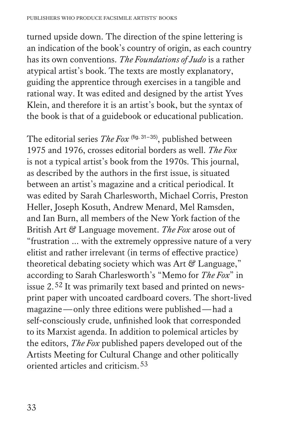turned upside down. The direction of the spine lettering is an indication of the book's country of origin, as each country has its own conventions. *The Foundations of Judo* is a rather atypical artist's book. The texts are mostly explanatory, guiding the apprentice through exercises in a tangible and rational way. It was edited and designed by the artist Yves Klein, and therefore it is an artist's book, but the syntax of the book is that of a guidebook or educational publication.

The editorial series *The Fox* (fig. 31–35), published between 1975 and 1976, crosses editorial borders as well. *The Fox* is not a typical artist's book from the 1970s. This journal, as described by the authors in the first issue, is situated between an artist's magazine and a critical periodical. It was edited by Sarah Charlesworth, Michael Corris, Preston Heller, Joseph Kosuth, Andrew Menard, Mel Ramsden, and Ian Burn, all members of the New York faction of the British Art & Language movement. *The Fox* arose out of "frustration … with the extremely oppressive nature of a very elitist and rather irrelevant (in terms of effective practice) theoretical debating society which was Art  $\mathcal C$  Language," according to Sarah Charlesworth's "Memo for *The Fox*" in issue 2.52 It was primarily text based and printed on newsprint paper with uncoated cardboard covers. The short-lived magazine—only three editions were published—had a self-consciously crude, unfinished look that corresponded to its Marxist agenda. In addition to polemical articles by the editors, *The Fox* published papers developed out of the Artists Meeting for Cultural Change and other politically oriented articles and criticism.53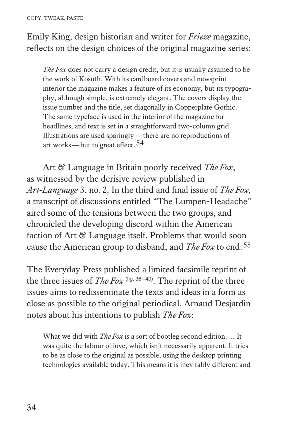Emily King, design historian and writer for *Frieze* magazine, reflects on the design choices of the original magazine series:

 *The Fox* does not carry a design credit, but it is usually assumed to be the work of Kosuth. With its cardboard covers and newsprint interior the magazine makes a feature of its economy, but its typography, although simple, is extremely elegant. The covers display the issue number and the title, set diagonally in Copperplate Gothic. The same typeface is used in the interior of the magazine for headlines, and text is set in a straightforward two-column grid. Illustrations are used sparingly—there are no reproductions of art works—but to great effect.<sup>54</sup>

Art & Language in Britain poorly received *The Fox*, as witnessed by the derisive review published in *Art-Language* 3, no.2. In the third and final issue of *The Fox*, a transcript of discussions entitled "The Lumpen-Headache" aired some of the tensions between the two groups, and chronicled the developing discord within the American faction of Art & Language itself. Problems that would soon cause the American group to disband, and *The Fox* to end.55

The Everyday Press published a limited facsimile reprint of the three issues of *The Fox*<sup>(fig. 36–40)</sup>. The reprint of the three issues aims to redisseminate the texts and ideas in a form as close as possible to the original periodical. Arnaud Desjardin notes about his intentions to publish *The Fox*:

 What we did with *The Fox* is a sort of bootleg second edition. … It was quite the labour of love, which isn't necessarily apparent. It tries to be as close to the original as possible, using the desktop printing technologies available today. This means it is inevitably different and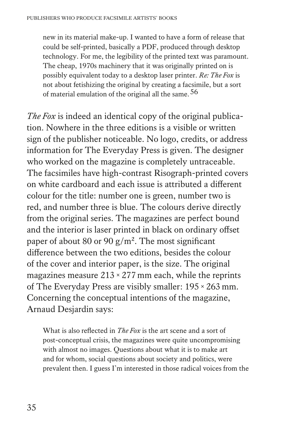new in its material make-up. I wanted to have a form of release that could be self-printed, basically a PDF, produced through desktop technology. For me, the legibility of the printed text was paramount. The cheap, 1970s machinery that it was originally printed on is possibly equivalent today to a desktop laser printer. *Re: The Fox* is not about fetishizing the original by creating a facsimile, but a sort of material emulation of the original all the same.<sup>56</sup>

*The Fox* is indeed an identical copy of the original publication. Nowhere in the three editions is a visible or written sign of the publisher noticeable. No logo, credits, or address information for The Everyday Press is given. The designer who worked on the magazine is completely untraceable. The facsimiles have high-contrast Risograph-printed covers on white cardboard and each issue is attributed a different colour for the title: number one is green, number two is red, and number three is blue. The colours derive directly from the original series. The magazines are perfect bound and the interior is laser printed in black on ordinary offset paper of about 80 or 90  $g/m^2$ . The most significant difference between the two editions, besides the colour of the cover and interior paper, is the size. The original magazines measure  $213 \times 277$  mm each, while the reprints of The Everyday Press are visibly smaller: 195×263 mm. Concerning the conceptual intentions of the magazine, Arnaud Desjardin says:

What is also reflected in *The Fox* is the art scene and a sort of post-conceptual crisis, the magazines were quite uncompromising with almost no images. Questions about what it is to make art and for whom, social questions about society and politics, were prevalent then. I guess I'm interested in those radical voices from the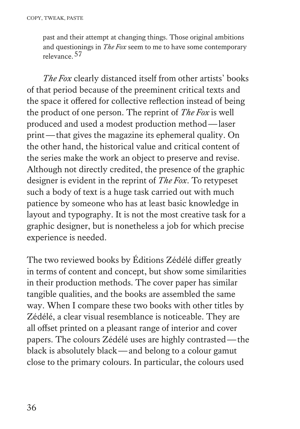past and their attempt at changing things. Those original ambitions and questionings in *The Fox* seem to me to have some contemporary relevance.57

*The Fox* clearly distanced itself from other artists' books of that period because of the preeminent critical texts and the space it offered for collective reflection instead of being the product of one person. The reprint of *The Fox* is well produced and used a modest production method—laser print—that gives the magazine its ephemeral quality. On the other hand, the historical value and critical content of the series make the work an object to preserve and revise. Although not directly credited, the presence of the graphic designer is evident in the reprint of *The Fox*. To retypeset such a body of text is a huge task carried out with much patience by someone who has at least basic knowledge in layout and typography. It is not the most creative task for a graphic designer, but is nonetheless a job for which precise experience is needed.

The two reviewed books by Éditions Zédélé differ greatly in terms of content and concept, but show some similarities in their production methods. The cover paper has similar tangible qualities, and the books are assembled the same way. When I compare these two books with other titles by Zédélé, a clear visual resemblance is noticeable. They are all offset printed on a pleasant range of interior and cover papers. The colours Zédélé uses are highly contrasted—the black is absolutely black—and belong to a colour gamut close to the primary colours. In particular, the colours used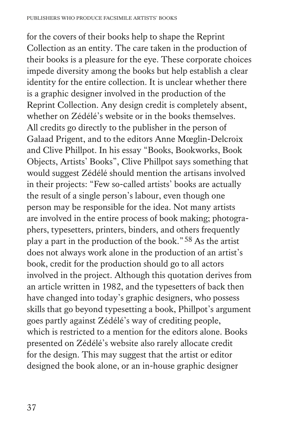for the covers of their books help to shape the Reprint Collection as an entity. The care taken in the production of their books is a pleasure for the eye. These corporate choices impede diversity among the books but help establish a clear identity for the entire collection. It is unclear whether there is a graphic designer involved in the production of the Reprint Collection. Any design credit is completely absent, whether on Zédélé's website or in the books themselves. All credits go directly to the publisher in the person of Galaad Prigent, and to the editors Anne Mœglin-Delcroix and Clive Phillpot. In his essay "Books, Bookworks, Book Objects, Artists' Books", Clive Phillpot says something that would suggest Zédélé should mention the artisans involved in their projects: "Few so-called artists' books are actually the result of a single person's labour, even though one person may be responsible for the idea. Not many artists are involved in the entire process of book making; photographers, typesetters, printers, binders, and others frequently play a part in the production of the book."58 As the artist does not always work alone in the production of an artist's book, credit for the production should go to all actors involved in the project. Although this quotation derives from an article written in 1982, and the typesetters of back then have changed into today's graphic designers, who possess skills that go beyond typesetting a book, Phillpot's argument goes partly against Zédélé's way of crediting people, which is restricted to a mention for the editors alone. Books presented on Zédélé's website also rarely allocate credit for the design. This may suggest that the artist or editor designed the book alone, or an in-house graphic designer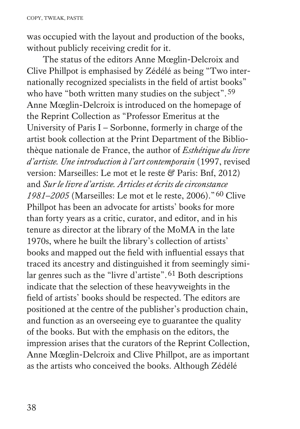was occupied with the layout and production of the books, without publicly receiving credit for it.

The status of the editors Anne Mœglin-Delcroix and Clive Phillpot is emphasised by Zédélé as being "Two internationally recognized specialists in the field of artist books" who have "both written many studies on the subject".<sup>59</sup> Anne Mœglin-Delcroix is introduced on the homepage of the Reprint Collection as "Professor Emeritus at the University of Paris I – Sorbonne, formerly in charge of the artist book collection at the Print Department of the Bibliothèque nationale de France, the author of *Esthétique du livre d'artiste. Une introduction à l'art contemporain* (1997, revised version: Marseilles: Le mot et le reste & Paris: Bnf, 2012) and *Sur le livre d'artiste. Articles et écrits de circonstance 1981–2005* (Marseilles: Le mot et le reste, 2006)."60 Clive Phillpot has been an advocate for artists' books for more than forty years as a critic, curator, and editor, and in his tenure as director at the library of the MoMA in the late 1970s, where he built the library's collection of artists' books and mapped out the field with influential essays that traced its ancestry and distinguished it from seemingly similar genres such as the "livre d'artiste".61 Both descriptions indicate that the selection of these heavyweights in the field of artists' books should be respected. The editors are positioned at the centre of the publisher's production chain, and function as an overseeing eye to guarantee the quality of the books. But with the emphasis on the editors, the impression arises that the curators of the Reprint Collection, Anne Mœglin-Delcroix and Clive Phillpot, are as important as the artists who conceived the books. Although Zédélé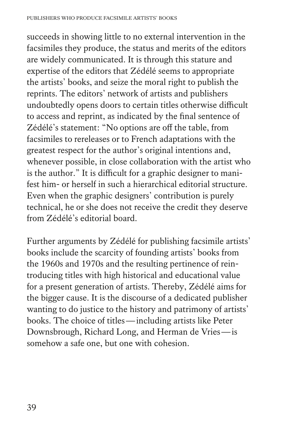succeeds in showing little to no external intervention in the facsimiles they produce, the status and merits of the editors are widely communicated. It is through this stature and expertise of the editors that Zédélé seems to appropriate the artists' books, and seize the moral right to publish the reprints. The editors' network of artists and publishers undoubtedly opens doors to certain titles otherwise difficult to access and reprint, as indicated by the final sentence of Zédélé's statement: "No options are off the table, from facsimiles to rereleases or to French adaptations with the greatest respect for the author's original intentions and, whenever possible, in close collaboration with the artist who is the author." It is difficult for a graphic designer to manifest him- or herself in such a hierarchical editorial structure. Even when the graphic designers' contribution is purely technical, he or she does not receive the credit they deserve from Zédélé's editorial board.

Further arguments by Zédélé for publishing facsimile artists' books include the scarcity of founding artists' books from the 1960s and 1970s and the resulting pertinence of reintroducing titles with high historical and educational value for a present generation of artists. Thereby, Zédélé aims for the bigger cause. It is the discourse of a dedicated publisher wanting to do justice to the history and patrimony of artists' books. The choice of titles—including artists like Peter Downsbrough, Richard Long, and Herman de Vries—is somehow a safe one, but one with cohesion.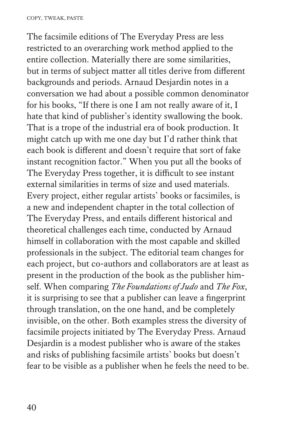The facsimile editions of The Everyday Press are less restricted to an overarching work method applied to the entire collection. Materially there are some similarities, but in terms of subject matter all titles derive from different backgrounds and periods. Arnaud Desjardin notes in a conversation we had about a possible common denominator for his books, "If there is one I am not really aware of it, I hate that kind of publisher's identity swallowing the book. That is a trope of the industrial era of book production. It might catch up with me one day but I'd rather think that each book is different and doesn't require that sort of fake instant recognition factor." When you put all the books of The Everyday Press together, it is difficult to see instant external similarities in terms of size and used materials. Every project, either regular artists' books or facsimiles, is a new and independent chapter in the total collection of The Everyday Press, and entails different historical and theoretical challenges each time, conducted by Arnaud himself in collaboration with the most capable and skilled professionals in the subject. The editorial team changes for each project, but co-authors and collaborators are at least as present in the production of the book as the publisher himself. When comparing *The Foundations of Judo* and *The Fox*, it is surprising to see that a publisher can leave a fingerprint through translation, on the one hand, and be completely invisible, on the other. Both examples stress the diversity of facsimile projects initiated by The Everyday Press. Arnaud Desjardin is a modest publisher who is aware of the stakes and risks of publishing facsimile artists' books but doesn't fear to be visible as a publisher when he feels the need to be.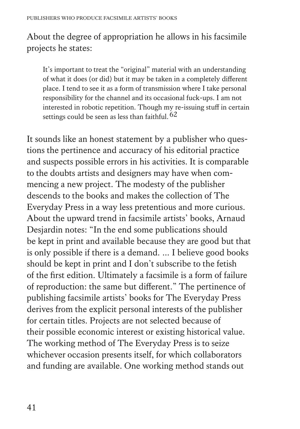# About the degree of appropriation he allows in his facsimile projects he states:

 It's important to treat the "original" material with an understanding of what it does (or did) but it may be taken in a completely different place. I tend to see it as a form of transmission where I take personal responsibility for the channel and its occasional fuck-ups. I am not interested in robotic repetition. Though my re-issuing stuff in certain settings could be seen as less than faithful.  $62$ 

It sounds like an honest statement by a publisher who questions the pertinence and accuracy of his editorial practice and suspects possible errors in his activities. It is comparable to the doubts artists and designers may have when commencing a new project. The modesty of the publisher descends to the books and makes the collection of The Everyday Press in a way less pretentious and more curious. About the upward trend in facsimile artists' books, Arnaud Desjardin notes: "In the end some publications should be kept in print and available because they are good but that is only possible if there is a demand. … I believe good books should be kept in print and I don't subscribe to the fetish of the first edition. Ultimately a facsimile is a form of failure of reproduction: the same but different." The pertinence of publishing facsimile artists' books for The Everyday Press derives from the explicit personal interests of the publisher for certain titles. Projects are not selected because of their possible economic interest or existing historical value. The working method of The Everyday Press is to seize whichever occasion presents itself, for which collaborators and funding are available. One working method stands out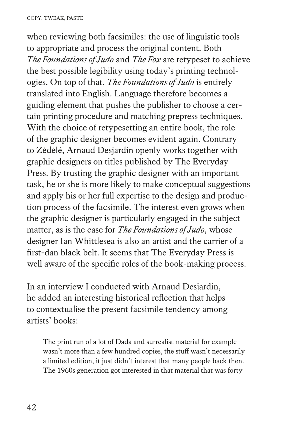when reviewing both facsimiles: the use of linguistic tools to appropriate and process the original content. Both *The Foundations of Judo* and *The Fox* are retypeset to achieve the best possible legibility using today's printing technologies. On top of that, *The Foundations of Judo* is entirely translated into English. Language therefore becomes a guiding element that pushes the publisher to choose a certain printing procedure and matching prepress techniques. With the choice of retypesetting an entire book, the role of the graphic designer becomes evident again. Contrary to Zédélé, Arnaud Desjardin openly works together with graphic designers on titles published by The Everyday Press. By trusting the graphic designer with an important task, he or she is more likely to make conceptual suggestions and apply his or her full expertise to the design and production process of the facsimile. The interest even grows when the graphic designer is particularly engaged in the subject matter, as is the case for *The Foundations of Judo*, whose designer Ian Whittlesea is also an artist and the carrier of a first-dan black belt. It seems that The Everyday Press is well aware of the specific roles of the book-making process.

In an interview I conducted with Arnaud Desjardin, he added an interesting historical reflection that helps to contextualise the present facsimile tendency among artists' books:

 The print run of a lot of Dada and surrealist material for example wasn't more than a few hundred copies, the stuff wasn't necessarily a limited edition, it just didn't interest that many people back then. The 1960s generation got interested in that material that was forty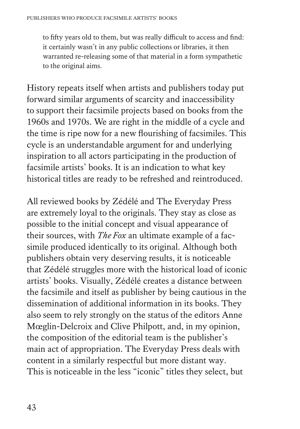to fifty years old to them, but was really difficult to access and find: it certainly wasn't in any public collections or libraries, it then warranted re-releasing some of that material in a form sympathetic to the original aims.

History repeats itself when artists and publishers today put forward similar arguments of scarcity and inaccessibility to support their facsimile projects based on books from the 1960s and 1970s. We are right in the middle of a cycle and the time is ripe now for a new flourishing of facsimiles. This cycle is an understandable argument for and underlying inspiration to all actors participating in the production of facsimile artists' books. It is an indication to what key historical titles are ready to be refreshed and reintroduced.

All reviewed books by Zédélé and The Everyday Press are extremely loyal to the originals. They stay as close as possible to the initial concept and visual appearance of their sources, with *The Fox* an ultimate example of a facsimile produced identically to its original. Although both publishers obtain very deserving results, it is noticeable that Zédélé struggles more with the historical load of iconic artists' books. Visually, Zédélé creates a distance between the facsimile and itself as publisher by being cautious in the dissemination of additional information in its books. They also seem to rely strongly on the status of the editors Anne Mœglin-Delcroix and Clive Philpott, and, in my opinion, the composition of the editorial team is the publisher's main act of appropriation. The Everyday Press deals with content in a similarly respectful but more distant way. This is noticeable in the less "iconic" titles they select, but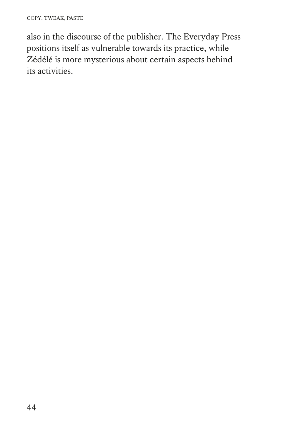also in the discourse of the publisher. The Everyday Press positions itself as vulnerable towards its practice, while Zédélé is more mysterious about certain aspects behind its activities.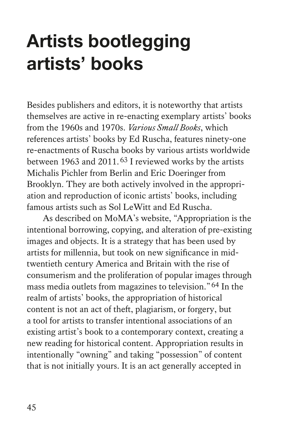# **Artists bootlegging artists' books**

Besides publishers and editors, it is noteworthy that artists themselves are active in re-enacting exemplary artists' books from the 1960s and 1970s. *Various Small Books*, which references artists' books by Ed Ruscha, features ninety-one re-enactments of Ruscha books by various artists worldwide between 1963 and 2011.<sup>63</sup> I reviewed works by the artists Michalis Pichler from Berlin and Eric Doeringer from Brooklyn. They are both actively involved in the appropriation and reproduction of iconic artists' books, including famous artists such as Sol LeWitt and Ed Ruscha.

As described on MoMA's website, "Appropriation is the intentional borrowing, copying, and alteration of pre-existing images and objects. It is a strategy that has been used by artists for millennia, but took on new significance in midtwentieth century America and Britain with the rise of consumerism and the proliferation of popular images through mass media outlets from magazines to television."64 In the realm of artists' books, the appropriation of historical content is not an act of theft, plagiarism, or forgery, but a tool for artists to transfer intentional associations of an existing artist's book to a contemporary context, creating a new reading for historical content. Appropriation results in intentionally "owning" and taking "possession" of content that is not initially yours. It is an act generally accepted in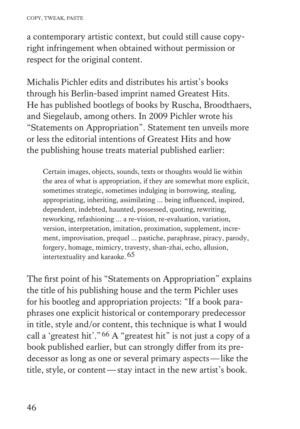a contemporary artistic context, but could still cause copyright infringement when obtained without permission or respect for the original content.

Michalis Pichler edits and distributes his artist's books through his Berlin-based imprint named Greatest Hits. He has published bootlegs of books by Ruscha, Broodthaers, and Siegelaub, among others. In 2009 Pichler wrote his "Statements on Appropriation". Statement ten unveils more or less the editorial intentions of Greatest Hits and how the publishing house treats material published earlier:

 Certain images, objects, sounds, texts or thoughts would lie within the area of what is appropriation, if they are somewhat more explicit, sometimes strategic, sometimes indulging in borrowing, stealing, appropriating, inheriting, assimilating ... being influenced, inspired, dependent, indebted, haunted, possessed, quoting, rewriting, reworking, refashioning ... a re-vision, re-evaluation, variation, version, interpretation, imitation, proximation, supplement, increment, improvisation, prequel ... pastiche, paraphrase, piracy, parody, forgery, homage, mimicry, travesty, shan-zhai, echo, allusion, intertextuality and karaoke.65

The first point of his "Statements on Appropriation" explains the title of his publishing house and the term Pichler uses for his bootleg and appropriation projects: "If a book paraphrases one explicit historical or contemporary predecessor in title, style and/or content, this technique is what I would call a 'greatest hit'."66 A "greatest hit" is not just a copy of a book published earlier, but can strongly differ from its predecessor as long as one or several primary aspects—like the title, style, or content—stay intact in the new artist's book.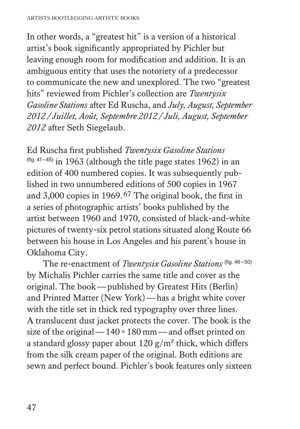In other words, a "greatest hit" is a version of a historical artist's book significantly appropriated by Pichler but leaving enough room for modification and addition. It is an ambiguous entity that uses the notoriety of a predecessor to communicate the new and unexplored. The two "greatest hits" reviewed from Pichler's collection are *Twentysix Gasoline Stations* after Ed Ruscha, and *July, August, September 2012 / Juillet, Août, Septembre 2012 / Juli, August, September 2012* after Seth Siegelaub.

Ed Ruscha first published *Twentysix Gasoline Stations*  $($ fig. 41–45) in 1963 (although the title page states 1962) in an edition of 400 numbered copies. It was subsequently published in two unnumbered editions of 500 copies in 1967 and 3,000 copies in 1969.67 The original book, the first in a series of photographic artists' books published by the artist between 1960 and 1970, consisted of black-and-white pictures of twenty-six petrol stations situated along Route 66 between his house in Los Angeles and his parent's house in Oklahoma City.

The re-enactment of *Twentysix Gasoline Stations* (fig. 46-50) by Michalis Pichler carries the same title and cover as the original. The book—published by Greatest Hits (Berlin) and Printed Matter (New York)—has a bright white cover with the title set in thick red typography over three lines. A translucent dust jacket protects the cover. The book is the size of the original— $140 \times 180$  mm—and offset printed on a standard glossy paper about  $120 \frac{g}{m^2}$  thick, which differs from the silk cream paper of the original. Both editions are sewn and perfect bound. Pichler's book features only sixteen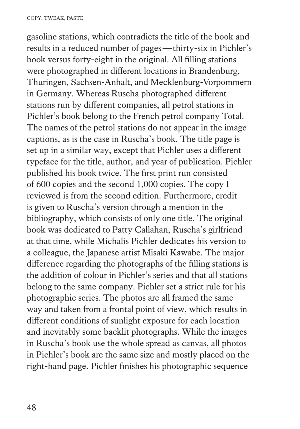gasoline stations, which contradicts the title of the book and results in a reduced number of pages—thirty-six in Pichler's book versus forty-eight in the original. All filling stations were photographed in different locations in Brandenburg, Thuringen, Sachsen-Anhalt, and Mecklenburg-Vorpommern in Germany. Whereas Ruscha photographed different stations run by different companies, all petrol stations in Pichler's book belong to the French petrol company Total. The names of the petrol stations do not appear in the image captions, as is the case in Ruscha's book. The title page is set up in a similar way, except that Pichler uses a different typeface for the title, author, and year of publication. Pichler published his book twice. The first print run consisted of 600 copies and the second 1,000 copies. The copy I reviewed is from the second edition. Furthermore, credit is given to Ruscha's version through a mention in the bibliography, which consists of only one title. The original book was dedicated to Patty Callahan, Ruscha's girlfriend at that time, while Michalis Pichler dedicates his version to a colleague, the Japanese artist Misaki Kawabe. The major difference regarding the photographs of the filling stations is the addition of colour in Pichler's series and that all stations belong to the same company. Pichler set a strict rule for his photographic series. The photos are all framed the same way and taken from a frontal point of view, which results in different conditions of sunlight exposure for each location and inevitably some backlit photographs. While the images in Ruscha's book use the whole spread as canvas, all photos in Pichler's book are the same size and mostly placed on the right-hand page. Pichler finishes his photographic sequence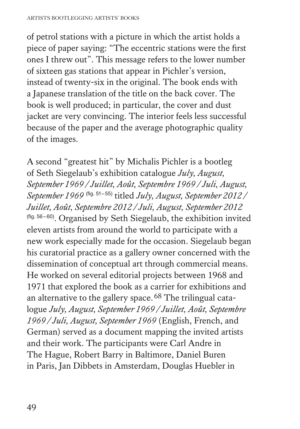of petrol stations with a picture in which the artist holds a piece of paper saying: "The eccentric stations were the first ones I threw out". This message refers to the lower number of sixteen gas stations that appear in Pichler's version, instead of twenty-six in the original. The book ends with a Japanese translation of the title on the back cover. The book is well produced; in particular, the cover and dust jacket are very convincing. The interior feels less successful because of the paper and the average photographic quality of the images.

A second "greatest hit" by Michalis Pichler is a bootleg of Seth Siegelaub's exhibition catalogue *July, August, September 1969 / Juillet, Août, Septembre 1969 / Juli, August, September 1969* (fig. 51–55) titled *July, August, September 2012 / Juillet, Août, Septembre 2012 / Juli, August, September 2012* (fig. 56–60). Organised by Seth Siegelaub, the exhibition invited eleven artists from around the world to participate with a new work especially made for the occasion. Siegelaub began his curatorial practice as a gallery owner concerned with the dissemination of conceptual art through commercial means. He worked on several editorial projects between 1968 and 1971 that explored the book as a carrier for exhibitions and an alternative to the gallery space.68 The trilingual catalogue *July, August, September 1969 / Juillet, Août, Septembre 1969 / Juli, August, September 1969* (English, French, and German) served as a document mapping the invited artists and their work. The participants were Carl Andre in The Hague, Robert Barry in Baltimore, Daniel Buren in Paris, Jan Dibbets in Amsterdam, Douglas Huebler in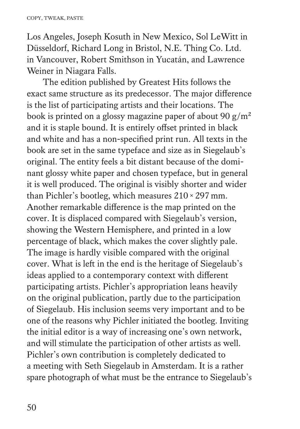Los Angeles, Joseph Kosuth in New Mexico, Sol LeWitt in Düsseldorf, Richard Long in Bristol, N.E. Thing Co. Ltd. in Vancouver, Robert Smithson in Yucatán, and Lawrence Weiner in Niagara Falls.

The edition published by Greatest Hits follows the exact same structure as its predecessor. The major difference is the list of participating artists and their locations. The book is printed on a glossy magazine paper of about 90  $g/m^2$ and it is staple bound. It is entirely offset printed in black and white and has a non-specified print run. All texts in the book are set in the same typeface and size as in Siegelaub's original. The entity feels a bit distant because of the dominant glossy white paper and chosen typeface, but in general it is well produced. The original is visibly shorter and wider than Pichler's bootleg, which measures 210×297 mm. Another remarkable difference is the map printed on the cover. It is displaced compared with Siegelaub's version, showing the Western Hemisphere, and printed in a low percentage of black, which makes the cover slightly pale. The image is hardly visible compared with the original cover. What is left in the end is the heritage of Siegelaub's ideas applied to a contemporary context with different participating artists. Pichler's appropriation leans heavily on the original publication, partly due to the participation of Siegelaub. His inclusion seems very important and to be one of the reasons why Pichler initiated the bootleg. Inviting the initial editor is a way of increasing one's own network, and will stimulate the participation of other artists as well. Pichler's own contribution is completely dedicated to a meeting with Seth Siegelaub in Amsterdam. It is a rather spare photograph of what must be the entrance to Siegelaub's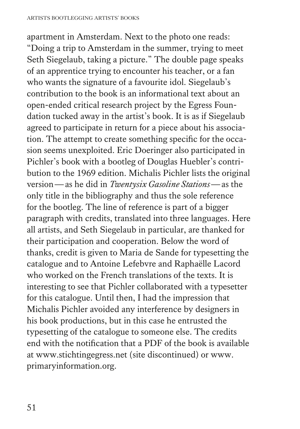apartment in Amsterdam. Next to the photo one reads: "Doing a trip to Amsterdam in the summer, trying to meet Seth Siegelaub, taking a picture." The double page speaks of an apprentice trying to encounter his teacher, or a fan who wants the signature of a favourite idol. Siegelaub's contribution to the book is an informational text about an open-ended critical research project by the Egress Foundation tucked away in the artist's book. It is as if Siegelaub agreed to participate in return for a piece about his association. The attempt to create something specific for the occasion seems unexploited. Eric Doeringer also participated in Pichler's book with a bootleg of Douglas Huebler's contribution to the 1969 edition. Michalis Pichler lists the original version—as he did in *Twentysix Gasoline Stations*—as the only title in the bibliography and thus the sole reference for the bootleg. The line of reference is part of a bigger paragraph with credits, translated into three languages. Here all artists, and Seth Siegelaub in particular, are thanked for their participation and cooperation. Below the word of thanks, credit is given to Maria de Sande for typesetting the catalogue and to Antoine Lefebvre and Raphaëlle Lacord who worked on the French translations of the texts. It is interesting to see that Pichler collaborated with a typesetter for this catalogue. Until then, I had the impression that Michalis Pichler avoided any interference by designers in his book productions, but in this case he entrusted the typesetting of the catalogue to someone else. The credits end with the notification that a PDF of the book is available at www.stichtingegress.net (site discontinued) or www. primaryinformation.org.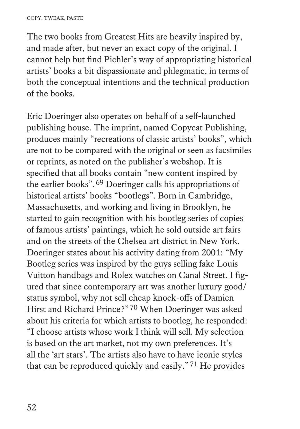The two books from Greatest Hits are heavily inspired by, and made after, but never an exact copy of the original. I cannot help but find Pichler's way of appropriating historical artists' books a bit dispassionate and phlegmatic, in terms of both the conceptual intentions and the technical production of the books.

Eric Doeringer also operates on behalf of a self-launched publishing house. The imprint, named Copycat Publishing, produces mainly "recreations of classic artists' books", which are not to be compared with the original or seen as facsimiles or reprints, as noted on the publisher's webshop. It is specified that all books contain "new content inspired by the earlier books".69 Doeringer calls his appropriations of historical artists' books "bootlegs". Born in Cambridge, Massachusetts, and working and living in Brooklyn, he started to gain recognition with his bootleg series of copies of famous artists' paintings, which he sold outside art fairs and on the streets of the Chelsea art district in New York. Doeringer states about his activity dating from 2001: "My Bootleg series was inspired by the guys selling fake Louis Vuitton handbags and Rolex watches on Canal Street. I figured that since contemporary art was another luxury good/ status symbol, why not sell cheap knock-offs of Damien Hirst and Richard Prince?"70 When Doeringer was asked about his criteria for which artists to bootleg, he responded: "I choose artists whose work I think will sell. My selection is based on the art market, not my own preferences. It's all the 'art stars'. The artists also have to have iconic styles that can be reproduced quickly and easily."71 He provides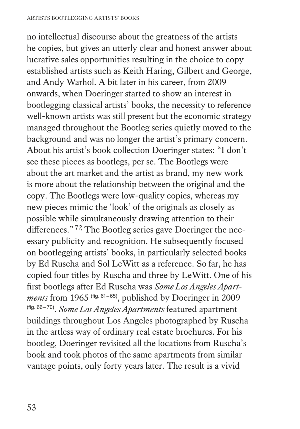no intellectual discourse about the greatness of the artists he copies, but gives an utterly clear and honest answer about lucrative sales opportunities resulting in the choice to copy established artists such as Keith Haring, Gilbert and George, and Andy Warhol. A bit later in his career, from 2009 onwards, when Doeringer started to show an interest in bootlegging classical artists' books, the necessity to reference well-known artists was still present but the economic strategy managed throughout the Bootleg series quietly moved to the background and was no longer the artist's primary concern. About his artist's book collection Doeringer states: "I don't see these pieces as bootlegs, per se. The Bootlegs were about the art market and the artist as brand, my new work is more about the relationship between the original and the copy. The Bootlegs were low-quality copies, whereas my new pieces mimic the 'look' of the originals as closely as possible while simultaneously drawing attention to their differences."72 The Bootleg series gave Doeringer the necessary publicity and recognition. He subsequently focused on bootlegging artists' books, in particularly selected books by Ed Ruscha and Sol LeWitt as a reference. So far, he has copied four titles by Ruscha and three by LeWitt. One of his first bootlegs after Ed Ruscha was *Some Los Angeles Apartments* from 1965 (fig. 61–65), published by Doeringer in 2009 (fig. 66–70). *Some Los Angeles Apartments* featured apartment buildings throughout Los Angeles photographed by Ruscha in the artless way of ordinary real estate brochures. For his bootleg, Doeringer revisited all the locations from Ruscha's book and took photos of the same apartments from similar vantage points, only forty years later. The result is a vivid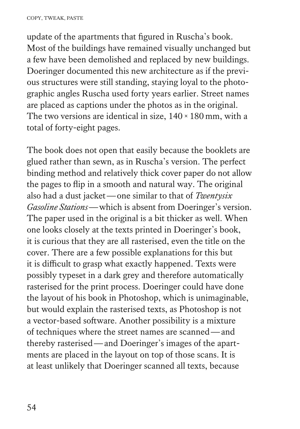update of the apartments that figured in Ruscha's book. Most of the buildings have remained visually unchanged but a few have been demolished and replaced by new buildings. Doeringer documented this new architecture as if the previous structures were still standing, staying loyal to the photographic angles Ruscha used forty years earlier. Street names are placed as captions under the photos as in the original. The two versions are identical in size,  $140 \times 180$  mm, with a total of forty-eight pages.

The book does not open that easily because the booklets are glued rather than sewn, as in Ruscha's version. The perfect binding method and relatively thick cover paper do not allow the pages to flip in a smooth and natural way. The original also had a dust jacket—one similar to that of *Twentysix Gasoline Stations*—which is absent from Doeringer's version. The paper used in the original is a bit thicker as well. When one looks closely at the texts printed in Doeringer's book, it is curious that they are all rasterised, even the title on the cover. There are a few possible explanations for this but it is difficult to grasp what exactly happened. Texts were possibly typeset in a dark grey and therefore automatically rasterised for the print process. Doeringer could have done the layout of his book in Photoshop, which is unimaginable, but would explain the rasterised texts, as Photoshop is not a vector-based software. Another possibility is a mixture of techniques where the street names are scanned—and thereby rasterised—and Doeringer's images of the apartments are placed in the layout on top of those scans. It is at least unlikely that Doeringer scanned all texts, because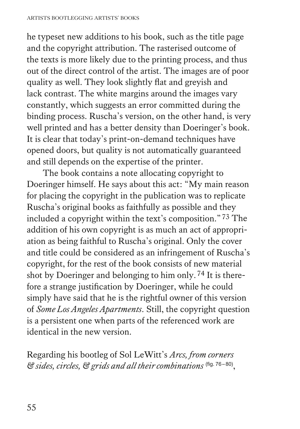he typeset new additions to his book, such as the title page and the copyright attribution. The rasterised outcome of the texts is more likely due to the printing process, and thus out of the direct control of the artist. The images are of poor quality as well. They look slightly flat and greyish and lack contrast. The white margins around the images vary constantly, which suggests an error committed during the binding process. Ruscha's version, on the other hand, is very well printed and has a better density than Doeringer's book. It is clear that today's print-on-demand techniques have opened doors, but quality is not automatically guaranteed and still depends on the expertise of the printer.

The book contains a note allocating copyright to Doeringer himself. He says about this act: "My main reason for placing the copyright in the publication was to replicate Ruscha's original books as faithfully as possible and they included a copyright within the text's composition."73 The addition of his own copyright is as much an act of appropriation as being faithful to Ruscha's original. Only the cover and title could be considered as an infringement of Ruscha's copyright, for the rest of the book consists of new material shot by Doeringer and belonging to him only.74 It is therefore a strange justification by Doeringer, while he could simply have said that he is the rightful owner of this version of *Some Los Angeles Apartments*. Still, the copyright question is a persistent one when parts of the referenced work are identical in the new version.

Regarding his bootleg of Sol LeWitt's *Arcs, from corners & sides, circles, & grids and all their combinations* (fig. 76–80),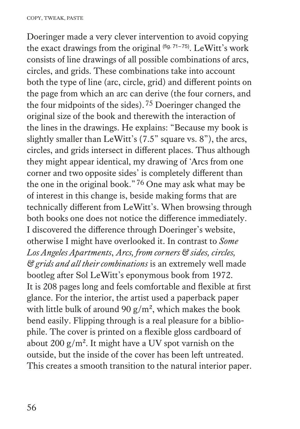Doeringer made a very clever intervention to avoid copying the exact drawings from the original  $(fig. 71-75)$ . LeWitt's work consists of line drawings of all possible combinations of arcs, circles, and grids. These combinations take into account both the type of line (arc, circle, grid) and different points on the page from which an arc can derive (the four corners, and the four midpoints of the sides).75 Doeringer changed the original size of the book and therewith the interaction of the lines in the drawings. He explains: "Because my book is slightly smaller than LeWitt's (7.5" square vs. 8"), the arcs, circles, and grids intersect in different places. Thus although they might appear identical, my drawing of 'Arcs from one corner and two opposite sides' is completely different than the one in the original book."76 One may ask what may be of interest in this change is, beside making forms that are technically different from LeWitt's. When browsing through both books one does not notice the difference immediately. I discovered the difference through Doeringer's website, otherwise I might have overlooked it. In contrast to *Some Los Angeles Apartments*, *Arcs, from corners & sides, circles, & grids and all their combinations* is an extremely well made bootleg after Sol LeWitt's eponymous book from 1972. It is 208 pages long and feels comfortable and flexible at first glance. For the interior, the artist used a paperback paper with little bulk of around 90  $g/m^2$ , which makes the book bend easily. Flipping through is a real pleasure for a bibliophile. The cover is printed on a flexible gloss cardboard of about 200  $g/m^2$ . It might have a UV spot varnish on the outside, but the inside of the cover has been left untreated. This creates a smooth transition to the natural interior paper.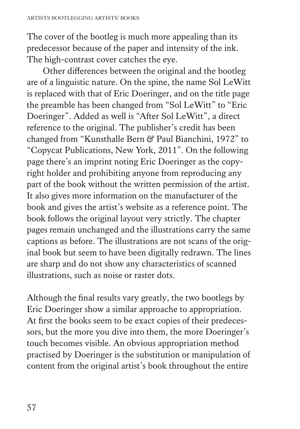The cover of the bootleg is much more appealing than its predecessor because of the paper and intensity of the ink. The high-contrast cover catches the eye.

Other differences between the original and the bootleg are of a linguistic nature. On the spine, the name Sol LeWitt is replaced with that of Eric Doeringer, and on the title page the preamble has been changed from "Sol LeWitt" to "Eric Doeringer". Added as well is "After Sol LeWitt", a direct reference to the original. The publisher's credit has been changed from "Kunsthalle Bern & Paul Bianchini, 1972" to "Copycat Publications, New York, 2011". On the following page there's an imprint noting Eric Doeringer as the copyright holder and prohibiting anyone from reproducing any part of the book without the written permission of the artist. It also gives more information on the manufacturer of the book and gives the artist's website as a reference point. The book follows the original layout very strictly. The chapter pages remain unchanged and the illustrations carry the same captions as before. The illustrations are not scans of the original book but seem to have been digitally redrawn. The lines are sharp and do not show any characteristics of scanned illustrations, such as noise or raster dots.

Although the final results vary greatly, the two bootlegs by Eric Doeringer show a similar approache to appropriation. At first the books seem to be exact copies of their predecessors, but the more you dive into them, the more Doeringer's touch becomes visible. An obvious appropriation method practised by Doeringer is the substitution or manipulation of content from the original artist's book throughout the entire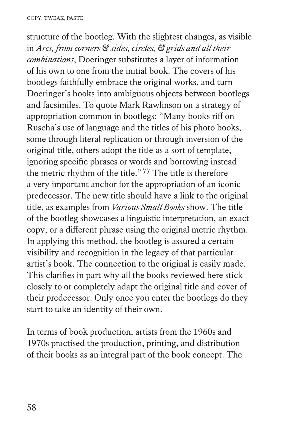structure of the bootleg. With the slightest changes, as visible in *Arcs, from corners & sides, circles, & grids and all their combinations*, Doeringer substitutes a layer of information of his own to one from the initial book. The covers of his bootlegs faithfully embrace the original works, and turn Doeringer's books into ambiguous objects between bootlegs and facsimiles. To quote Mark Rawlinson on a strategy of appropriation common in bootlegs: "Many books riff on Ruscha's use of language and the titles of his photo books, some through literal replication or through inversion of the original title, others adopt the title as a sort of template, ignoring specific phrases or words and borrowing instead the metric rhythm of the title."77 The title is therefore a very important anchor for the appropriation of an iconic predecessor. The new title should have a link to the original title, as examples from *Various Small Books* show. The title of the bootleg showcases a linguistic interpretation, an exact copy, or a different phrase using the original metric rhythm. In applying this method, the bootleg is assured a certain visibility and recognition in the legacy of that particular artist's book. The connection to the original is easily made. This clarifies in part why all the books reviewed here stick closely to or completely adapt the original title and cover of their predecessor. Only once you enter the bootlegs do they start to take an identity of their own.

In terms of book production, artists from the 1960s and 1970s practised the production, printing, and distribution of their books as an integral part of the book concept. The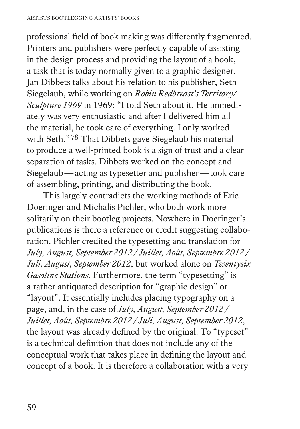professional field of book making was differently fragmented. Printers and publishers were perfectly capable of assisting in the design process and providing the layout of a book, a task that is today normally given to a graphic designer. Jan Dibbets talks about his relation to his publisher, Seth Siegelaub, while working on *Robin Redbreast's Territory/ Sculpture 1969* in 1969: "I told Seth about it. He immediately was very enthusiastic and after I delivered him all the material, he took care of everything. I only worked with Seth."78 That Dibbets gave Siegelaub his material to produce a well-printed book is a sign of trust and a clear separation of tasks. Dibbets worked on the concept and Siegelaub—acting as typesetter and publisher—took care of assembling, printing, and distributing the book.

This largely contradicts the working methods of Eric Doeringer and Michalis Pichler, who both work more solitarily on their bootleg projects. Nowhere in Doeringer's publications is there a reference or credit suggesting collaboration. Pichler credited the typesetting and translation for *July, August, September 2012 / Juillet, Août, Septembre 2012 / Juli, August, September 2012*, but worked alone on *Twentysix Gasoline Stations*. Furthermore, the term "typesetting" is a rather antiquated description for "graphic design" or "layout". It essentially includes placing typography on a page, and, in the case of *July, August, September 2012 / Juillet, Août, Septembre 2012 / Juli, August, September 2012*, the layout was already defined by the original. To "typeset" is a technical definition that does not include any of the conceptual work that takes place in defining the layout and concept of a book. It is therefore a collaboration with a very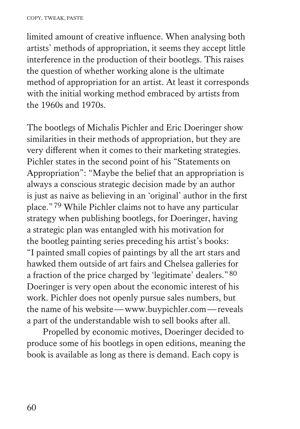#### COPY, TWEAK, PASTE

limited amount of creative influence. When analysing both artists' methods of appropriation, it seems they accept little interference in the production of their bootlegs. This raises the question of whether working alone is the ultimate method of appropriation for an artist. At least it corresponds with the initial working method embraced by artists from the 1960s and 1970s.

The bootlegs of Michalis Pichler and Eric Doeringer show similarities in their methods of appropriation, but they are very different when it comes to their marketing strategies. Pichler states in the second point of his "Statements on Appropriation": "Maybe the belief that an appropriation is always a conscious strategic decision made by an author is just as naive as believing in an 'original' author in the first place."79 While Pichler claims not to have any particular strategy when publishing bootlegs, for Doeringer, having a strategic plan was entangled with his motivation for the bootleg painting series preceding his artist's books: "I painted small copies of paintings by all the art stars and hawked them outside of art fairs and Chelsea galleries for a fraction of the price charged by 'legitimate' dealers."80 Doeringer is very open about the economic interest of his work. Pichler does not openly pursue sales numbers, but the name of his website—www.buypichler.com—reveals a part of the understandable wish to sell books after all.

Propelled by economic motives, Doeringer decided to produce some of his bootlegs in open editions, meaning the book is available as long as there is demand. Each copy is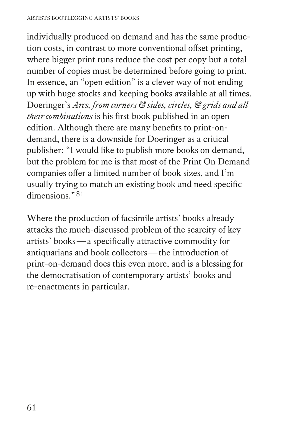individually produced on demand and has the same production costs, in contrast to more conventional offset printing, where bigger print runs reduce the cost per copy but a total number of copies must be determined before going to print. In essence, an "open edition" is a clever way of not ending up with huge stocks and keeping books available at all times. Doeringer's *Arcs, from corners & sides, circles, & grids and all their combinations* is his first book published in an open edition. Although there are many benefits to print-ondemand, there is a downside for Doeringer as a critical publisher: "I would like to publish more books on demand, but the problem for me is that most of the Print On Demand companies offer a limited number of book sizes, and I'm usually trying to match an existing book and need specific dimensions."81

Where the production of facsimile artists' books already attacks the much-discussed problem of the scarcity of key artists' books—a specifically attractive commodity for antiquarians and book collectors—the introduction of print-on-demand does this even more, and is a blessing for the democratisation of contemporary artists' books and re-enactments in particular.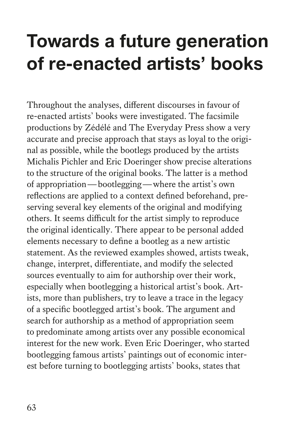# **Towards a future generation of re-enacted artists' books**

Throughout the analyses, different discourses in favour of re-enacted artists' books were investigated. The facsimile productions by Zédélé and The Everyday Press show a very accurate and precise approach that stays as loyal to the original as possible, while the bootlegs produced by the artists Michalis Pichler and Eric Doeringer show precise alterations to the structure of the original books. The latter is a method of appropriation—bootlegging—where the artist's own reflections are applied to a context defined beforehand, preserving several key elements of the original and modifying others. It seems difficult for the artist simply to reproduce the original identically. There appear to be personal added elements necessary to define a bootleg as a new artistic statement. As the reviewed examples showed, artists tweak, change, interpret, differentiate, and modify the selected sources eventually to aim for authorship over their work, especially when bootlegging a historical artist's book. Artists, more than publishers, try to leave a trace in the legacy of a specific bootlegged artist's book. The argument and search for authorship as a method of appropriation seem to predominate among artists over any possible economical interest for the new work. Even Eric Doeringer, who started bootlegging famous artists' paintings out of economic interest before turning to bootlegging artists' books, states that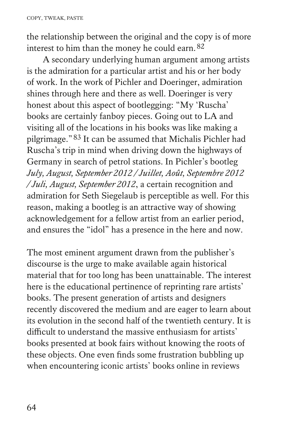the relationship between the original and the copy is of more interest to him than the money he could earn.<sup>82</sup>

A secondary underlying human argument among artists is the admiration for a particular artist and his or her body of work. In the work of Pichler and Doeringer, admiration shines through here and there as well. Doeringer is very honest about this aspect of bootlegging: "My 'Ruscha' books are certainly fanboy pieces. Going out to LA and visiting all of the locations in his books was like making a pilgrimage."83 It can be assumed that Michalis Pichler had Ruscha's trip in mind when driving down the highways of Germany in search of petrol stations. In Pichler's bootleg *July, August, September 2012 / Juillet, Août, Septembre 2012 / Juli, August, September 2012*, a certain recognition and admiration for Seth Siegelaub is perceptible as well. For this reason, making a bootleg is an attractive way of showing acknowledgement for a fellow artist from an earlier period, and ensures the "idol" has a presence in the here and now.

The most eminent argument drawn from the publisher's discourse is the urge to make available again historical material that for too long has been unattainable. The interest here is the educational pertinence of reprinting rare artists' books. The present generation of artists and designers recently discovered the medium and are eager to learn about its evolution in the second half of the twentieth century. It is difficult to understand the massive enthusiasm for artists' books presented at book fairs without knowing the roots of these objects. One even finds some frustration bubbling up when encountering iconic artists' books online in reviews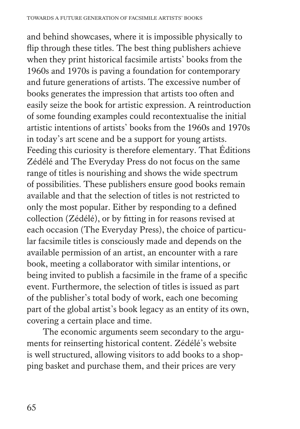and behind showcases, where it is impossible physically to flip through these titles. The best thing publishers achieve when they print historical facsimile artists' books from the 1960s and 1970s is paving a foundation for contemporary and future generations of artists. The excessive number of books generates the impression that artists too often and easily seize the book for artistic expression. A reintroduction of some founding examples could recontextualise the initial artistic intentions of artists' books from the 1960s and 1970s in today's art scene and be a support for young artists. Feeding this curiosity is therefore elementary. That Éditions Zédélé and The Everyday Press do not focus on the same range of titles is nourishing and shows the wide spectrum of possibilities. These publishers ensure good books remain available and that the selection of titles is not restricted to only the most popular. Either by responding to a defined collection (Zédélé), or by fitting in for reasons revised at each occasion (The Everyday Press), the choice of particular facsimile titles is consciously made and depends on the available permission of an artist, an encounter with a rare book, meeting a collaborator with similar intentions, or being invited to publish a facsimile in the frame of a specific event. Furthermore, the selection of titles is issued as part of the publisher's total body of work, each one becoming part of the global artist's book legacy as an entity of its own, covering a certain place and time.

The economic arguments seem secondary to the arguments for reinserting historical content. Zédélé's website is well structured, allowing visitors to add books to a shopping basket and purchase them, and their prices are very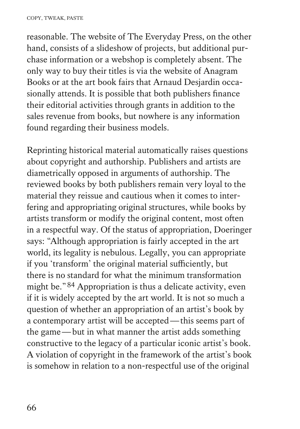reasonable. The website of The Everyday Press, on the other hand, consists of a slideshow of projects, but additional purchase information or a webshop is completely absent. The only way to buy their titles is via the website of Anagram Books or at the art book fairs that Arnaud Desjardin occasionally attends. It is possible that both publishers finance their editorial activities through grants in addition to the sales revenue from books, but nowhere is any information found regarding their business models.

Reprinting historical material automatically raises questions about copyright and authorship. Publishers and artists are diametrically opposed in arguments of authorship. The reviewed books by both publishers remain very loyal to the material they reissue and cautious when it comes to interfering and appropriating original structures, while books by artists transform or modify the original content, most often in a respectful way. Of the status of appropriation, Doeringer says: "Although appropriation is fairly accepted in the art world, its legality is nebulous. Legally, you can appropriate if you 'transform' the original material sufficiently, but there is no standard for what the minimum transformation might be."84 Appropriation is thus a delicate activity, even if it is widely accepted by the art world. It is not so much a question of whether an appropriation of an artist's book by a contemporary artist will be accepted—this seems part of the game—but in what manner the artist adds something constructive to the legacy of a particular iconic artist's book. A violation of copyright in the framework of the artist's book is somehow in relation to a non-respectful use of the original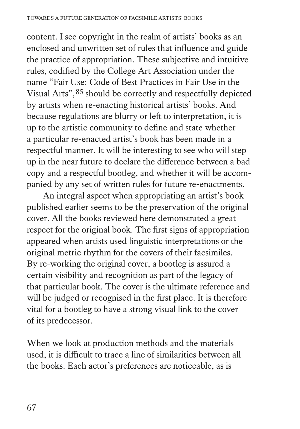content. I see copyright in the realm of artists' books as an enclosed and unwritten set of rules that influence and guide the practice of appropriation. These subjective and intuitive rules, codified by the College Art Association under the name "Fair Use: Code of Best Practices in Fair Use in the Visual Arts",85 should be correctly and respectfully depicted by artists when re-enacting historical artists' books. And because regulations are blurry or left to interpretation, it is up to the artistic community to define and state whether a particular re-enacted artist's book has been made in a respectful manner. It will be interesting to see who will step up in the near future to declare the difference between a bad copy and a respectful bootleg, and whether it will be accompanied by any set of written rules for future re-enactments.

An integral aspect when appropriating an artist's book published earlier seems to be the preservation of the original cover. All the books reviewed here demonstrated a great respect for the original book. The first signs of appropriation appeared when artists used linguistic interpretations or the original metric rhythm for the covers of their facsimiles. By re-working the original cover, a bootleg is assured a certain visibility and recognition as part of the legacy of that particular book. The cover is the ultimate reference and will be judged or recognised in the first place. It is therefore vital for a bootleg to have a strong visual link to the cover of its predecessor.

When we look at production methods and the materials used, it is difficult to trace a line of similarities between all the books. Each actor's preferences are noticeable, as is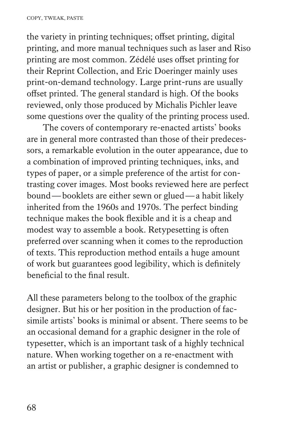the variety in printing techniques; offset printing, digital printing, and more manual techniques such as laser and Riso printing are most common. Zédélé uses offset printing for their Reprint Collection, and Eric Doeringer mainly uses print-on-demand technology. Large print-runs are usually offset printed. The general standard is high. Of the books reviewed, only those produced by Michalis Pichler leave some questions over the quality of the printing process used.

The covers of contemporary re-enacted artists' books are in general more contrasted than those of their predecessors, a remarkable evolution in the outer appearance, due to a combination of improved printing techniques, inks, and types of paper, or a simple preference of the artist for contrasting cover images. Most books reviewed here are perfect bound—booklets are either sewn or glued—a habit likely inherited from the 1960s and 1970s. The perfect binding technique makes the book flexible and it is a cheap and modest way to assemble a book. Retypesetting is often preferred over scanning when it comes to the reproduction of texts. This reproduction method entails a huge amount of work but guarantees good legibility, which is definitely beneficial to the final result.

All these parameters belong to the toolbox of the graphic designer. But his or her position in the production of facsimile artists' books is minimal or absent. There seems to be an occasional demand for a graphic designer in the role of typesetter, which is an important task of a highly technical nature. When working together on a re-enactment with an artist or publisher, a graphic designer is condemned to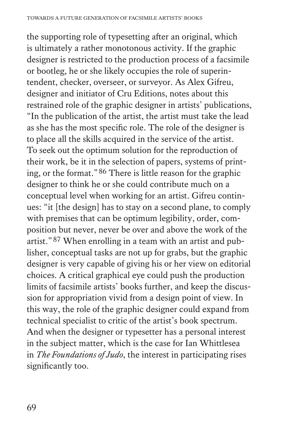the supporting role of typesetting after an original, which is ultimately a rather monotonous activity. If the graphic designer is restricted to the production process of a facsimile or bootleg, he or she likely occupies the role of superintendent, checker, overseer, or surveyor. As Alex Gifreu, designer and initiator of Cru Editions, notes about this restrained role of the graphic designer in artists' publications, "In the publication of the artist, the artist must take the lead as she has the most specific role. The role of the designer is to place all the skills acquired in the service of the artist. To seek out the optimum solution for the reproduction of their work, be it in the selection of papers, systems of printing, or the format."86 There is little reason for the graphic designer to think he or she could contribute much on a conceptual level when working for an artist. Gifreu continues: "it [the design] has to stay on a second plane, to comply with premises that can be optimum legibility, order, composition but never, never be over and above the work of the artist."87 When enrolling in a team with an artist and publisher, conceptual tasks are not up for grabs, but the graphic designer is very capable of giving his or her view on editorial choices. A critical graphical eye could push the production limits of facsimile artists' books further, and keep the discussion for appropriation vivid from a design point of view. In this way, the role of the graphic designer could expand from technical specialist to critic of the artist's book spectrum. And when the designer or typesetter has a personal interest in the subject matter, which is the case for Ian Whittlesea in *The Foundations of Judo*, the interest in participating rises significantly too.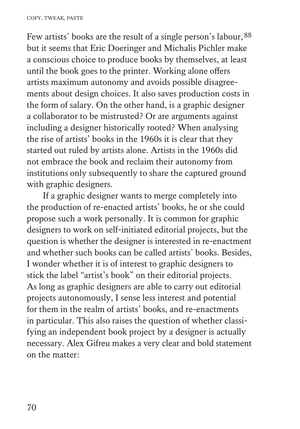Few artists' books are the result of a single person's labour,  $88$ but it seems that Eric Doeringer and Michalis Pichler make a conscious choice to produce books by themselves, at least until the book goes to the printer. Working alone offers artists maximum autonomy and avoids possible disagreements about design choices. It also saves production costs in the form of salary. On the other hand, is a graphic designer a collaborator to be mistrusted? Or are arguments against including a designer historically rooted? When analysing the rise of artists' books in the 1960s it is clear that they started out ruled by artists alone. Artists in the 1960s did not embrace the book and reclaim their autonomy from institutions only subsequently to share the captured ground with graphic designers.

If a graphic designer wants to merge completely into the production of re-enacted artists' books, he or she could propose such a work personally. It is common for graphic designers to work on self-initiated editorial projects, but the question is whether the designer is interested in re-enactment and whether such books can be called artists' books. Besides, I wonder whether it is of interest to graphic designers to stick the label "artist's book" on their editorial projects. As long as graphic designers are able to carry out editorial projects autonomously, I sense less interest and potential for them in the realm of artists' books, and re-enactments in particular. This also raises the question of whether classifying an independent book project by a designer is actually necessary. Alex Gifreu makes a very clear and bold statement on the matter: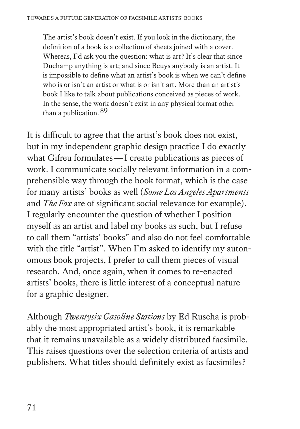The artist's book doesn't exist. If you look in the dictionary, the definition of a book is a collection of sheets joined with a cover. Whereas, I'd ask you the question: what is art? It's clear that since Duchamp anything is art; and since Beuys anybody is an artist. It is impossible to define what an artist's book is when we can't define who is or isn't an artist or what is or isn't art. More than an artist's book I like to talk about publications conceived as pieces of work. In the sense, the work doesn't exist in any physical format other than a publication.89

It is difficult to agree that the artist's book does not exist, but in my independent graphic design practice I do exactly what Gifreu formulates—I create publications as pieces of work. I communicate socially relevant information in a comprehensible way through the book format, which is the case for many artists' books as well (*Some Los Angeles Apartments* and *The Fox* are of significant social relevance for example). I regularly encounter the question of whether I position myself as an artist and label my books as such, but I refuse to call them "artists' books" and also do not feel comfortable with the title "artist". When I'm asked to identify my autonomous book projects, I prefer to call them pieces of visual research. And, once again, when it comes to re-enacted artists' books, there is little interest of a conceptual nature for a graphic designer.

Although *Twentysix Gasoline Stations* by Ed Ruscha is probably the most appropriated artist's book, it is remarkable that it remains unavailable as a widely distributed facsimile. This raises questions over the selection criteria of artists and publishers. What titles should definitely exist as facsimiles?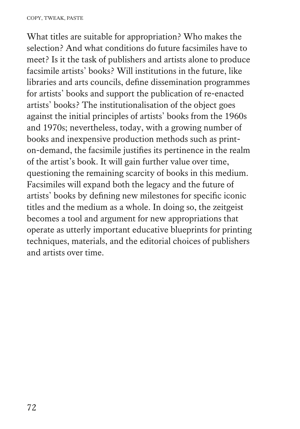What titles are suitable for appropriation? Who makes the selection? And what conditions do future facsimiles have to meet? Is it the task of publishers and artists alone to produce facsimile artists' books? Will institutions in the future, like libraries and arts councils, define dissemination programmes for artists' books and support the publication of re-enacted artists' books? The institutionalisation of the object goes against the initial principles of artists' books from the 1960s and 1970s; nevertheless, today, with a growing number of books and inexpensive production methods such as printon-demand, the facsimile justifies its pertinence in the realm of the artist's book. It will gain further value over time, questioning the remaining scarcity of books in this medium. Facsimiles will expand both the legacy and the future of artists' books by defining new milestones for specific iconic titles and the medium as a whole. In doing so, the zeitgeist becomes a tool and argument for new appropriations that operate as utterly important educative blueprints for printing techniques, materials, and the editorial choices of publishers and artists over time.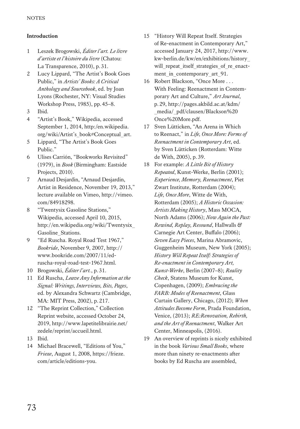# **Introduction**

- 1 Leszek Brogowski, *Éditer l'art. Le livre d'artiste et l'histoire du livre* (Chatou: La Transparence, 2010), p.31.
- 2 Lucy Lippard, "The Artist's Book Goes Public," in *Artists' Books: A Critical Anthology and Sourcebook*, ed. by Joan Lyons (Rochester, NY: Visual Studies Workshop Press, 1985), pp.45–8.
- 3 Ibid.
- 4 "Artist's Book," Wikipedia, accessed September 1, 2014, http:/en.wikipedia. org/wiki/Artist's\_book#Conceptual\_art.
- 5 Lippard, "The Artist's Book Goes Public."
- 6 Ulises Carrión, "Bookworks Revisited" (1979), in *Book* (Birmingham: Eastside Projects, 2010).
- 7 Arnaud Desjardin, "Arnaud Desjardin, Artist in Residence, November 19, 2013," lecture available on Vimeo, http://vimeo. com/84918298.
- 8 "Twentysix Gasoline Stations," Wikipedia, accessed April 10, 2015, http://en.wikipedia.org/wiki/Twentysix\_ Gasoline\_Stations.
- 9 "Ed Ruscha. Royal Road Test 1967," *Bookride*, November 9, 2007, http:// www.bookride.com/2007/11/edruscha-royal-road-test-1967.html.
- 10 Brogowski, *Éditer l'art.*, p.31.
- 11 Ed Ruscha, *Leave Any Information at the Signal: Writings, Interviews, Bits, Pages*, ed. by Alexandra Schwartz (Cambridge, MA: MIT Press, 2002), p.217.
- 12 "The Reprint Collection," Collection Reprint website, accessed October 24, 2019, http://www.lapetitelibrairie.net/ zedele/reprint/accueil.html.
- 13 Ibid.
- 14 Michael Bracewell, "Editions of You," *Frieze*, August 1, 2008, https://frieze. com/article/editions-you.
- 15 "History Will Repeat Itself. Strategies of Re-enactment in Contemporary Art," accessed January 24, 2017, http://www. kw-berlin.de/kw/en/exhibitions/history\_ will repeat itself strategies of re enactment\_in\_contemporary\_art\_91.
- 16 Robert Blackson, "Once More . . . With Feeling: Reenactment in Contemporary Art and Culture," *Art Journal*, p.29, http://pages.akbild.ac.at/kdm/ \_media/\_pdf/clausen/Blackson%20 Once%20More.pdf.
- 17 Sven Lütticken, "An Arena in Which to Reenact," in *Life, Once More: Forms of Reenactment in Contemporary Art*, ed. by Sven Lütticken (Rotterdam: Witte de With, 2005), p.39.
- 18 For example: *A Little Bit of History Repeated*, Kunst-Werke, Berlin (2001); *Experience, Memory, Reenactment*, Piet Zwart Institute, Rotterdam (2004); *Life, Once More*, Witte de With, Rotterdam (2005); *A Historic Occasion: Artists Making History*, Mass MOCA, North Adams (2006); *Now Again the Past: Rewind, Replay, Resound*, Hallwalls & Carnegie Art Center, Buffalo (2006); *Seven Easy Pieces*, Marina Abramovic, Guggenheim Museum, New York (2005); *History Will Repeat Itself: Strategies of Re-enactment in Contemporary Art, Kunst-Werke*, Berlin (2007–8); *Reality Check*, Statens Museum for Kunst, Copenhagen, (2009); *Embracing the FARB: Modes of Reenactment*, Glass Curtain Gallery, Chicago, (2012); *When Attitudes Become Form*, Prada Foundation, Venice, (2013); *RE:Renovation, Rebirth, and the Art of Reenactment*, Walker Art Center, Minneapolis, (2016).
- 19 An overview of reprints is nicely exhibited in the book *Various Small Books*, where more than ninety re-enactments after books by Ed Ruscha are assembled,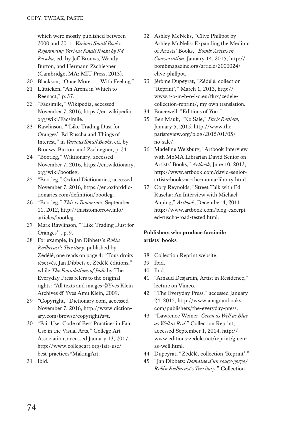which were mostly published between 2000 and 2011. *Various Small Books: Referencing Various Small Books by Ed Ruscha*, ed. by Jeff Brouws, Wendy Burton, and Hermann Zschiegner (Cambridge, MA: MIT Press, 2013).

- 20 Blackson, "Once More . . . With Feeling."
- 21 Lütticken, "An Arena in Which to Reenact," p.57.
- 22 "Facsimile," Wikipedia, accessed November 7, 2016, https://en.wikipedia. org/wiki/Facsimile.
- 23 Rawlinson, "'Like Trading Dust for Oranges': Ed Ruscha and Things of Interest," in *Various Small Books*, ed. by Brouws, Burton, and Zschiegner, p.24.
- 24 "Bootleg," Wiktionary, accessed November 7, 2016, https://en.wiktionary. org/wiki/bootleg.
- 25 "Bootleg," Oxford Dictionaries, accessed November 7, 2016, https://en.oxforddictionaries.com/definition/bootleg.
- 26 "Bootleg," *This is Tomorrow*, September 11, 2012, http://thisistomorrow.info/ articles/bootleg.
- 27 Mark Rawlinson, "'Like Trading Dust for Oranges'", p.9.
- 28 For example, in Jan Dibbets's *Robin Redbreast's Territory*, published by Zédélé, one reads on page 4: "Tous droits réservés, Jan Dibbets et Zédélé éditions," while *The Foundations of Judo* by The Everyday Press refers to the original rights: "All texts and images ©Yves Klein Archives & Yves Amu Klein, 2009."
- 29 "Copyright," Dictionary.com, accessed November 7, 2016, http://www.dictionary.com/browse/copyright?s=t.
- 30 "Fair Use: Code of Best Practices in Fair Use in the Visual Arts," College Art Association, accessed January 13, 2017, http://www.collegeart.org/fair-use/ best-practices#MakingArt.
- 31 Ibid.
- 32 Ashley McNelis, "Clive Phillpot by Ashley McNelis: Expanding the Medium of Artists' Books," *Bomb: Artists in Conversation*, January 14, 2015, http:// bombmagazine.org/article/2000024/ clive-phillpot.
- 33 Jérôme Dupeyrat, "Zédélé, collection 'Reprint'," March 1, 2013, http:// www.t-o-m-b-o-l-o.eu/flux/zedelecollection-reprint/, my own translation.
- 34 Bracewell, "Editions of You."
- 35 Ben Mauk, "No Sale," *Paris Review*, January 5, 2015, http://www.the parisreview.org/blog/2015/01/05/ no-sale/.
- 36 Madeline Weisburg, "Artbook Interview with MoMA Librarian David Senior on Artists' Books," *Artbook*, June 10, 2013, http://www.artbook.com/david-seniorartists-books-at-the-moma-library.html.
- 37 Cory Reynolds, "Street Talk with Ed Ruscha: An Interview with Michael Auping," *Artbook*, December 4, 2011, http://www.artbook.com/blog-excerpted-ruscha-road-tested.html.

### **Publishers who produce facsimile artists' books**

- 38 Collection Reprint website.
- 39 Ibid.
- 40 Ibid.
- 41 "Arnaud Desjardin, Artist in Residence," lecture on Vimeo.
- 42 "The Everyday Press," accessed January 24, 2015, http://www.anagrambooks. com/publishers/the-everyday-press.
- 43 "Lawrence Weiner: *Green as Well as Blue as Well as Red*," Collection Reprint, accessed September 1, 2014, http:// www.editions-zedele.net/reprint/greenas-well.html.
- 44 Dupeyrat, "Zédélé, collection 'Reprint'."
- 45 "Jan Dibbets: *Domaine d'un rouge-gorge/ Robin Redbreast's Territory*," Collection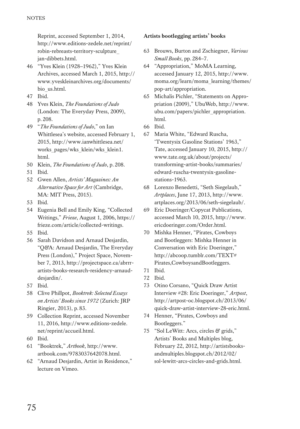Reprint, accessed September 1, 2014, http://www.editions-zedele.net/reprint/ robin-rebreasts-territory-sculpture\_ jan-dibbets.html.

- 46 "Yves Klein (1928–1962)," Yves Klein Archives, accessed March 1, 2015, http:// www.yveskleinarchives.org/documents/ bio\_us.html.
- 47 Ibid.
- 48 Yves Klein, *The Foundations of Judo* (London: The Everyday Press, 2009), p.208.
- 49 "*The Foundations of Judo*," on Ian Whittlesea's website, accessed February 1, 2015, http://www.ianwhittlesea.net/ works\_pages/wks\_klein/wks\_klein1. html.
- 50 Klein, *The Foundations of Judo*, p.208.
- 51 Ibid.
- 52 Gwen Allen, *Artists' Magazines: An Alternative Space for Art* (Cambridge, MA: MIT Press, 2015).
- 53 Ibid.
- 54 Eugenia Bell and Emily King, "Collected Writings," *Frieze*, August 1, 2006, https:// frieze.com/article/collected-writings.
- 55 Ibid.
- 56 Sarah Davidson and Arnaud Desjardin, "Q&A: Arnaud Desjardin, The Everyday Press (London)," Project Space, November 7, 2013, http://projectspace.ca/abrrrartists-books-research-residency-arnauddesjardin/.
- 57 Ibid.
- 58 Clive Phillpot, *Booktrek: Selected Essays on Artists' Books since 1972* (Zurich: JRP Ringier, 2013), p.83.
- 59 Collection Reprint, accessed November 11, 2016, http://www.editions-zedele. net/reprint/accueil.html.
- 60 Ibid.
- 61 "Booktrek," *Artbook*, http://www. artbook.com/9783037642078.html.
- 62 "Arnaud Desjardin, Artist in Residence," lecture on Vimeo.

## **Artists bootlegging artists' books**

- 63 Brouws, Burton and Zschiegner, *Various Small Books*, pp.284–7.
- 64 "Appropriation," MoMA Learning, accessed January 12, 2015, http://www. moma.org/learn/moma\_learning/themes/ pop-art/appropriation.
- 65 Michalis Pichler, "Statements on Appropriation (2009)," UbuWeb, http://www. ubu.com/papers/pichler\_appropriation. html.
- 66 Ibid.
- 67 Maria White, "Edward Ruscha, 'Twentysix Gasoline Stations' 1963," Tate, accessed January 10, 2015, http:// www.tate.org.uk/about/projects/ transforming-artist-books/summaries/ edward-ruscha-twentysix-gasolinestations-1963.
- 68 Lorenzo Benedetti, "Seth Siegelaub," *Artplaces*, June 17, 2013, http://www. artplaces.org/2013/06/seth-siegelaub/.
- 69 Eric Doeringer/Copycat Publications, accessed March 10, 2015, http://www. ericdoeringer.com/Order.html.
- 70 Mishka Henner, "Pirates, Cowboys and Bootleggers: Mishka Henner in Conversation with Eric Doeringer," http://abcoop.tumblr.com/TEXT# Pirates,CowboysandBootleggers.
- 71 Ibid.
- 72 Ibid.
- 73 Otino Corsano, "Quick Draw Artist Interview #28: Eric Doeringer," *Artpost*, http://artpost-oc.blogspot.ch/2013/06/ quick-draw-artist-interview-28-eric.html.
- 74 Henner, "Pirates, Cowboys and Bootleggers."
- 75 "Sol LeWitt: Arcs, circles & grids," Artists' Books and Multiples blog, February 22, 2012, http://artistsbooksandmultiples.blogspot.ch/2012/02/ sol-lewitt-arcs-circles-and-grids.html.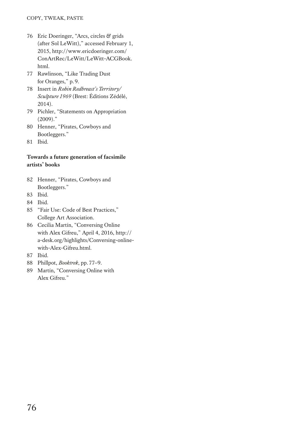- 76 Eric Doeringer, "Arcs, circles & grids (after Sol LeWitt)," accessed February 1, 2015, http://www.ericdoeringer.com/ ConArtRec/LeWitt/LeWitt-ACGBook. html.
- 77 Rawlinson, "Like Trading Dust for Oranges," p.9.
- 78 Insert in *Robin Redbreast's Territory/ Sculpture 1969* (Brest: Éditions Zédélé, 2014).
- 79 Pichler, "Statements on Appropriation (2009)."
- 80 Henner, "Pirates, Cowboys and Bootleggers."
- 81 Ibid.

### **Towards a future generation of facsimile artists' books**

- 82 Henner, "Pirates, Cowboys and Bootleggers."
- 83 Ibid.
- 84 Ibid.
- 85 "Fair Use: Code of Best Practices," College Art Association.
- 86 Cecilia Martín, "Conversing Online with Alex Gifreu," April 4, 2016, http:// a-desk.org/highlights/Conversing-onlinewith-Alex-Gifreu.html.
- 87 Ibid.
- 88 Phillpot, *Booktrek*, pp.77–9.
- 89 Martín, "Conversing Online with Alex Gifreu."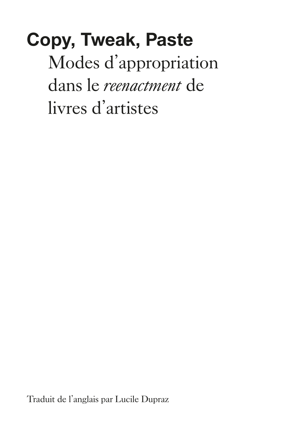**Copy, Tweak, Paste** Modes d'appropriation dans le *reenactment* de livres d'artistes

Traduit de l'anglais par Lucile Dupraz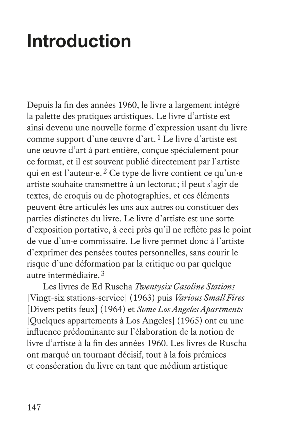# **Introduction**

Depuis la fin des années 1960, le livre a largement intégré la palette des pratiques artistiques. Le livre d'artiste est ainsi devenu une nouvelle forme d'expression usant du livre comme support d'une œuvre d'art.1 Le livre d'artiste est une œuvre d'art à part entière, conçue spécialement pour ce format, et il est souvent publié directement par l'artiste qui en est l'auteur·e.2 Ce type de livre contient ce qu'un·e artiste souhaite transmettre à un lectorat; il peut s'agir de textes, de croquis ou de photographies, et ces éléments peuvent être articulés les uns aux autres ou constituer des parties distinctes du livre. Le livre d'artiste est une sorte d'exposition portative, à ceci près qu'il ne reflète pas le point de vue d'un·e commissaire. Le livre permet donc à l'artiste d'exprimer des pensées toutes personnelles, sans courir le risque d'une déformation par la critique ou par quelque autre intermédiaire.3

Les livres de Ed Ruscha *Twentysix Gasoline Stations* [Vingt-six stations-service] (1963) puis *Various Small Fires* [Divers petits feux] (1964) et *Some Los Angeles Apartments* [Quelques appartements à Los Angeles] (1965) ont eu une influence prédominante sur l'élaboration de la notion de livre d'artiste à la fin des années 1960. Les livres de Ruscha ont marqué un tournant décisif, tout à la fois prémices et consécration du livre en tant que médium artistique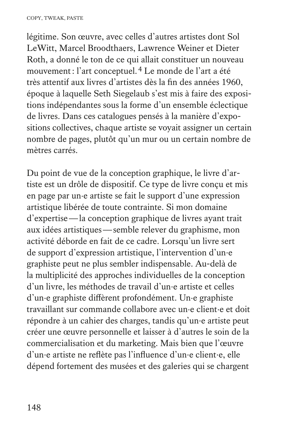légitime. Son œuvre, avec celles d'autres artistes dont Sol LeWitt, Marcel Broodthaers, Lawrence Weiner et Dieter Roth, a donné le ton de ce qui allait constituer un nouveau mouvement: l'art conceptuel.4 Le monde de l'art a été très attentif aux livres d'artistes dès la fin des années 1960, époque à laquelle Seth Siegelaub s'est mis à faire des expositions indépendantes sous la forme d'un ensemble éclectique de livres. Dans ces catalogues pensés à la manière d'expositions collectives, chaque artiste se voyait assigner un certain nombre de pages, plutôt qu'un mur ou un certain nombre de mètres carrés.

Du point de vue de la conception graphique, le livre d'artiste est un drôle de dispositif. Ce type de livre conçu et mis en page par un·e artiste se fait le support d'une expression artistique libérée de toute contrainte. Si mon domaine d'expertise—la conception graphique de livres ayant trait aux idées artistiques—semble relever du graphisme, mon activité déborde en fait de ce cadre. Lorsqu'un livre sert de support d'expression artistique, l'intervention d'un·e graphiste peut ne plus sembler indispensable. Au-delà de la multiplicité des approches individuelles de la conception d'un livre, les méthodes de travail d'un·e artiste et celles d'un·e graphiste diffèrent profondément. Un·e graphiste travaillant sur commande collabore avec un·e client·e et doit répondre à un cahier des charges, tandis qu'un·e artiste peut créer une œuvre personnelle et laisser à d'autres le soin de la commercialisation et du marketing. Mais bien que l'œuvre d'un·e artiste ne reflète pas l'influence d'un·e client·e, elle dépend fortement des musées et des galeries qui se chargent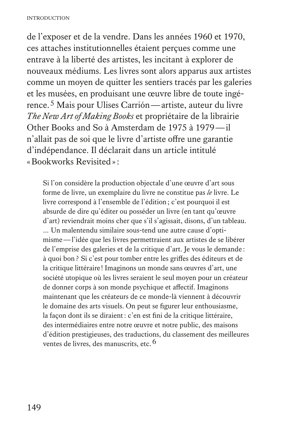de l'exposer et de la vendre. Dans les années 1960 et 1970, ces attaches institutionnelles étaient perçues comme une entrave à la liberté des artistes, les incitant à explorer de nouveaux médiums. Les livres sont alors apparus aux artistes comme un moyen de quitter les sentiers tracés par les galeries et les musées, en produisant une œuvre libre de toute ingérence.5 Mais pour Ulises Carrión—artiste, auteur du livre *The New Art of Making Books* et propriétaire de la librairie Other Books and So à Amsterdam de 1975 à 1979—il n'allait pas de soi que le livre d'artiste offre une garantie d'indépendance. Il déclarait dans un article intitulé «Bookworks Revisited»:

 Si l'on considère la production objectale d'une œuvre d'art sous forme de livre, un exemplaire du livre ne constitue pas *le* livre. Le livre correspond à l'ensemble de l'édition; c'est pourquoi il est absurde de dire qu'éditer ou posséder un livre (en tant qu'œuvre d'art) reviendrait moins cher que s'il s'agissait, disons, d'un tableau. … Un malentendu similaire sous-tend une autre cause d'optimisme—l'idée que les livres permettraient aux artistes de se libérer de l'emprise des galeries et de la critique d'art. Je vous le demande : à quoi bon? Si c'est pour tomber entre les griffes des éditeurs et de la critique littéraire ! Imaginons un monde sans œuvres d'art, une société utopique où les livres seraient le seul moyen pour un créateur de donner corps à son monde psychique et affectif. Imaginons maintenant que les créateurs de ce monde-là viennent à découvrir le domaine des arts visuels. On peut se figurer leur enthousiasme, la façon dont ils se diraient: c'en est fini de la critique littéraire, des intermédiaires entre notre œuvre et notre public, des maisons d'édition prestigieuses, des traductions, du classement des meilleures ventes de livres, des manuscrits, etc.<sup>6</sup>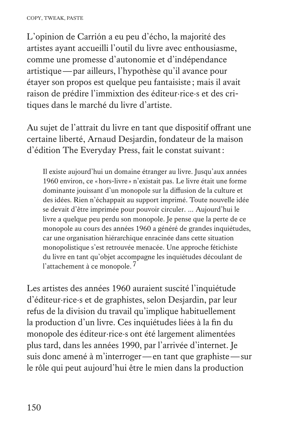L'opinion de Carrión a eu peu d'écho, la majorité des artistes ayant accueilli l'outil du livre avec enthousiasme, comme une promesse d'autonomie et d'indépendance artistique—par ailleurs, l'hypothèse qu'il avance pour étayer son propos est quelque peu fantaisiste ; mais il avait raison de prédire l'immixtion des éditeur·rice·s et des critiques dans le marché du livre d'artiste.

Au sujet de l'attrait du livre en tant que dispositif offrant une certaine liberté, Arnaud Desjardin, fondateur de la maison d'édition The Everyday Press, fait le constat suivant:

 Il existe aujourd'hui un domaine étranger au livre. Jusqu'aux années 1960 environ, ce «hors-livre » n'existait pas. Le livre était une forme dominante jouissant d'un monopole sur la diffusion de la culture et des idées. Rien n'échappait au support imprimé. Toute nouvelle idée se devait d'être imprimée pour pouvoir circuler. … Aujourd'hui le livre a quelque peu perdu son monopole. Je pense que la perte de ce monopole au cours des années 1960 a généré de grandes inquiétudes, car une organisation hiérarchique enracinée dans cette situation monopolistique s'est retrouvée menacée. Une approche fétichiste du livre en tant qu'objet accompagne les inquiétudes découlant de l'attachement à ce monopole.7

Les artistes des années 1960 auraient suscité l'inquiétude d'éditeur·rice·s et de graphistes, selon Desjardin, par leur refus de la division du travail qu'implique habituellement la production d'un livre. Ces inquiétudes liées à la fin du monopole des éditeur·rice·s ont été largement alimentées plus tard, dans les années 1990, par l'arrivée d'internet. Je suis donc amené à m'interroger—en tant que graphiste—sur le rôle qui peut aujourd'hui être le mien dans la production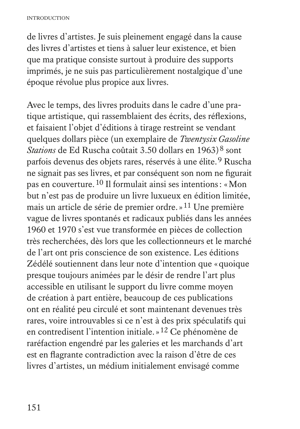de livres d'artistes. Je suis pleinement engagé dans la cause des livres d'artistes et tiens à saluer leur existence, et bien que ma pratique consiste surtout à produire des supports imprimés, je ne suis pas particulièrement nostalgique d'une époque révolue plus propice aux livres.

Avec le temps, des livres produits dans le cadre d'une pratique artistique, qui rassemblaient des écrits, des réflexions, et faisaient l'objet d'éditions à tirage restreint se vendant quelques dollars pièce (un exemplaire de *Twentysix Gasoline Stations* de Ed Ruscha coûtait 3.50 dollars en 1963)<sup>8</sup> sont parfois devenus des objets rares, réservés à une élite.9 Ruscha ne signait pas ses livres, et par conséquent son nom ne figurait pas en couverture.10 Il formulait ainsi ses intentions: «Mon but n'est pas de produire un livre luxueux en édition limitée, mais un article de série de premier ordre.»11 Une première vague de livres spontanés et radicaux publiés dans les années 1960 et 1970 s'est vue transformée en pièces de collection très recherchées, dès lors que les collectionneurs et le marché de l'art ont pris conscience de son existence. Les éditions Zédélé soutiennent dans leur note d'intention que «quoique presque toujours animées par le désir de rendre l'art plus accessible en utilisant le support du livre comme moyen de création à part entière, beaucoup de ces publications ont en réalité peu circulé et sont maintenant devenues très rares, voire introuvables si ce n'est à des prix spéculatifs qui en contredisent l'intention initiale.»12 Ce phénomène de raréfaction engendré par les galeries et les marchands d'art est en flagrante contradiction avec la raison d'être de ces livres d'artistes, un médium initialement envisagé comme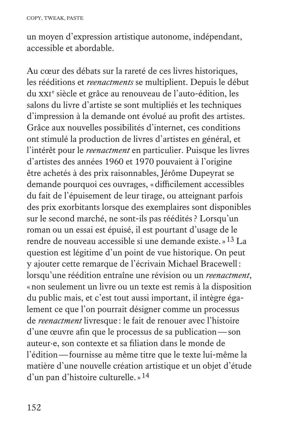un moyen d'expression artistique autonome, indépendant, accessible et abordable.

Au cœur des débats sur la rareté de ces livres historiques, les rééditions et *reenactments* se multiplient. Depuis le début du xxi<sup>e</sup> siècle et grâce au renouveau de l'auto-édition, les salons du livre d'artiste se sont multipliés et les techniques d'impression à la demande ont évolué au profit des artistes. Grâce aux nouvelles possibilités d'internet, ces conditions ont stimulé la production de livres d'artistes en général, et l'intérêt pour le *reenactment* en particulier. Puisque les livres d'artistes des années 1960 et 1970 pouvaient à l'origine être achetés à des prix raisonnables, Jérôme Dupeyrat se demande pourquoi ces ouvrages, «difficilement accessibles du fait de l'épuisement de leur tirage, ou atteignant parfois des prix exorbitants lorsque des exemplaires sont disponibles sur le second marché, ne sont-ils pas réédités ? Lorsqu'un roman ou un essai est épuisé, il est pourtant d'usage de le rendre de nouveau accessible si une demande existe.»13 La question est légitime d'un point de vue historique. On peut y ajouter cette remarque de l'écrivain Michael Bracewell: lorsqu'une réédition entraîne une révision ou un *reenactment*, «non seulement un livre ou un texte est remis à la disposition du public mais, et c'est tout aussi important, il intègre également ce que l'on pourrait désigner comme un processus de *reenactment* livresque : le fait de renouer avec l'histoire d'une œuvre afin que le processus de sa publication—son auteur·e, son contexte et sa filiation dans le monde de l'édition—fournisse au même titre que le texte lui-même la matière d'une nouvelle création artistique et un objet d'étude d'un pan d'histoire culturelle.»14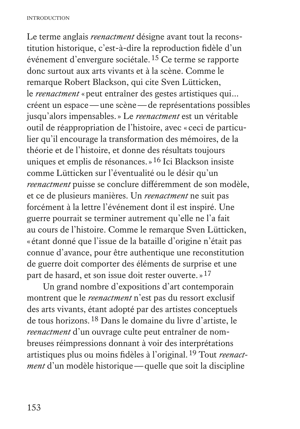Le terme anglais *reenactment* désigne avant tout la reconstitution historique, c'est-à-dire la reproduction fidèle d'un événement d'envergure sociétale.15 Ce terme se rapporte donc surtout aux arts vivants et à la scène. Comme le remarque Robert Blackson, qui cite Sven Lütticken, le *reenactment* «peut entraîner des gestes artistiques qui… créent un espace—une scène—de représentations possibles jusqu'alors impensables.» Le *reenactment* est un véritable outil de réappropriation de l'histoire, avec « ceci de particulier qu'il encourage la transformation des mémoires, de la théorie et de l'histoire, et donne des résultats toujours uniques et emplis de résonances.»16 Ici Blackson insiste comme Lütticken sur l'éventualité ou le désir qu'un *reenactment* puisse se conclure différemment de son modèle, et ce de plusieurs manières. Un *reenactment* ne suit pas forcément à la lettre l'événement dont il est inspiré. Une guerre pourrait se terminer autrement qu'elle ne l'a fait au cours de l'histoire. Comme le remarque Sven Lütticken, « étant donné que l'issue de la bataille d'origine n'était pas connue d'avance, pour être authentique une reconstitution de guerre doit comporter des éléments de surprise et une part de hasard, et son issue doit rester ouverte.»<sup>17</sup>

Un grand nombre d'expositions d'art contemporain montrent que le *reenactment* n'est pas du ressort exclusif des arts vivants, étant adopté par des artistes conceptuels de tous horizons.18 Dans le domaine du livre d'artiste, le *reenactment* d'un ouvrage culte peut entraîner de nombreuses réimpressions donnant à voir des interprétations artistiques plus ou moins fidèles à l'original.19 Tout *reenactment* d'un modèle historique—quelle que soit la discipline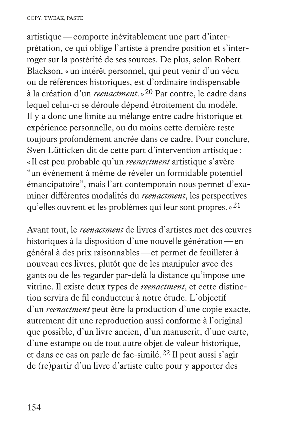artistique—comporte inévitablement une part d'interprétation, ce qui oblige l'artiste à prendre position et s'interroger sur la postérité de ses sources. De plus, selon Robert Blackson, «un intérêt personnel, qui peut venir d'un vécu ou de références historiques, est d'ordinaire indispensable à la création d'un *reenactment*.»20 Par contre, le cadre dans lequel celui-ci se déroule dépend étroitement du modèle. Il y a donc une limite au mélange entre cadre historique et expérience personnelle, ou du moins cette dernière reste toujours profondément ancrée dans ce cadre. Pour conclure, Sven Lütticken dit de cette part d'intervention artistique : «Il est peu probable qu'un *reenactment* artistique s'avère "un événement à même de révéler un formidable potentiel émancipatoire", mais l'art contemporain nous permet d'examiner différentes modalités du *reenactment*, les perspectives qu'elles ouvrent et les problèmes qui leur sont propres.»21

Avant tout, le *reenactment* de livres d'artistes met des œuvres historiques à la disposition d'une nouvelle génération—en général à des prix raisonnables—et permet de feuilleter à nouveau ces livres, plutôt que de les manipuler avec des gants ou de les regarder par-delà la distance qu'impose une vitrine. Il existe deux types de *reenactment*, et cette distinction servira de fil conducteur à notre étude. L'objectif d'un *reenactment* peut être la production d'une copie exacte, autrement dit une reproduction aussi conforme à l'original que possible, d'un livre ancien, d'un manuscrit, d'une carte, d'une estampe ou de tout autre objet de valeur historique, et dans ce cas on parle de fac-similé.22 Il peut aussi s'agir de (re)partir d'un livre d'artiste culte pour y apporter des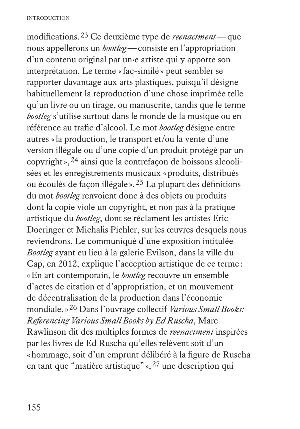modifications.23 Ce deuxième type de *reenactment*—que nous appellerons un *bootleg*—consiste en l'appropriation d'un contenu original par un·e artiste qui y apporte son interprétation. Le terme «fac-similé » peut sembler se rapporter davantage aux arts plastiques, puisqu'il désigne habituellement la reproduction d'une chose imprimée telle qu'un livre ou un tirage, ou manuscrite, tandis que le terme *bootleg* s'utilise surtout dans le monde de la musique ou en référence au trafic d'alcool. Le mot *bootleg* désigne entre autres «la production, le transport et/ou la vente d'une version illégale ou d'une copie d'un produit protégé par un copyright»,24 ainsi que la contrefaçon de boissons alcoolisées et les enregistrements musicaux «produits, distribués ou écoulés de façon illégale ».25 La plupart des définitions du mot *bootleg* renvoient donc à des objets ou produits dont la copie viole un copyright, et non pas à la pratique artistique du *bootleg*, dont se réclament les artistes Eric Doeringer et Michalis Pichler, sur les œuvres desquels nous reviendrons. Le communiqué d'une exposition intitulée *Bootleg* ayant eu lieu à la galerie Evilson, dans la ville du Cap, en 2012, explique l'acception artistique de ce terme : «En art contemporain, le *bootleg* recouvre un ensemble d'actes de citation et d'appropriation, et un mouvement de décentralisation de la production dans l'économie mondiale.»26 Dans l'ouvrage collectif *Various Small Books: Referencing Various Small Books by Ed Ruscha*, Marc Rawlinson dit des multiples formes de *reenactment* inspirées par les livres de Ed Ruscha qu'elles relèvent soit d'un «hommage, soit d'un emprunt délibéré à la figure de Ruscha en tant que "matière artistique" »,27 une description qui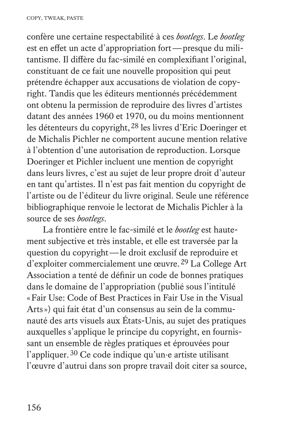confère une certaine respectabilité à ces *bootlegs*. Le *bootleg* est en effet un acte d'appropriation fort—presque du militantisme. Il diffère du fac-similé en complexifiant l'original, constituant de ce fait une nouvelle proposition qui peut prétendre échapper aux accusations de violation de copyright. Tandis que les éditeurs mentionnés précédemment ont obtenu la permission de reproduire des livres d'artistes datant des années 1960 et 1970, ou du moins mentionnent les détenteurs du copyright,28 les livres d'Eric Doeringer et de Michalis Pichler ne comportent aucune mention relative à l'obtention d'une autorisation de reproduction. Lorsque Doeringer et Pichler incluent une mention de copyright dans leurs livres, c'est au sujet de leur propre droit d'auteur en tant qu'artistes. Il n'est pas fait mention du copyright de l'artiste ou de l'éditeur du livre original. Seule une référence bibliographique renvoie le lectorat de Michalis Pichler à la source de ses *bootlegs*.

La frontière entre le fac-similé et le *bootleg* est hautement subjective et très instable, et elle est traversée par la question du copyright—le droit exclusif de reproduire et d'exploiter commercialement une œuvre.29 La College Art Association a tenté de définir un code de bonnes pratiques dans le domaine de l'appropriation (publié sous l'intitulé «Fair Use: Code of Best Practices in Fair Use in the Visual Arts») qui fait état d'un consensus au sein de la communauté des arts visuels aux États-Unis, au sujet des pratiques auxquelles s'applique le principe du copyright, en fournissant un ensemble de règles pratiques et éprouvées pour l'appliquer.30 Ce code indique qu'un·e artiste utilisant l'œuvre d'autrui dans son propre travail doit citer sa source,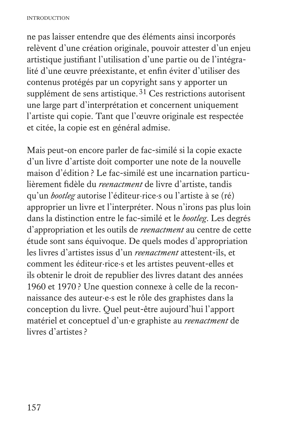ne pas laisser entendre que des éléments ainsi incorporés relèvent d'une création originale, pouvoir attester d'un enjeu artistique justifiant l'utilisation d'une partie ou de l'intégralité d'une œuvre préexistante, et enfin éviter d'utiliser des contenus protégés par un copyright sans y apporter un supplément de sens artistique. $31$  Ces restrictions autorisent une large part d'interprétation et concernent uniquement l'artiste qui copie. Tant que l'œuvre originale est respectée et citée, la copie est en général admise.

Mais peut-on encore parler de fac-similé si la copie exacte d'un livre d'artiste doit comporter une note de la nouvelle maison d'édition? Le fac-similé est une incarnation particulièrement fidèle du *reenactment* de livre d'artiste, tandis qu'un *bootleg* autorise l'éditeur·rice·s ou l'artiste à se (ré) approprier un livre et l'interpréter. Nous n'irons pas plus loin dans la distinction entre le fac-similé et le *bootleg*. Les degrés d'appropriation et les outils de *reenactment* au centre de cette étude sont sans équivoque. De quels modes d'appropriation les livres d'artistes issus d'un *reenactment* attestent-ils, et comment les éditeur·rice·s et les artistes peuvent-elles et ils obtenir le droit de republier des livres datant des années 1960 et 1970? Une question connexe à celle de la reconnaissance des auteur·e·s est le rôle des graphistes dans la conception du livre. Quel peut-être aujourd'hui l'apport matériel et conceptuel d'un·e graphiste au *reenactment* de livres d'artistes ?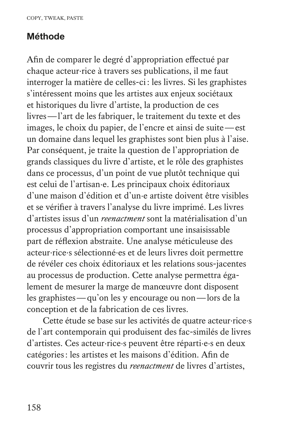#### **Méthode**

Afin de comparer le degré d'appropriation effectué par chaque acteur·rice à travers ses publications, il me faut interroger la matière de celles-ci: les livres. Si les graphistes s'intéressent moins que les artistes aux enjeux sociétaux et historiques du livre d'artiste, la production de ces livres—l'art de les fabriquer, le traitement du texte et des images, le choix du papier, de l'encre et ainsi de suite—est un domaine dans lequel les graphistes sont bien plus à l'aise. Par conséquent, je traite la question de l'appropriation de grands classiques du livre d'artiste, et le rôle des graphistes dans ce processus, d'un point de vue plutôt technique qui est celui de l'artisan·e. Les principaux choix éditoriaux d'une maison d'édition et d'un·e artiste doivent être visibles et se vérifier à travers l'analyse du livre imprimé. Les livres d'artistes issus d'un *reenactment* sont la matérialisation d'un processus d'appropriation comportant une insaisissable part de réflexion abstraite. Une analyse méticuleuse des acteur·rice·s sélectionné·es et de leurs livres doit permettre de révéler ces choix éditoriaux et les relations sous-jacentes au processus de production. Cette analyse permettra également de mesurer la marge de manœuvre dont disposent les graphistes—qu'on les y encourage ou non—lors de la conception et de la fabrication de ces livres.

Cette étude se base sur les activités de quatre acteur·rice·s de l'art contemporain qui produisent des fac-similés de livres d'artistes. Ces acteur·rice·s peuvent être réparti·e·s en deux catégories: les artistes et les maisons d'édition. Afin de couvrir tous les registres du *reenactment* de livres d'artistes,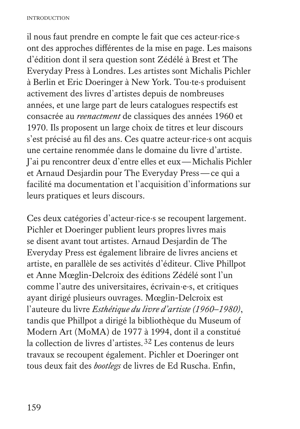il nous faut prendre en compte le fait que ces acteur·rice·s ont des approches différentes de la mise en page. Les maisons d'édition dont il sera question sont Zédélé à Brest et The Everyday Press à Londres. Les artistes sont Michalis Pichler à Berlin et Eric Doeringer à New York. Tou·te·s produisent activement des livres d'artistes depuis de nombreuses années, et une large part de leurs catalogues respectifs est consacrée au *reenactment* de classiques des années 1960 et 1970. Ils proposent un large choix de titres et leur discours s'est précisé au fil des ans. Ces quatre acteur·rice·s ont acquis une certaine renommée dans le domaine du livre d'artiste. J'ai pu rencontrer deux d'entre elles et eux—Michalis Pichler et Arnaud Desjardin pour The Everyday Press—ce qui a facilité ma documentation et l'acquisition d'informations sur leurs pratiques et leurs discours.

Ces deux catégories d'acteur·rice·s se recoupent largement. Pichler et Doeringer publient leurs propres livres mais se disent avant tout artistes. Arnaud Desjardin de The Everyday Press est également libraire de livres anciens et artiste, en parallèle de ses activités d'éditeur. Clive Phillpot et Anne Mœglin-Delcroix des éditions Zédélé sont l'un comme l'autre des universitaires, écrivain·e·s, et critiques ayant dirigé plusieurs ouvrages. Mœglin-Delcroix est l'auteure du livre *Esthétique du livre d'artiste (1960–1980)*, tandis que Phillpot a dirigé la bibliothèque du Museum of Modern Art (MoMA) de 1977 à 1994, dont il a constitué la collection de livres d'artistes.32 Les contenus de leurs travaux se recoupent également. Pichler et Doeringer ont tous deux fait des *bootlegs* de livres de Ed Ruscha. Enfin,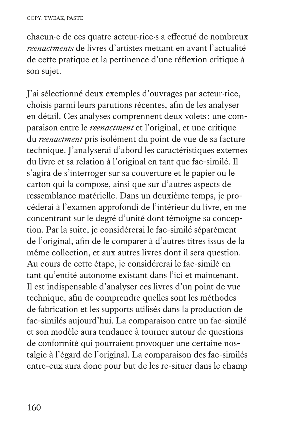chacun·e de ces quatre acteur·rice·s a effectué de nombreux *reenactments* de livres d'artistes mettant en avant l'actualité de cette pratique et la pertinence d'une réflexion critique à son sujet.

J'ai sélectionné deux exemples d'ouvrages par acteur·rice, choisis parmi leurs parutions récentes, afin de les analyser en détail. Ces analyses comprennent deux volets: une comparaison entre le *reenactment* et l'original, et une critique du *reenactment* pris isolément du point de vue de sa facture technique. J'analyserai d'abord les caractéristiques externes du livre et sa relation à l'original en tant que fac-similé. Il s'agira de s'interroger sur sa couverture et le papier ou le carton qui la compose, ainsi que sur d'autres aspects de ressemblance matérielle. Dans un deuxième temps, je procéderai à l'examen approfondi de l'intérieur du livre, en me concentrant sur le degré d'unité dont témoigne sa conception. Par la suite, je considérerai le fac-similé séparément de l'original, afin de le comparer à d'autres titres issus de la même collection, et aux autres livres dont il sera question. Au cours de cette étape, je considérerai le fac-similé en tant qu'entité autonome existant dans l'ici et maintenant. Il est indispensable d'analyser ces livres d'un point de vue technique, afin de comprendre quelles sont les méthodes de fabrication et les supports utilisés dans la production de fac-similés aujourd'hui. La comparaison entre un fac-similé et son modèle aura tendance à tourner autour de questions de conformité qui pourraient provoquer une certaine nostalgie à l'égard de l'original. La comparaison des fac-similés entre-eux aura donc pour but de les re-situer dans le champ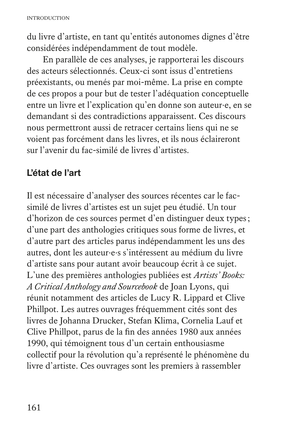du livre d'artiste, en tant qu'entités autonomes dignes d'être considérées indépendamment de tout modèle.

En parallèle de ces analyses, je rapporterai les discours des acteurs sélectionnés. Ceux-ci sont issus d'entretiens préexistants, ou menés par moi-même. La prise en compte de ces propos a pour but de tester l'adéquation conceptuelle entre un livre et l'explication qu'en donne son auteur·e, en se demandant si des contradictions apparaissent. Ces discours nous permettront aussi de retracer certains liens qui ne se voient pas forcément dans les livres, et ils nous éclaireront sur l'avenir du fac-similé de livres d'artistes.

### **L'état de l'art**

Il est nécessaire d'analyser des sources récentes car le facsimilé de livres d'artistes est un sujet peu étudié. Un tour d'horizon de ces sources permet d'en distinguer deux types; d'une part des anthologies critiques sous forme de livres, et d'autre part des articles parus indépendamment les uns des autres, dont les auteur·e·s s'intéressent au médium du livre d'artiste sans pour autant avoir beaucoup écrit à ce sujet. L'une des premières anthologies publiées est *Artists' Books: A Critical Anthology and Sourcebook* de Joan Lyons, qui réunit notamment des articles de Lucy R. Lippard et Clive Phillpot. Les autres ouvrages fréquemment cités sont des livres de Johanna Drucker, Stefan Klima, Cornelia Lauf et Clive Phillpot, parus de la fin des années 1980 aux années 1990, qui témoignent tous d'un certain enthousiasme collectif pour la révolution qu'a représenté le phénomène du livre d'artiste. Ces ouvrages sont les premiers à rassembler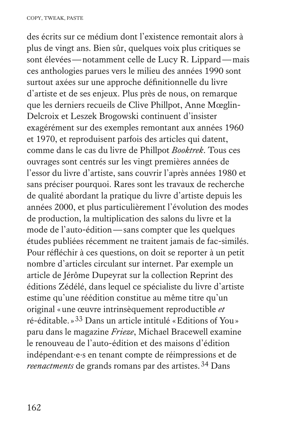des écrits sur ce médium dont l'existence remontait alors à plus de vingt ans. Bien sûr, quelques voix plus critiques se sont élevées—notamment celle de Lucy R. Lippard—mais ces anthologies parues vers le milieu des années 1990 sont surtout axées sur une approche définitionnelle du livre d'artiste et de ses enjeux. Plus près de nous, on remarque que les derniers recueils de Clive Phillpot, Anne Mœglin-Delcroix et Leszek Brogowski continuent d'insister exagérément sur des exemples remontant aux années 1960 et 1970, et reproduisent parfois des articles qui datent, comme dans le cas du livre de Phillpot *Booktrek*. Tous ces ouvrages sont centrés sur les vingt premières années de l'essor du livre d'artiste, sans couvrir l'après années 1980 et sans préciser pourquoi. Rares sont les travaux de recherche de qualité abordant la pratique du livre d'artiste depuis les années 2000, et plus particulièrement l'évolution des modes de production, la multiplication des salons du livre et la mode de l'auto-édition—sans compter que les quelques études publiées récemment ne traitent jamais de fac-similés. Pour réfléchir à ces questions, on doit se reporter à un petit nombre d'articles circulant sur internet. Par exemple un article de Jérôme Dupeyrat sur la collection Reprint des éditions Zédélé, dans lequel ce spécialiste du livre d'artiste estime qu'une réédition constitue au même titre qu'un original «une œuvre intrinsèquement reproductible *et* ré-éditable.»33 Dans un article intitulé «Editions of You» paru dans le magazine *Frieze*, Michael Bracewell examine le renouveau de l'auto-édition et des maisons d'édition indépendant·e·s en tenant compte de réimpressions et de *reenactments* de grands romans par des artistes.<sup>34</sup> Dans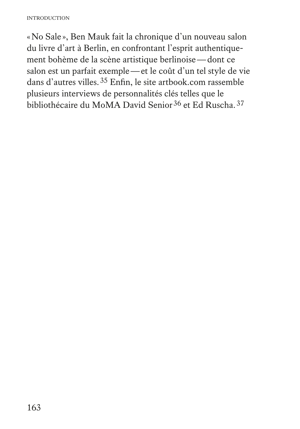«No Sale », Ben Mauk fait la chronique d'un nouveau salon du livre d'art à Berlin, en confrontant l'esprit authentiquement bohème de la scène artistique berlinoise—dont ce salon est un parfait exemple—et le coût d'un tel style de vie dans d'autres villes.35 Enfin, le site artbook.com rassemble plusieurs interviews de personnalités clés telles que le bibliothécaire du MoMA David Senior<sup>36</sup> et Ed Ruscha.<sup>37</sup>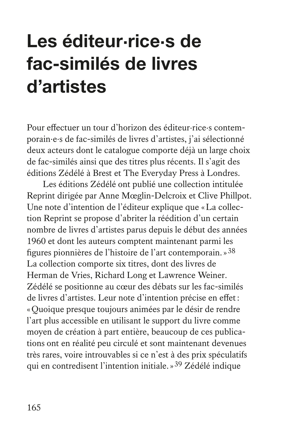# **Les éditeur·rice·s de fac-similés de livres d'artistes**

Pour effectuer un tour d'horizon des éditeur·rice·s contemporain·e·s de fac-similés de livres d'artistes, j'ai sélectionné deux acteurs dont le catalogue comporte déjà un large choix de fac-similés ainsi que des titres plus récents. Il s'agit des éditions Zédélé à Brest et The Everyday Press à Londres.

Les éditions Zédélé ont publié une collection intitulée Reprint dirigée par Anne Mœglin-Delcroix et Clive Phillpot. Une note d'intention de l'éditeur explique que «La collection Reprint se propose d'abriter la réédition d'un certain nombre de livres d'artistes parus depuis le début des années 1960 et dont les auteurs comptent maintenant parmi les figures pionnières de l'histoire de l'art contemporain.»38 La collection comporte six titres, dont des livres de Herman de Vries, Richard Long et Lawrence Weiner. Zédélé se positionne au cœur des débats sur les fac-similés de livres d'artistes. Leur note d'intention précise en effet: «Quoique presque toujours animées par le désir de rendre l'art plus accessible en utilisant le support du livre comme moyen de création à part entière, beaucoup de ces publications ont en réalité peu circulé et sont maintenant devenues très rares, voire introuvables si ce n'est à des prix spéculatifs qui en contredisent l'intention initiale.»39 Zédélé indique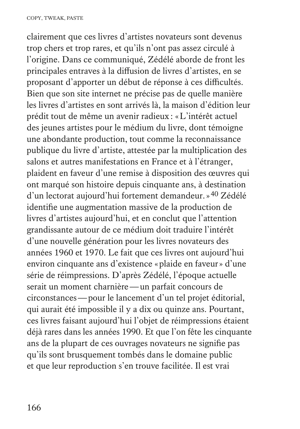clairement que ces livres d'artistes novateurs sont devenus trop chers et trop rares, et qu'ils n'ont pas assez circulé à l'origine. Dans ce communiqué, Zédélé aborde de front les principales entraves à la diffusion de livres d'artistes, en se proposant d'apporter un début de réponse à ces difficultés. Bien que son site internet ne précise pas de quelle manière les livres d'artistes en sont arrivés là, la maison d'édition leur prédit tout de même un avenir radieux: «L'intérêt actuel des jeunes artistes pour le médium du livre, dont témoigne une abondante production, tout comme la reconnaissance publique du livre d'artiste, attestée par la multiplication des salons et autres manifestations en France et à l'étranger, plaident en faveur d'une remise à disposition des œuvres qui ont marqué son histoire depuis cinquante ans, à destination d'un lectorat aujourd'hui fortement demandeur.»40 Zédélé identifie une augmentation massive de la production de livres d'artistes aujourd'hui, et en conclut que l'attention grandissante autour de ce médium doit traduire l'intérêt d'une nouvelle génération pour les livres novateurs des années 1960 et 1970. Le fait que ces livres ont aujourd'hui environ cinquante ans d'existence «plaide en faveur» d'une série de réimpressions. D'après Zédélé, l'époque actuelle serait un moment charnière—un parfait concours de circonstances—pour le lancement d'un tel projet éditorial, qui aurait été impossible il y a dix ou quinze ans. Pourtant, ces livres faisant aujourd'hui l'objet de réimpressions étaient déjà rares dans les années 1990. Et que l'on fête les cinquante ans de la plupart de ces ouvrages novateurs ne signifie pas qu'ils sont brusquement tombés dans le domaine public et que leur reproduction s'en trouve facilitée. Il est vrai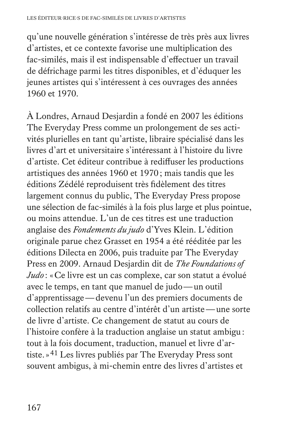qu'une nouvelle génération s'intéresse de très près aux livres d'artistes, et ce contexte favorise une multiplication des fac-similés, mais il est indispensable d'effectuer un travail de défrichage parmi les titres disponibles, et d'éduquer les jeunes artistes qui s'intéressent à ces ouvrages des années 1960 et 1970.

À Londres, Arnaud Desjardin a fondé en 2007 les éditions The Everyday Press comme un prolongement de ses activités plurielles en tant qu'artiste, libraire spécialisé dans les livres d'art et universitaire s'intéressant à l'histoire du livre d'artiste. Cet éditeur contribue à rediffuser les productions artistiques des années 1960 et 1970; mais tandis que les éditions Zédélé reproduisent très fidèlement des titres largement connus du public, The Everyday Press propose une sélection de fac-similés à la fois plus large et plus pointue, ou moins attendue. L'un de ces titres est une traduction anglaise des *Fondements du judo* d'Yves Klein. L'édition originale parue chez Grasset en 1954 a été rééditée par les éditions Dilecta en 2006, puis traduite par The Everyday Press en 2009. Arnaud Desjardin dit de *The Foundations of Judo* : «Ce livre est un cas complexe, car son statut a évolué avec le temps, en tant que manuel de judo—un outil d'apprentissage—devenu l'un des premiers documents de collection relatifs au centre d'intérêt d'un artiste—une sorte de livre d'artiste. Ce changement de statut au cours de l'histoire confère à la traduction anglaise un statut ambigu: tout à la fois document, traduction, manuel et livre d'artiste.»41 Les livres publiés par The Everyday Press sont souvent ambigus, à mi-chemin entre des livres d'artistes et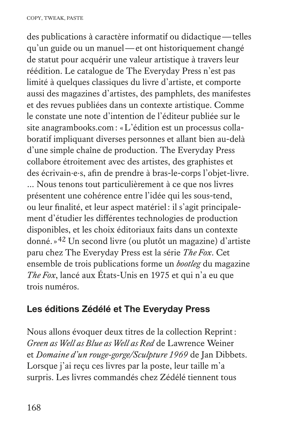des publications à caractère informatif ou didactique—telles qu'un guide ou un manuel—et ont historiquement changé de statut pour acquérir une valeur artistique à travers leur réédition. Le catalogue de The Everyday Press n'est pas limité à quelques classiques du livre d'artiste, et comporte aussi des magazines d'artistes, des pamphlets, des manifestes et des revues publiées dans un contexte artistique. Comme le constate une note d'intention de l'éditeur publiée sur le site anagrambooks.com: «L'édition est un processus collaboratif impliquant diverses personnes et allant bien au-delà d'une simple chaîne de production. The Everyday Press collabore étroitement avec des artistes, des graphistes et des écrivain·e·s, afin de prendre à bras-le-corps l'objet-livre. … Nous tenons tout particulièrement à ce que nos livres présentent une cohérence entre l'idée qui les sous-tend, ou leur finalité, et leur aspect matériel: il s'agit principalement d'étudier les différentes technologies de production disponibles, et les choix éditoriaux faits dans un contexte donné.»42 Un second livre (ou plutôt un magazine) d'artiste paru chez The Everyday Press est la série *The Fox*. Cet ensemble de trois publications forme un *bootleg* du magazine *The Fox*, lancé aux États-Unis en 1975 et qui n'a eu que trois numéros.

### **Les éditions Zédélé et The Everyday Press**

Nous allons évoquer deux titres de la collection Reprint: *Green as Well as Blue as Well as Red* de Lawrence Weiner et *Domaine d'un rouge-gorge/Sculpture 1969* de Jan Dibbets. Lorsque j'ai reçu ces livres par la poste, leur taille m'a surpris. Les livres commandés chez Zédélé tiennent tous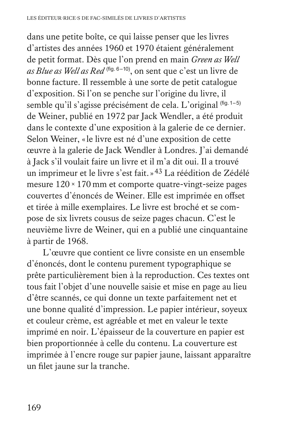dans une petite boîte, ce qui laisse penser que les livres d'artistes des années 1960 et 1970 étaient généralement de petit format. Dès que l'on prend en main *Green as Well as Blue as Well as Red* (fig. 6–10), on sent que c'est un livre de bonne facture. Il ressemble à une sorte de petit catalogue d'exposition. Si l'on se penche sur l'origine du livre, il semble qu'il s'agisse précisément de cela. L'original (fig. 1-5) de Weiner, publié en 1972 par Jack Wendler, a été produit dans le contexte d'une exposition à la galerie de ce dernier. Selon Weiner, «le livre est né d'une exposition de cette œuvre à la galerie de Jack Wendler à Londres. J'ai demandé à Jack s'il voulait faire un livre et il m'a dit oui. Il a trouvé un imprimeur et le livre s'est fait.»43 La réédition de Zédélé mesure 120×170 mm et comporte quatre-vingt-seize pages couvertes d'énoncés de Weiner. Elle est imprimée en offset et tirée à mille exemplaires. Le livre est broché et se compose de six livrets cousus de seize pages chacun. C'est le neuvième livre de Weiner, qui en a publié une cinquantaine à partir de 1968.

L'œuvre que contient ce livre consiste en un ensemble d'énoncés, dont le contenu purement typographique se prête particulièrement bien à la reproduction. Ces textes ont tous fait l'objet d'une nouvelle saisie et mise en page au lieu d'être scannés, ce qui donne un texte parfaitement net et une bonne qualité d'impression. Le papier intérieur, soyeux et couleur crème, est agréable et met en valeur le texte imprimé en noir. L'épaisseur de la couverture en papier est bien proportionnée à celle du contenu. La couverture est imprimée à l'encre rouge sur papier jaune, laissant apparaître un filet jaune sur la tranche.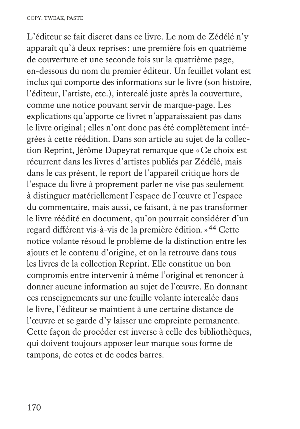L'éditeur se fait discret dans ce livre. Le nom de Zédélé n'y apparaît qu'à deux reprises: une première fois en quatrième de couverture et une seconde fois sur la quatrième page, en-dessous du nom du premier éditeur. Un feuillet volant est inclus qui comporte des informations sur le livre (son histoire, l'éditeur, l'artiste, etc.), intercalé juste après la couverture, comme une notice pouvant servir de marque-page. Les explications qu'apporte ce livret n'apparaissaient pas dans le livre original; elles n'ont donc pas été complètement intégrées à cette réédition. Dans son article au sujet de la collection Reprint, Jérôme Dupeyrat remarque que «Ce choix est récurrent dans les livres d'artistes publiés par Zédélé, mais dans le cas présent, le report de l'appareil critique hors de l'espace du livre à proprement parler ne vise pas seulement à distinguer matériellement l'espace de l'œuvre et l'espace du commentaire, mais aussi, ce faisant, à ne pas transformer le livre réédité en document, qu'on pourrait considérer d'un regard différent vis-à-vis de la première édition.»44 Cette notice volante résoud le problème de la distinction entre les ajouts et le contenu d'origine, et on la retrouve dans tous les livres de la collection Reprint. Elle constitue un bon compromis entre intervenir à même l'original et renoncer à donner aucune information au sujet de l'œuvre. En donnant ces renseignements sur une feuille volante intercalée dans le livre, l'éditeur se maintient à une certaine distance de l'œuvre et se garde d'y laisser une empreinte permanente. Cette façon de procéder est inverse à celle des bibliothèques, qui doivent toujours apposer leur marque sous forme de tampons, de cotes et de codes barres.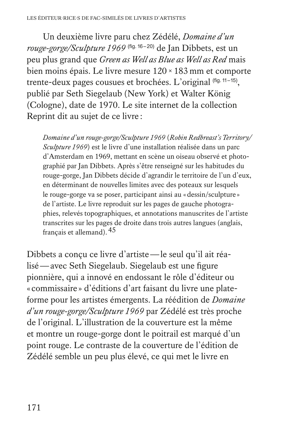Un deuxième livre paru chez Zédélé, *Domaine d'un rouge-gorge/Sculpture 1969* (fig. 16–20) de Jan Dibbets, est un peu plus grand que *Green as Well as Blue as Well as Red* mais bien moins épais. Le livre mesure 120×183 mm et comporte trente-deux pages cousues et brochées. L'original (fig. 11-15), publié par Seth Siegelaub (New York) et Walter König (Cologne), date de 1970. Le site internet de la collection Reprint dit au sujet de ce livre :

*Domaine d'un rouge-gorge/Sculpture 1969* (*Robin Redbreast's Territory/ Sculpture 1969*) est le livre d'une installation réalisée dans un parc d'Amsterdam en 1969, mettant en scène un oiseau observé et photographié par Jan Dibbets. Après s'être renseigné sur les habitudes du rouge-gorge, Jan Dibbets décide d'agrandir le territoire de l'un d'eux, en déterminant de nouvelles limites avec des poteaux sur lesquels le rouge-gorge va se poser, participant ainsi au «dessin/sculpture » de l'artiste. Le livre reproduit sur les pages de gauche photographies, relevés topographiques, et annotations manuscrites de l'artiste transcrites sur les pages de droite dans trois autres langues (anglais, français et allemand).45

Dibbets a conçu ce livre d'artiste—le seul qu'il ait réalisé—avec Seth Siegelaub. Siegelaub est une figure pionnière, qui a innové en endossant le rôle d'éditeur ou « commissaire » d'éditions d'art faisant du livre une plateforme pour les artistes émergents. La réédition de *Domaine d'un rouge-gorge/Sculpture 1969* par Zédélé est très proche de l'original. L'illustration de la couverture est la même et montre un rouge-gorge dont le poitrail est marqué d'un point rouge. Le contraste de la couverture de l'édition de Zédélé semble un peu plus élevé, ce qui met le livre en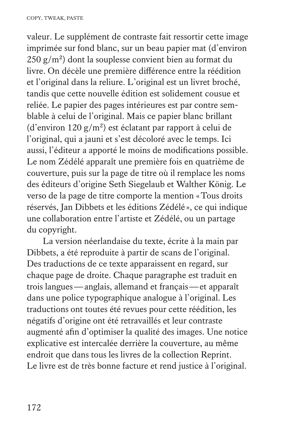valeur. Le supplément de contraste fait ressortir cette image imprimée sur fond blanc, sur un beau papier mat (d'environ  $250 \text{ g/m}^2$ ) dont la souplesse convient bien au format du livre. On décèle une première différence entre la réédition et l'original dans la reliure. L'original est un livret broché, tandis que cette nouvelle édition est solidement cousue et reliée. Le papier des pages intérieures est par contre semblable à celui de l'original. Mais ce papier blanc brillant (d'environ 120 g/m<sup>2</sup>) est éclatant par rapport à celui de l'original, qui a jauni et s'est décoloré avec le temps. Ici aussi, l'éditeur a apporté le moins de modifications possible. Le nom Zédélé apparaît une première fois en quatrième de couverture, puis sur la page de titre où il remplace les noms des éditeurs d'origine Seth Siegelaub et Walther König. Le verso de la page de titre comporte la mention «Tous droits réservés, Jan Dibbets et les éditions Zédélé », ce qui indique une collaboration entre l'artiste et Zédélé, ou un partage du copyright.

La version néerlandaise du texte, écrite à la main par Dibbets, a été reproduite à partir de scans de l'original. Des traductions de ce texte apparaissent en regard, sur chaque page de droite. Chaque paragraphe est traduit en trois langues—anglais, allemand et français—et apparaît dans une police typographique analogue à l'original. Les traductions ont toutes été revues pour cette réédition, les négatifs d'origine ont été retravaillés et leur contraste augmenté afin d'optimiser la qualité des images. Une notice explicative est intercalée derrière la couverture, au même endroit que dans tous les livres de la collection Reprint. Le livre est de très bonne facture et rend justice à l'original.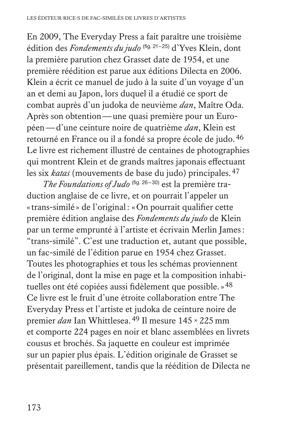En 2009, The Everyday Press a fait paraître une troisième édition des *Fondements du judo* (fig. 21–25) d'Yves Klein, dont la première parution chez Grasset date de 1954, et une première réédition est parue aux éditions Dilecta en 2006. Klein a écrit ce manuel de judo à la suite d'un voyage d'un an et demi au Japon, lors duquel il a étudié ce sport de combat auprès d'un judoka de neuvième *dan*, Maître Oda. Après son obtention—une quasi première pour un Européen—d'une ceinture noire de quatrième *dan*, Klein est retourné en France ou il a fondé sa propre école de judo.46 Le livre est richement illustré de centaines de photographies qui montrent Klein et de grands maîtres japonais effectuant les six *katas* (mouvements de base du judo) principales.47

*The Foundations of Judo* (fig. 26-30) est la première traduction anglaise de ce livre, et on pourrait l'appeler un «trans-similé » de l'original: «On pourrait qualifier cette première édition anglaise des *Fondements du judo* de Klein par un terme emprunté à l'artiste et écrivain Merlin James: "trans-similé". C'est une traduction et, autant que possible, un fac-similé de l'édition parue en 1954 chez Grasset. Toutes les photographies et tous les schémas proviennent de l'original, dont la mise en page et la composition inhabituelles ont été copiées aussi fidèlement que possible.»48 Ce livre est le fruit d'une étroite collaboration entre The Everyday Press et l'artiste et judoka de ceinture noire de premier *dan* Ian Whittlesea.49 Il mesure 145×225 mm et comporte 224 pages en noir et blanc assemblées en livrets cousus et brochés. Sa jaquette en couleur est imprimée sur un papier plus épais. L'édition originale de Grasset se présentait pareillement, tandis que la réédition de Dilecta ne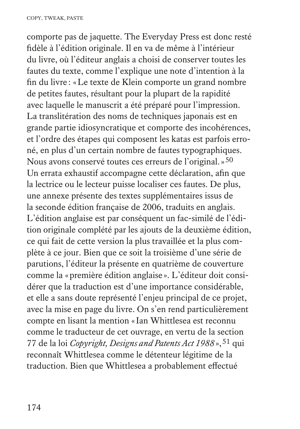comporte pas de jaquette. The Everyday Press est donc resté fidèle à l'édition originale. Il en va de même à l'intérieur du livre, où l'éditeur anglais a choisi de conserver toutes les fautes du texte, comme l'explique une note d'intention à la fin du livre : «Le texte de Klein comporte un grand nombre de petites fautes, résultant pour la plupart de la rapidité avec laquelle le manuscrit a été préparé pour l'impression. La translitération des noms de techniques japonais est en grande partie idiosyncratique et comporte des incohérences, et l'ordre des étapes qui composent les katas est parfois erroné, en plus d'un certain nombre de fautes typographiques. Nous avons conservé toutes ces erreurs de l'original.»50 Un errata exhaustif accompagne cette déclaration, afin que la lectrice ou le lecteur puisse localiser ces fautes. De plus, une annexe présente des textes supplémentaires issus de la seconde édition française de 2006, traduits en anglais. L'édition anglaise est par conséquent un fac-similé de l'édition originale complété par les ajouts de la deuxième édition, ce qui fait de cette version la plus travaillée et la plus complète à ce jour. Bien que ce soit la troisième d'une série de parutions, l'éditeur la présente en quatrième de couverture comme la «première édition anglaise ». L'éditeur doit considérer que la traduction est d'une importance considérable, et elle a sans doute représenté l'enjeu principal de ce projet, avec la mise en page du livre. On s'en rend particulièrement compte en lisant la mention «Ian Whittlesea est reconnu comme le traducteur de cet ouvrage, en vertu de la section 77 de la loi *Copyright, Designs and Patents Act 1988*»,51 qui reconnaît Whittlesea comme le détenteur légitime de la traduction. Bien que Whittlesea a probablement effectué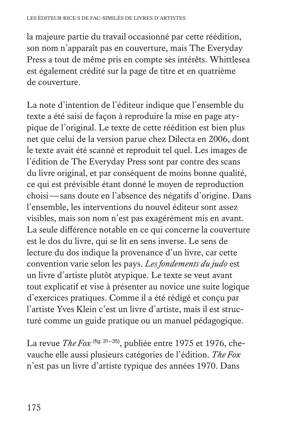la majeure partie du travail occasionné par cette réédition, son nom n'apparaît pas en couverture, mais The Everyday Press a tout de même pris en compte ses intérêts. Whittlesea est également crédité sur la page de titre et en quatrième de couverture.

La note d'intention de l'éditeur indique que l'ensemble du texte a été saisi de façon à reproduire la mise en page atypique de l'original. Le texte de cette réédition est bien plus net que celui de la version parue chez Dilecta en 2006, dont le texte avait été scanné et reproduit tel quel. Les images de l'édition de The Everyday Press sont par contre des scans du livre original, et par conséquent de moins bonne qualité, ce qui est prévisible étant donné le moyen de reproduction choisi—sans doute en l'absence des négatifs d'origine. Dans l'ensemble, les interventions du nouvel éditeur sont assez visibles, mais son nom n'est pas exagérément mis en avant. La seule différence notable en ce qui concerne la couverture est le dos du livre, qui se lit en sens inverse. Le sens de lecture du dos indique la provenance d'un livre, car cette convention varie selon les pays. *Les fondements du judo* est un livre d'artiste plutôt atypique. Le texte se veut avant tout explicatif et vise à présenter au novice une suite logique d'exercices pratiques. Comme il a été rédigé et conçu par l'artiste Yves Klein c'est un livre d'artiste, mais il est structuré comme un guide pratique ou un manuel pédagogique.

La revue *The Fox* (fig. 31-35), publiée entre 1975 et 1976, chevauche elle aussi plusieurs catégories de l'édition. *The Fox* n'est pas un livre d'artiste typique des années 1970. Dans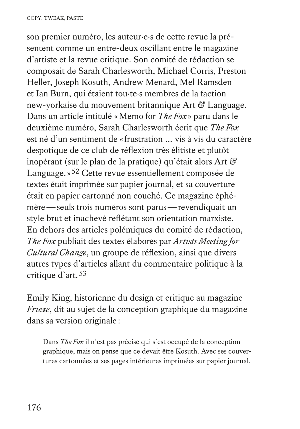son premier numéro, les auteur·e·s de cette revue la présentent comme un entre-deux oscillant entre le magazine d'artiste et la revue critique. Son comité de rédaction se composait de Sarah Charlesworth, Michael Corris, Preston Heller, Joseph Kosuth, Andrew Menard, Mel Ramsden et Ian Burn, qui étaient tou·te·s membres de la faction new-yorkaise du mouvement britannique Art & Language. Dans un article intitulé «Memo for *The Fox* » paru dans le deuxième numéro, Sarah Charlesworth écrit que *The Fox* est né d'un sentiment de «frustration … vis à vis du caractère despotique de ce club de réflexion très élitiste et plutôt inopérant (sur le plan de la pratique) qu'était alors Art & Language.»52 Cette revue essentiellement composée de textes était imprimée sur papier journal, et sa couverture était en papier cartonné non couché. Ce magazine éphémère—seuls trois numéros sont parus—revendiquait un style brut et inachevé reflétant son orientation marxiste. En dehors des articles polémiques du comité de rédaction, *The Fox* publiait des textes élaborés par *Artists Meeting for Cultural Change*, un groupe de réflexion, ainsi que divers autres types d'articles allant du commentaire politique à la critique d'art.53

Emily King, historienne du design et critique au magazine *Frieze*, dit au sujet de la conception graphique du magazine dans sa version originale :

 Dans *The Fox* il n'est pas précisé qui s'est occupé de la conception graphique, mais on pense que ce devait être Kosuth. Avec ses couvertures cartonnées et ses pages intérieures imprimées sur papier journal,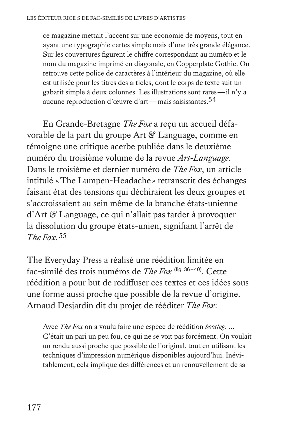ce magazine mettait l'accent sur une économie de moyens, tout en ayant une typographie certes simple mais d'une très grande élégance. Sur les couvertures figurent le chiffre correspondant au numéro et le nom du magazine imprimé en diagonale, en Copperplate Gothic. On retrouve cette police de caractères à l'intérieur du magazine, où elle est utilisée pour les titres des articles, dont le corps de texte suit un gabarit simple à deux colonnes. Les illustrations sont rares—il n'y a aucune reproduction d'œuvre d'art—mais saisissantes.54

En Grande-Bretagne *The Fox* a reçu un accueil défavorable de la part du groupe Art & Language, comme en témoigne une critique acerbe publiée dans le deuxième numéro du troisième volume de la revue *Art-Language*. Dans le troisième et dernier numéro de *The Fox*, un article intitulé «The Lumpen-Headache » retranscrit des échanges faisant état des tensions qui déchiraient les deux groupes et s'accroissaient au sein même de la branche états-unienne d'Art & Language, ce qui n'allait pas tarder à provoquer la dissolution du groupe états-unien, signifiant l'arrêt de *The Fox*.55

The Everyday Press a réalisé une réédition limitée en fac-similé des trois numéros de *The Fox* (fig. 36–40). Cette réédition a pour but de rediffuser ces textes et ces idées sous une forme aussi proche que possible de la revue d'origine. Arnaud Desjardin dit du projet de rééditer *The Fox*:

 Avec *The Fox* on a voulu faire une espèce de réédition *bootleg*. … C'était un pari un peu fou, ce qui ne se voit pas forcément. On voulait un rendu aussi proche que possible de l'original, tout en utilisant les techniques d'impression numérique disponibles aujourd'hui. Inévitablement, cela implique des différences et un renouvellement de sa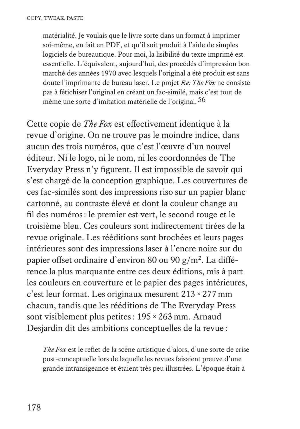matérialité. Je voulais que le livre sorte dans un format à imprimer soi-même, en fait en PDF, et qu'il soit produit à l'aide de simples logiciels de bureautique. Pour moi, la lisibilité du texte imprimé est essentielle. L'équivalent, aujourd'hui, des procédés d'impression bon marché des années 1970 avec lesquels l'original a été produit est sans doute l'imprimante de bureau laser. Le projet *Re: The Fox* ne consiste pas à fétichiser l'original en créant un fac-similé, mais c'est tout de même une sorte d'imitation matérielle de l'original.<sup>56</sup>

Cette copie de *The Fox* est effectivement identique à la revue d'origine. On ne trouve pas le moindre indice, dans aucun des trois numéros, que c'est l'œuvre d'un nouvel éditeur. Ni le logo, ni le nom, ni les coordonnées de The Everyday Press n'y figurent. Il est impossible de savoir qui s'est chargé de la conception graphique. Les couvertures de ces fac-similés sont des impressions riso sur un papier blanc cartonné, au contraste élevé et dont la couleur change au fil des numéros: le premier est vert, le second rouge et le troisième bleu. Ces couleurs sont indirectement tirées de la revue originale. Les rééditions sont brochées et leurs pages intérieures sont des impressions laser à l'encre noire sur du papier offset ordinaire d'environ 80 ou 90 g/m2. La différence la plus marquante entre ces deux éditions, mis à part les couleurs en couverture et le papier des pages intérieures, c'est leur format. Les originaux mesurent 213×277 mm chacun, tandis que les rééditions de The Everyday Press sont visiblement plus petites: 195×263 mm. Arnaud Desjardin dit des ambitions conceptuelles de la revue :

*The Fox* est le reflet de la scène artistique d'alors, d'une sorte de crise post-conceptuelle lors de laquelle les revues faisaient preuve d'une grande intransigeance et étaient très peu illustrées. L'époque était à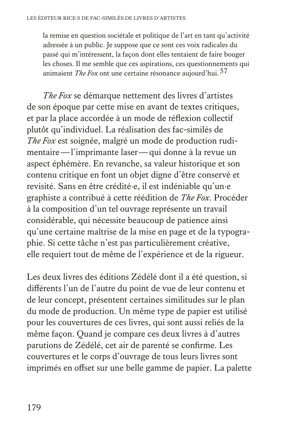la remise en question sociétale et politique de l'art en tant qu'activité adressée à un public. Je suppose que ce sont ces voix radicales du passé qui m'intéressent, la façon dont elles tentaient de faire bouger les choses. Il me semble que ces aspirations, ces questionnements qui animaient *The Fox* ont une certaine résonance aujourd'hui.57

*The Fox* se démarque nettement des livres d'artistes de son époque par cette mise en avant de textes critiques, et par la place accordée à un mode de réflexion collectif plutôt qu'individuel. La réalisation des fac-similés de *The Fox* est soignée, malgré un mode de production rudimentaire—l'imprimante laser—qui donne à la revue un aspect éphémère. En revanche, sa valeur historique et son contenu critique en font un objet digne d'être conservé et revisité. Sans en être crédité·e, il est indéniable qu'un·e graphiste a contribué à cette réédition de *The Fox*. Procéder à la composition d'un tel ouvrage représente un travail considérable, qui nécessite beaucoup de patience ainsi qu'une certaine maîtrise de la mise en page et de la typographie. Si cette tâche n'est pas particulièrement créative, elle requiert tout de même de l'expérience et de la rigueur.

Les deux livres des éditions Zédélé dont il a été question, si différents l'un de l'autre du point de vue de leur contenu et de leur concept, présentent certaines similitudes sur le plan du mode de production. Un même type de papier est utilisé pour les couvertures de ces livres, qui sont aussi reliés de la même façon. Quand je compare ces deux livres à d'autres parutions de Zédélé, cet air de parenté se confirme. Les couvertures et le corps d'ouvrage de tous leurs livres sont imprimés en offset sur une belle gamme de papier. La palette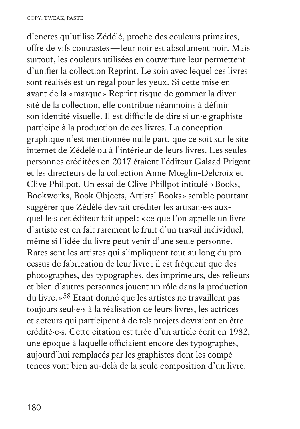d'encres qu'utilise Zédélé, proche des couleurs primaires, offre de vifs contrastes—leur noir est absolument noir. Mais surtout, les couleurs utilisées en couverture leur permettent d'unifier la collection Reprint. Le soin avec lequel ces livres sont réalisés est un régal pour les yeux. Si cette mise en avant de la «marque » Reprint risque de gommer la diversité de la collection, elle contribue néanmoins à définir son identité visuelle. Il est difficile de dire si un·e graphiste participe à la production de ces livres. La conception graphique n'est mentionnée nulle part, que ce soit sur le site internet de Zédélé ou à l'intérieur de leurs livres. Les seules personnes créditées en 2017 étaient l'éditeur Galaad Prigent et les directeurs de la collection Anne Mœglin-Delcroix et Clive Phillpot. Un essai de Clive Phillpot intitulé «Books, Bookworks, Book Objects, Artists' Books» semble pourtant suggérer que Zédélé devrait créditer les artisan·e·s auxquel·le·s cet éditeur fait appel: « ce que l'on appelle un livre d'artiste est en fait rarement le fruit d'un travail individuel, même si l'idée du livre peut venir d'une seule personne. Rares sont les artistes qui s'impliquent tout au long du processus de fabrication de leur livre ; il est fréquent que des photographes, des typographes, des imprimeurs, des relieurs et bien d'autres personnes jouent un rôle dans la production du livre.»58 Etant donné que les artistes ne travaillent pas toujours seul·e·s à la réalisation de leurs livres, les actrices et acteurs qui participent à de tels projets devraient en être crédité·e·s. Cette citation est tirée d'un article écrit en 1982, une époque à laquelle officiaient encore des typographes, aujourd'hui remplacés par les graphistes dont les compétences vont bien au-delà de la seule composition d'un livre.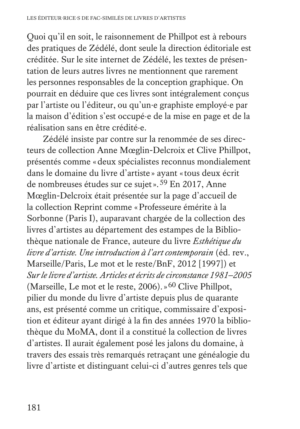Quoi qu'il en soit, le raisonnement de Phillpot est à rebours des pratiques de Zédélé, dont seule la direction éditoriale est créditée. Sur le site internet de Zédélé, les textes de présentation de leurs autres livres ne mentionnent que rarement les personnes responsables de la conception graphique. On pourrait en déduire que ces livres sont intégralement conçus par l'artiste ou l'éditeur, ou qu'un·e graphiste employé·e par la maison d'édition s'est occupé·e de la mise en page et de la réalisation sans en être crédité·e.

Zédélé insiste par contre sur la renommée de ses directeurs de collection Anne Mœglin-Delcroix et Clive Phillpot, présentés comme «deux spécialistes reconnus mondialement dans le domaine du livre d'artiste » ayant «tous deux écrit de nombreuses études sur ce sujet».59 En 2017, Anne Mœglin-Delcroix était présentée sur la page d'accueil de la collection Reprint comme «Professeure émérite à la Sorbonne (Paris I), auparavant chargée de la collection des livres d'artistes au département des estampes de la Bibliothèque nationale de France, auteure du livre *Esthétique du livre d'artiste. Une introduction à l'art contemporain* (éd. rev., Marseille/Paris, Le mot et le reste/BnF, 2012 [1997]) et *Sur le livre d'artiste. Articles et écrits de circonstance 1981–2005* (Marseille, Le mot et le reste, 2006). »<sup>60</sup> Clive Phillpot, pilier du monde du livre d'artiste depuis plus de quarante ans, est présenté comme un critique, commissaire d'exposition et éditeur ayant dirigé à la fin des années 1970 la bibliothèque du MoMA, dont il a constitué la collection de livres d'artistes. Il aurait également posé les jalons du domaine, à travers des essais très remarqués retraçant une généalogie du livre d'artiste et distinguant celui-ci d'autres genres tels que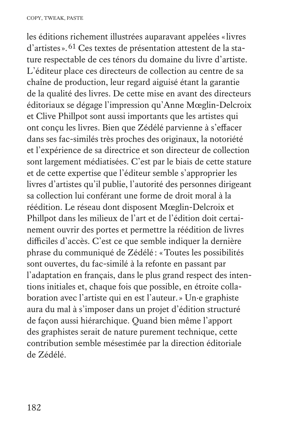les éditions richement illustrées auparavant appelées «livres d'artistes».61 Ces textes de présentation attestent de la stature respectable de ces ténors du domaine du livre d'artiste. L'éditeur place ces directeurs de collection au centre de sa chaîne de production, leur regard aiguisé étant la garantie de la qualité des livres. De cette mise en avant des directeurs éditoriaux se dégage l'impression qu'Anne Mœglin-Delcroix et Clive Phillpot sont aussi importants que les artistes qui ont conçu les livres. Bien que Zédélé parvienne à s'effacer dans ses fac-similés très proches des originaux, la notoriété et l'expérience de sa directrice et son directeur de collection sont largement médiatisées. C'est par le biais de cette stature et de cette expertise que l'éditeur semble s'approprier les livres d'artistes qu'il publie, l'autorité des personnes dirigeant sa collection lui conférant une forme de droit moral à la réédition. Le réseau dont disposent Mœglin-Delcroix et Phillpot dans les milieux de l'art et de l'édition doit certainement ouvrir des portes et permettre la réédition de livres difficiles d'accès. C'est ce que semble indiquer la dernière phrase du communiqué de Zédélé : «Toutes les possibilités sont ouvertes, du fac-similé à la refonte en passant par l'adaptation en français, dans le plus grand respect des intentions initiales et, chaque fois que possible, en étroite collaboration avec l'artiste qui en est l'auteur.» Un·e graphiste aura du mal à s'imposer dans un projet d'édition structuré de façon aussi hiérarchique. Quand bien même l'apport des graphistes serait de nature purement technique, cette contribution semble mésestimée par la direction éditoriale de Zédélé.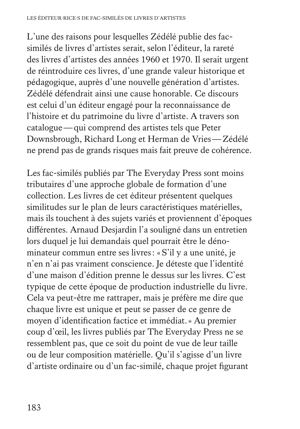L'une des raisons pour lesquelles Zédélé publie des facsimilés de livres d'artistes serait, selon l'éditeur, la rareté des livres d'artistes des années 1960 et 1970. Il serait urgent de réintroduire ces livres, d'une grande valeur historique et pédagogique, auprès d'une nouvelle génération d'artistes. Zédélé défendrait ainsi une cause honorable. Ce discours est celui d'un éditeur engagé pour la reconnaissance de l'histoire et du patrimoine du livre d'artiste. A travers son catalogue—qui comprend des artistes tels que Peter Downsbrough, Richard Long et Herman de Vries—Zédélé ne prend pas de grands risques mais fait preuve de cohérence.

Les fac-similés publiés par The Everyday Press sont moins tributaires d'une approche globale de formation d'une collection. Les livres de cet éditeur présentent quelques similitudes sur le plan de leurs caractéristiques matérielles, mais ils touchent à des sujets variés et proviennent d'époques différentes. Arnaud Desjardin l'a souligné dans un entretien lors duquel je lui demandais quel pourrait être le dénominateur commun entre ses livres: «S'il y a une unité, je n'en n'ai pas vraiment conscience. Je déteste que l'identité d'une maison d'édition prenne le dessus sur les livres. C'est typique de cette époque de production industrielle du livre. Cela va peut-être me rattraper, mais je préfère me dire que chaque livre est unique et peut se passer de ce genre de moyen d'identification factice et immédiat.» Au premier coup d'œil, les livres publiés par The Everyday Press ne se ressemblent pas, que ce soit du point de vue de leur taille ou de leur composition matérielle. Qu'il s'agisse d'un livre d'artiste ordinaire ou d'un fac-similé, chaque projet figurant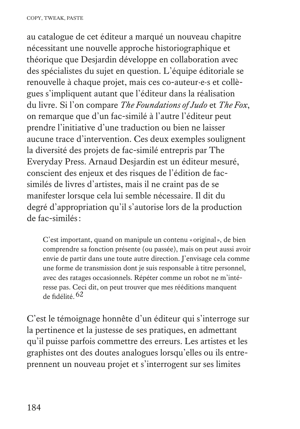au catalogue de cet éditeur a marqué un nouveau chapitre nécessitant une nouvelle approche historiographique et théorique que Desjardin développe en collaboration avec des spécialistes du sujet en question. L'équipe éditoriale se renouvelle à chaque projet, mais ces co-auteur·e·s et collègues s'impliquent autant que l'éditeur dans la réalisation du livre. Si l'on compare *The Foundations of Judo* et *The Fox*, on remarque que d'un fac-similé à l'autre l'éditeur peut prendre l'initiative d'une traduction ou bien ne laisser aucune trace d'intervention. Ces deux exemples soulignent la diversité des projets de fac-similé entrepris par The Everyday Press. Arnaud Desjardin est un éditeur mesuré, conscient des enjeux et des risques de l'édition de facsimilés de livres d'artistes, mais il ne craint pas de se manifester lorsque cela lui semble nécessaire. Il dit du degré d'appropriation qu'il s'autorise lors de la production de fac-similés:

 C'est important, quand on manipule un contenu «original», de bien comprendre sa fonction présente (ou passée), mais on peut aussi avoir envie de partir dans une toute autre direction. J'envisage cela comme une forme de transmission dont je suis responsable à titre personnel, avec des ratages occasionnels. Répéter comme un robot ne m'intéresse pas. Ceci dit, on peut trouver que mes rééditions manquent de fidélité.62

C'est le témoignage honnête d'un éditeur qui s'interroge sur la pertinence et la justesse de ses pratiques, en admettant qu'il puisse parfois commettre des erreurs. Les artistes et les graphistes ont des doutes analogues lorsqu'elles ou ils entreprennent un nouveau projet et s'interrogent sur ses limites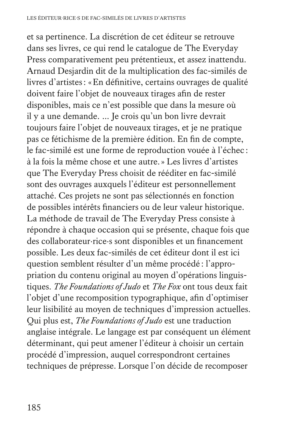et sa pertinence. La discrétion de cet éditeur se retrouve dans ses livres, ce qui rend le catalogue de The Everyday Press comparativement peu prétentieux, et assez inattendu. Arnaud Desjardin dit de la multiplication des fac-similés de livres d'artistes: «En définitive, certains ouvrages de qualité doivent faire l'objet de nouveaux tirages afin de rester disponibles, mais ce n'est possible que dans la mesure où il y a une demande. … Je crois qu'un bon livre devrait toujours faire l'objet de nouveaux tirages, et je ne pratique pas ce fétichisme de la première édition. En fin de compte, le fac-similé est une forme de reproduction vouée à l'échec : à la fois la même chose et une autre.» Les livres d'artistes que The Everyday Press choisit de rééditer en fac-similé sont des ouvrages auxquels l'éditeur est personnellement attaché. Ces projets ne sont pas sélectionnés en fonction de possibles intérêts financiers ou de leur valeur historique. La méthode de travail de The Everyday Press consiste à répondre à chaque occasion qui se présente, chaque fois que des collaborateur·rice·s sont disponibles et un financement possible. Les deux fac-similés de cet éditeur dont il est ici question semblent résulter d'un même procédé : l'appropriation du contenu original au moyen d'opérations linguistiques. *The Foundations of Judo* et *The Fox* ont tous deux fait l'objet d'une recomposition typographique, afin d'optimiser leur lisibilité au moyen de techniques d'impression actuelles. Qui plus est, *The Foundations of Judo* est une traduction anglaise intégrale. Le langage est par conséquent un élément déterminant, qui peut amener l'éditeur à choisir un certain procédé d'impression, auquel correspondront certaines techniques de prépresse. Lorsque l'on décide de recomposer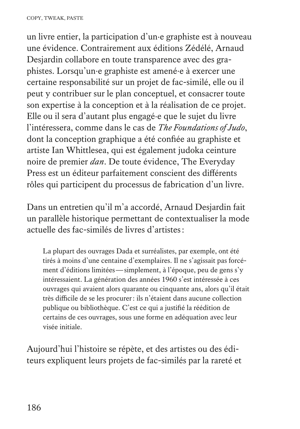un livre entier, la participation d'un·e graphiste est à nouveau une évidence. Contrairement aux éditions Zédélé, Arnaud Desjardin collabore en toute transparence avec des graphistes. Lorsqu'un·e graphiste est amené·e à exercer une certaine responsabilité sur un projet de fac-similé, elle ou il peut y contribuer sur le plan conceptuel, et consacrer toute son expertise à la conception et à la réalisation de ce projet. Elle ou il sera d'autant plus engagé·e que le sujet du livre l'intéressera, comme dans le cas de *The Foundations of Judo*, dont la conception graphique a été confiée au graphiste et artiste Ian Whittlesea, qui est également judoka ceinture noire de premier *dan*. De toute évidence, The Everyday Press est un éditeur parfaitement conscient des différents rôles qui participent du processus de fabrication d'un livre.

Dans un entretien qu'il m'a accordé, Arnaud Desjardin fait un parallèle historique permettant de contextualiser la mode actuelle des fac-similés de livres d'artistes:

 La plupart des ouvrages Dada et surréalistes, par exemple, ont été tirés à moins d'une centaine d'exemplaires. Il ne s'agissait pas forcément d'éditions limitées—simplement, à l'époque, peu de gens s'y intéressaient. La génération des années 1960 s'est intéressée à ces ouvrages qui avaient alors quarante ou cinquante ans, alors qu'il était très difficile de se les procurer: ils n'étaient dans aucune collection publique ou bibliothèque. C'est ce qui a justifié la réédition de certains de ces ouvrages, sous une forme en adéquation avec leur visée initiale.

Aujourd'hui l'histoire se répète, et des artistes ou des éditeurs expliquent leurs projets de fac-similés par la rareté et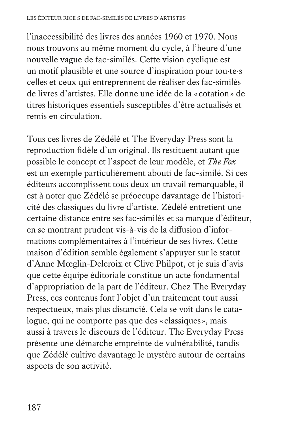l'inaccessibilité des livres des années 1960 et 1970. Nous nous trouvons au même moment du cycle, à l'heure d'une nouvelle vague de fac-similés. Cette vision cyclique est un motif plausible et une source d'inspiration pour tou·te·s celles et ceux qui entreprennent de réaliser des fac-similés de livres d'artistes. Elle donne une idée de la « cotation» de titres historiques essentiels susceptibles d'être actualisés et remis en circulation.

Tous ces livres de Zédélé et The Everyday Press sont la reproduction fidèle d'un original. Ils restituent autant que possible le concept et l'aspect de leur modèle, et *The Fox* est un exemple particulièrement abouti de fac-similé. Si ces éditeurs accomplissent tous deux un travail remarquable, il est à noter que Zédélé se préoccupe davantage de l'historicité des classiques du livre d'artiste. Zédélé entretient une certaine distance entre ses fac-similés et sa marque d'éditeur, en se montrant prudent vis-à-vis de la diffusion d'informations complémentaires à l'intérieur de ses livres. Cette maison d'édition semble également s'appuyer sur le statut d'Anne Mœglin-Delcroix et Clive Philpot, et je suis d'avis que cette équipe éditoriale constitue un acte fondamental d'appropriation de la part de l'éditeur. Chez The Everyday Press, ces contenus font l'objet d'un traitement tout aussi respectueux, mais plus distancié. Cela se voit dans le catalogue, qui ne comporte pas que des « classiques», mais aussi à travers le discours de l'éditeur. The Everyday Press présente une démarche empreinte de vulnérabilité, tandis que Zédélé cultive davantage le mystère autour de certains aspects de son activité.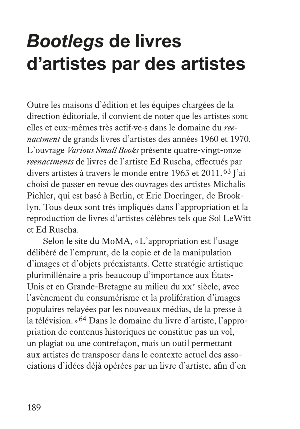## *Bootlegs* **de livres d'artistes par des artistes**

Outre les maisons d'édition et les équipes chargées de la direction éditoriale, il convient de noter que les artistes sont elles et eux-mêmes très actif·ve·s dans le domaine du *reenactment* de grands livres d'artistes des années 1960 et 1970. L'ouvrage *Various Small Books* présente quatre-vingt-onze *reenactments* de livres de l'artiste Ed Ruscha, effectués par divers artistes à travers le monde entre 1963 et 2011.<sup>63</sup> J'ai choisi de passer en revue des ouvrages des artistes Michalis Pichler, qui est basé à Berlin, et Eric Doeringer, de Brooklyn. Tous deux sont très impliqués dans l'appropriation et la reproduction de livres d'artistes célèbres tels que Sol LeWitt et Ed Ruscha.

Selon le site du MoMA, «L'appropriation est l'usage délibéré de l'emprunt, de la copie et de la manipulation d'images et d'objets préexistants. Cette stratégie artistique plurimillénaire a pris beaucoup d'importance aux États-Unis et en Grande-Bretagne au milieu du xx<sup>e</sup> siècle, avec l'avènement du consumérisme et la prolifération d'images populaires relayées par les nouveaux médias, de la presse à la télévision.»64 Dans le domaine du livre d'artiste, l'appropriation de contenus historiques ne constitue pas un vol, un plagiat ou une contrefaçon, mais un outil permettant aux artistes de transposer dans le contexte actuel des associations d'idées déjà opérées par un livre d'artiste, afin d'en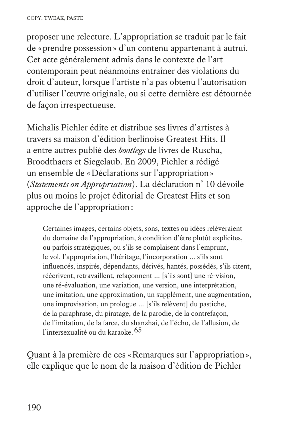proposer une relecture. L'appropriation se traduit par le fait de «prendre possession» d'un contenu appartenant à autrui. Cet acte généralement admis dans le contexte de l'art contemporain peut néanmoins entraîner des violations du droit d'auteur, lorsque l'artiste n'a pas obtenu l'autorisation d'utiliser l'œuvre originale, ou si cette dernière est détournée de façon irrespectueuse.

Michalis Pichler édite et distribue ses livres d'artistes à travers sa maison d'édition berlinoise Greatest Hits. Il a entre autres publié des *bootlegs* de livres de Ruscha, Broodthaers et Siegelaub. En 2009, Pichler a rédigé un ensemble de «Déclarations sur l'appropriation» (*Statements on Appropriation*). La déclaration n° 10 dévoile plus ou moins le projet éditorial de Greatest Hits et son approche de l'appropriation:

 Certaines images, certains objets, sons, textes ou idées relèveraient du domaine de l'appropriation, à condition d'être plutôt explicites, ou parfois stratégiques, ou s'ils se complaisent dans l'emprunt, le vol, l'appropriation, l'héritage, l'incorporation … s'ils sont influencés, inspirés, dépendants, dérivés, hantés, possédés, s'ils citent, réécrivent, retravaillent, refaçonnent ... [s'ils sont] une ré-vision, une ré-évaluation, une variation, une version, une interprétation, une imitation, une approximation, un supplément, une augmentation, une improvisation, un prologue … [s'ils relèvent] du pastiche, de la paraphrase, du piratage, de la parodie, de la contrefaçon, de l'imitation, de la farce, du shanzhai, de l'écho, de l'allusion, de l'intersexualité ou du karaoke.<sup>65</sup>

Quant à la première de ces «Remarques sur l'appropriation», elle explique que le nom de la maison d'édition de Pichler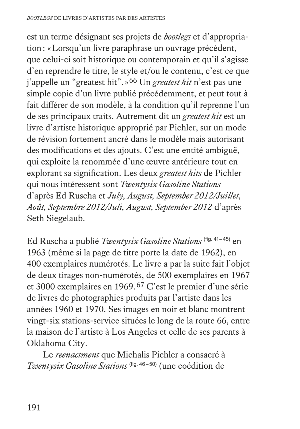est un terme désignant ses projets de *bootlegs* et d'appropriation: «Lorsqu'un livre paraphrase un ouvrage précédent, que celui-ci soit historique ou contemporain et qu'il s'agisse d'en reprendre le titre, le style et/ou le contenu, c'est ce que j'appelle un "greatest hit".»66 Un *greatest hit* n'est pas une simple copie d'un livre publié précédemment, et peut tout à fait différer de son modèle, à la condition qu'il reprenne l'un de ses principaux traits. Autrement dit un *greatest hit* est un livre d'artiste historique approprié par Pichler, sur un mode de révision fortement ancré dans le modèle mais autorisant des modifications et des ajouts. C'est une entité ambiguë, qui exploite la renommée d'une œuvre antérieure tout en explorant sa signification. Les deux *greatest hits* de Pichler qui nous intéressent sont *Twentysix Gasoline Stations* d'après Ed Ruscha et *July, August, September 2012/Juillet, Août, Septembre 2012/Juli, August, September 2012* d'après Seth Siegelaub.

Ed Ruscha a publié *Twentysix Gasoline Stations* (fig. 41–45) en 1963 (même si la page de titre porte la date de 1962), en 400 exemplaires numérotés. Le livre a par la suite fait l'objet de deux tirages non-numérotés, de 500 exemplaires en 1967 et 3000 exemplaires en 1969.67 C'est le premier d'une série de livres de photographies produits par l'artiste dans les années 1960 et 1970. Ses images en noir et blanc montrent vingt-six stations-service situées le long de la route 66, entre la maison de l'artiste à Los Angeles et celle de ses parents à Oklahoma City.

Le *reenactment* que Michalis Pichler a consacré à *Twentysix Gasoline Stations* (fig. 46–50) (une coédition de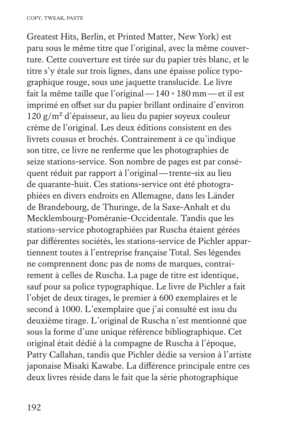Greatest Hits, Berlin, et Printed Matter, New York) est paru sous le même titre que l'original, avec la même couverture. Cette couverture est tirée sur du papier très blanc, et le titre s'y étale sur trois lignes, dans une épaisse police typographique rouge, sous une jaquette translucide. Le livre fait la même taille que l'original—140×180 mm—et il est imprimé en offset sur du papier brillant ordinaire d'environ  $120 \text{ g/m}^2$  d'épaisseur, au lieu du papier soyeux couleur crème de l'original. Les deux éditions consistent en des livrets cousus et brochés. Contrairement à ce qu'indique son titre, ce livre ne renferme que les photographies de seize stations-service. Son nombre de pages est par conséquent réduit par rapport à l'original—trente-six au lieu de quarante-huit. Ces stations-service ont été photographiées en divers endroits en Allemagne, dans les Länder de Brandebourg, de Thuringe, de la Saxe-Anhalt et du Mecklembourg-Poméranie-Occidentale. Tandis que les stations-service photographiées par Ruscha étaient gérées par différentes sociétés, les stations-service de Pichler appartiennent toutes à l'entreprise française Total. Ses légendes ne comprennent donc pas de noms de marques, contrairement à celles de Ruscha. La page de titre est identique, sauf pour sa police typographique. Le livre de Pichler a fait l'objet de deux tirages, le premier à 600 exemplaires et le second à 1000. L'exemplaire que j'ai consulté est issu du deuxième tirage. L'original de Ruscha n'est mentionné que sous la forme d'une unique référence bibliographique. Cet original était dédié à la compagne de Ruscha à l'époque, Patty Callahan, tandis que Pichler dédie sa version à l'artiste japonaise Misaki Kawabe. La différence principale entre ces deux livres réside dans le fait que la série photographique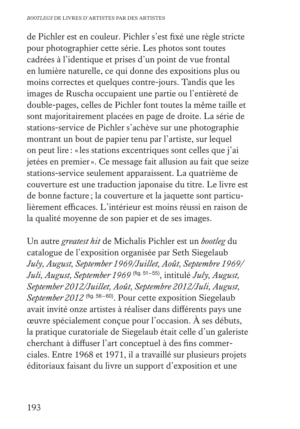de Pichler est en couleur. Pichler s'est fixé une règle stricte pour photographier cette série. Les photos sont toutes cadrées à l'identique et prises d'un point de vue frontal en lumière naturelle, ce qui donne des expositions plus ou moins correctes et quelques contre-jours. Tandis que les images de Ruscha occupaient une partie ou l'entièreté de double-pages, celles de Pichler font toutes la même taille et sont majoritairement placées en page de droite. La série de stations-service de Pichler s'achève sur une photographie montrant un bout de papier tenu par l'artiste, sur lequel on peut lire : «les stations excentriques sont celles que j'ai jetées en premier». Ce message fait allusion au fait que seize stations-service seulement apparaissent. La quatrième de couverture est une traduction japonaise du titre. Le livre est de bonne facture ; la couverture et la jaquette sont particulièrement efficaces. L'intérieur est moins réussi en raison de la qualité moyenne de son papier et de ses images.

Un autre *greatest hit* de Michalis Pichler est un *bootleg* du catalogue de l'exposition organisée par Seth Siegelaub *July, August, September 1969/Juillet, Août, Septembre 1969/ Juli, August, September 1969* (fig. 51–55), intitulé *July, August, September 2012/Juillet, Août, Septembre 2012/Juli, August, September 2012* (fig. 56–60). Pour cette exposition Siegelaub avait invité onze artistes à réaliser dans différents pays une œuvre spécialement conçue pour l'occasion. À ses débuts, la pratique curatoriale de Siegelaub était celle d'un galeriste cherchant à diffuser l'art conceptuel à des fins commerciales. Entre 1968 et 1971, il a travaillé sur plusieurs projets éditoriaux faisant du livre un support d'exposition et une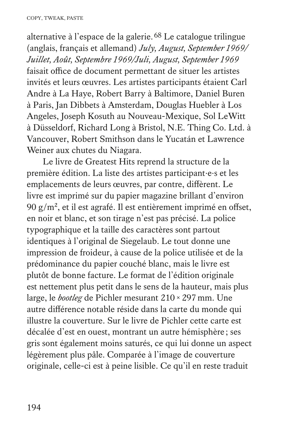alternative à l'espace de la galerie.68 Le catalogue trilingue (anglais, français et allemand) *July, August, September 1969/ Juillet, Août, Septembre 1969/Juli, August, September 1969* faisait office de document permettant de situer les artistes invités et leurs œuvres. Les artistes participants étaient Carl Andre à La Haye, Robert Barry à Baltimore, Daniel Buren à Paris, Jan Dibbets à Amsterdam, Douglas Huebler à Los Angeles, Joseph Kosuth au Nouveau-Mexique, Sol LeWitt à Düsseldorf, Richard Long à Bristol, N.E. Thing Co. Ltd. à Vancouver, Robert Smithson dans le Yucatán et Lawrence Weiner aux chutes du Niagara.

Le livre de Greatest Hits reprend la structure de la première édition. La liste des artistes participant·e·s et les emplacements de leurs œuvres, par contre, diffèrent. Le livre est imprimé sur du papier magazine brillant d'environ 90  $g/m^2$ , et il est agrafé. Il est entièrement imprimé en offset, en noir et blanc, et son tirage n'est pas précisé. La police typographique et la taille des caractères sont partout identiques à l'original de Siegelaub. Le tout donne une impression de froideur, à cause de la police utilisée et de la prédominance du papier couché blanc, mais le livre est plutôt de bonne facture. Le format de l'édition originale est nettement plus petit dans le sens de la hauteur, mais plus large, le *bootleg* de Pichler mesurant 210×297 mm. Une autre différence notable réside dans la carte du monde qui illustre la couverture. Sur le livre de Pichler cette carte est décalée d'est en ouest, montrant un autre hémisphère ; ses gris sont également moins saturés, ce qui lui donne un aspect légèrement plus pâle. Comparée à l'image de couverture originale, celle-ci est à peine lisible. Ce qu'il en reste traduit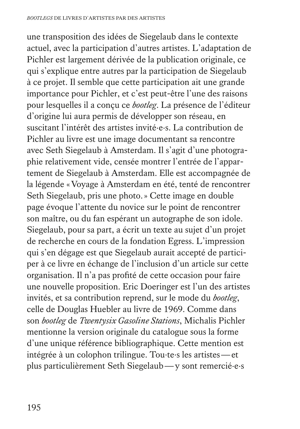une transposition des idées de Siegelaub dans le contexte actuel, avec la participation d'autres artistes. L'adaptation de Pichler est largement dérivée de la publication originale, ce qui s'explique entre autres par la participation de Siegelaub à ce projet. Il semble que cette participation ait une grande importance pour Pichler, et c'est peut-être l'une des raisons pour lesquelles il a conçu ce *bootleg*. La présence de l'éditeur d'origine lui aura permis de développer son réseau, en suscitant l'intérêt des artistes invité·e·s. La contribution de Pichler au livre est une image documentant sa rencontre avec Seth Siegelaub à Amsterdam. Il s'agit d'une photographie relativement vide, censée montrer l'entrée de l'appartement de Siegelaub à Amsterdam. Elle est accompagnée de la légende «Voyage à Amsterdam en été, tenté de rencontrer Seth Siegelaub, pris une photo.» Cette image en double page évoque l'attente du novice sur le point de rencontrer son maître, ou du fan espérant un autographe de son idole. Siegelaub, pour sa part, a écrit un texte au sujet d'un projet de recherche en cours de la fondation Egress. L'impression qui s'en dégage est que Siegelaub aurait accepté de participer à ce livre en échange de l'inclusion d'un article sur cette organisation. Il n'a pas profité de cette occasion pour faire une nouvelle proposition. Eric Doeringer est l'un des artistes invités, et sa contribution reprend, sur le mode du *bootleg*, celle de Douglas Huebler au livre de 1969. Comme dans son *bootleg* de *Twentysix Gasoline Stations*, Michalis Pichler mentionne la version originale du catalogue sous la forme d'une unique référence bibliographique. Cette mention est intégrée à un colophon trilingue. Tou·te·s les artistes—et plus particulièrement Seth Siegelaub—y sont remercié·e·s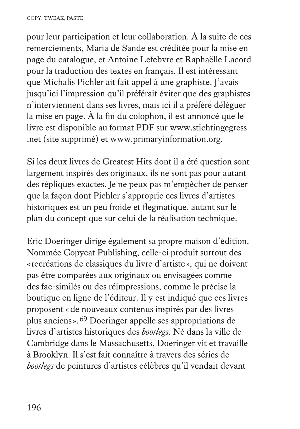pour leur participation et leur collaboration. À la suite de ces remerciements, Maria de Sande est créditée pour la mise en page du catalogue, et Antoine Lefebvre et Raphaëlle Lacord pour la traduction des textes en français. Il est intéressant que Michalis Pichler ait fait appel à une graphiste. J'avais jusqu'ici l'impression qu'il préférait éviter que des graphistes n'interviennent dans ses livres, mais ici il a préféré déléguer la mise en page. À la fin du colophon, il est annoncé que le livre est disponible au format PDF sur www.stichtingegress .net (site supprimé) et www.primaryinformation.org.

Si les deux livres de Greatest Hits dont il a été question sont largement inspirés des originaux, ils ne sont pas pour autant des répliques exactes. Je ne peux pas m'empêcher de penser que la façon dont Pichler s'approprie ces livres d'artistes historiques est un peu froide et flegmatique, autant sur le plan du concept que sur celui de la réalisation technique.

Eric Doeringer dirige également sa propre maison d'édition. Nommée Copycat Publishing, celle-ci produit surtout des «recréations de classiques du livre d'artiste », qui ne doivent pas être comparées aux originaux ou envisagées comme des fac-similés ou des réimpressions, comme le précise la boutique en ligne de l'éditeur. Il y est indiqué que ces livres proposent «de nouveaux contenus inspirés par des livres plus anciens».69 Doeringer appelle ses appropriations de livres d'artistes historiques des *bootlegs*. Né dans la ville de Cambridge dans le Massachusetts, Doeringer vit et travaille à Brooklyn. Il s'est fait connaître à travers des séries de *bootlegs* de peintures d'artistes célèbres qu'il vendait devant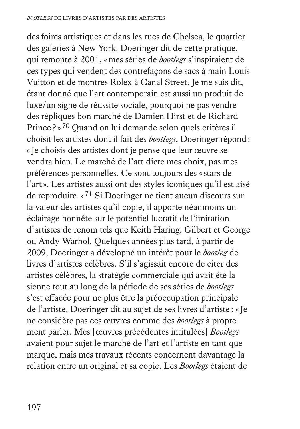des foires artistiques et dans les rues de Chelsea, le quartier des galeries à New York. Doeringer dit de cette pratique, qui remonte à 2001, «mes séries de *bootlegs* s'inspiraient de ces types qui vendent des contrefaçons de sacs à main Louis Vuitton et de montres Rolex à Canal Street. Je me suis dit, étant donné que l'art contemporain est aussi un produit de luxe/un signe de réussite sociale, pourquoi ne pas vendre des répliques bon marché de Damien Hirst et de Richard Prince ? »70 Quand on lui demande selon quels critères il choisit les artistes dont il fait des *bootlegs*, Doeringer répond: «Je choisis des artistes dont je pense que leur œuvre se vendra bien. Le marché de l'art dicte mes choix, pas mes préférences personnelles. Ce sont toujours des «stars de l'art». Les artistes aussi ont des styles iconiques qu'il est aisé de reproduire.»71 Si Doeringer ne tient aucun discours sur la valeur des artistes qu'il copie, il apporte néanmoins un éclairage honnête sur le potentiel lucratif de l'imitation d'artistes de renom tels que Keith Haring, Gilbert et George ou Andy Warhol. Quelques années plus tard, à partir de 2009, Doeringer a développé un intérêt pour le *bootleg* de livres d'artistes célèbres. S'il s'agissait encore de citer des artistes célèbres, la stratégie commerciale qui avait été la sienne tout au long de la période de ses séries de *bootlegs* s'est effacée pour ne plus être la préoccupation principale de l'artiste. Doeringer dit au sujet de ses livres d'artiste : «Je ne considère pas ces œuvres comme des *bootlegs* à proprement parler. Mes [œuvres précédentes intitulées] *Bootlegs* avaient pour sujet le marché de l'art et l'artiste en tant que marque, mais mes travaux récents concernent davantage la relation entre un original et sa copie. Les *Bootlegs* étaient de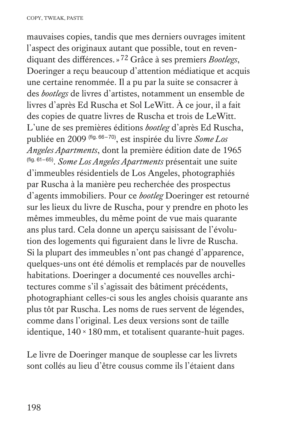mauvaises copies, tandis que mes derniers ouvrages imitent l'aspect des originaux autant que possible, tout en revendiquant des différences.»72 Grâce à ses premiers *Bootlegs*, Doeringer a reçu beaucoup d'attention médiatique et acquis une certaine renommée. Il a pu par la suite se consacrer à des *bootlegs* de livres d'artistes, notamment un ensemble de livres d'après Ed Ruscha et Sol LeWitt. À ce jour, il a fait des copies de quatre livres de Ruscha et trois de LeWitt. L'une de ses premières éditions *bootleg* d'après Ed Ruscha, publiée en 2009 (fig. 66–70), est inspirée du livre *Some Los Angeles Apartments*, dont la première édition date de 1965 (fig. 61–65). *Some Los Angeles Apartments* présentait une suite d'immeubles résidentiels de Los Angeles, photographiés par Ruscha à la manière peu recherchée des prospectus d'agents immobiliers. Pour ce *bootleg* Doeringer est retourné sur les lieux du livre de Ruscha, pour y prendre en photo les mêmes immeubles, du même point de vue mais quarante ans plus tard. Cela donne un aperçu saisissant de l'évolution des logements qui figuraient dans le livre de Ruscha. Si la plupart des immeubles n'ont pas changé d'apparence, quelques-uns ont été démolis et remplacés par de nouvelles habitations. Doeringer a documenté ces nouvelles architectures comme s'il s'agissait des bâtiment précédents, photographiant celles-ci sous les angles choisis quarante ans plus tôt par Ruscha. Les noms de rues servent de légendes, comme dans l'original. Les deux versions sont de taille identique, 140×180 mm, et totalisent quarante-huit pages.

Le livre de Doeringer manque de souplesse car les livrets sont collés au lieu d'être cousus comme ils l'étaient dans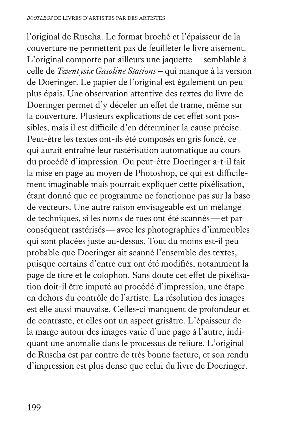l'original de Ruscha. Le format broché et l'épaisseur de la couverture ne permettent pas de feuilleter le livre aisément. L'original comporte par ailleurs une jaquette—semblable à celle de *Twentysix Gasoline Stations* – qui manque à la version de Doeringer. Le papier de l'original est également un peu plus épais. Une observation attentive des textes du livre de Doeringer permet d'y déceler un effet de trame, même sur la couverture. Plusieurs explications de cet effet sont possibles, mais il est difficile d'en déterminer la cause précise. Peut-être les textes ont-ils été composés en gris foncé, ce qui aurait entraîné leur rastérisation automatique au cours du procédé d'impression. Ou peut-être Doeringer a-t-il fait la mise en page au moyen de Photoshop, ce qui est difficilement imaginable mais pourrait expliquer cette pixélisation, étant donné que ce programme ne fonctionne pas sur la base de vecteurs. Une autre raison envisageable est un mélange de techniques, si les noms de rues ont été scannés—et par conséquent rastérisés—avec les photographies d'immeubles qui sont placées juste au-dessus. Tout du moins est-il peu probable que Doeringer ait scanné l'ensemble des textes, puisque certains d'entre eux ont été modifiés, notamment la page de titre et le colophon. Sans doute cet effet de pixélisation doit-il être imputé au procédé d'impression, une étape en dehors du contrôle de l'artiste. La résolution des images est elle aussi mauvaise. Celles-ci manquent de profondeur et de contraste, et elles ont un aspect grisâtre. L'épaisseur de la marge autour des images varie d'une page à l'autre, indiquant une anomalie dans le processus de reliure. L'original de Ruscha est par contre de très bonne facture, et son rendu d'impression est plus dense que celui du livre de Doeringer.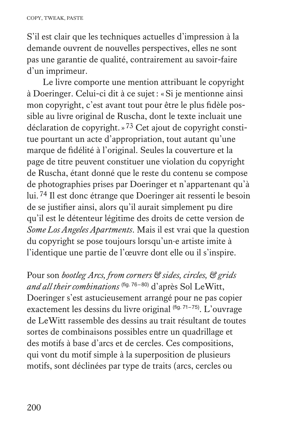S'il est clair que les techniques actuelles d'impression à la demande ouvrent de nouvelles perspectives, elles ne sont pas une garantie de qualité, contrairement au savoir-faire d'un imprimeur.

Le livre comporte une mention attribuant le copyright à Doeringer. Celui-ci dit à ce sujet: «Si je mentionne ainsi mon copyright, c'est avant tout pour être le plus fidèle possible au livre original de Ruscha, dont le texte incluait une déclaration de copyright.»73 Cet ajout de copyright constitue pourtant un acte d'appropriation, tout autant qu'une marque de fidélité à l'original. Seules la couverture et la page de titre peuvent constituer une violation du copyright de Ruscha, étant donné que le reste du contenu se compose de photographies prises par Doeringer et n'appartenant qu'à lui.74 Il est donc étrange que Doeringer ait ressenti le besoin de se justifier ainsi, alors qu'il aurait simplement pu dire qu'il est le détenteur légitime des droits de cette version de *Some Los Angeles Apartments*. Mais il est vrai que la question du copyright se pose toujours lorsqu'un·e artiste imite à l'identique une partie de l'œuvre dont elle ou il s'inspire.

Pour son *bootleg Arcs, from corners & sides, circles, & grids and all their combinations* (fig. 76–80) d'après Sol LeWitt, Doeringer s'est astucieusement arrangé pour ne pas copier exactement les dessins du livre original (fig. 71–75). L'ouvrage de LeWitt rassemble des dessins au trait résultant de toutes sortes de combinaisons possibles entre un quadrillage et des motifs à base d'arcs et de cercles. Ces compositions, qui vont du motif simple à la superposition de plusieurs motifs, sont déclinées par type de traits (arcs, cercles ou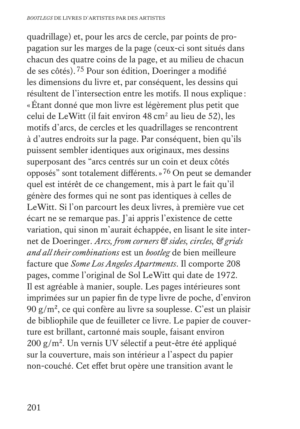quadrillage) et, pour les arcs de cercle, par points de propagation sur les marges de la page (ceux-ci sont situés dans chacun des quatre coins de la page, et au milieu de chacun de ses côtés).75 Pour son édition, Doeringer a modifié les dimensions du livre et, par conséquent, les dessins qui résultent de l'intersection entre les motifs. Il nous explique : «Étant donné que mon livre est légèrement plus petit que celui de LeWitt (il fait environ 48 cm<sup>2</sup> au lieu de 52), les motifs d'arcs, de cercles et les quadrillages se rencontrent à d'autres endroits sur la page. Par conséquent, bien qu'ils puissent sembler identiques aux originaux, mes dessins superposant des "arcs centrés sur un coin et deux côtés opposés" sont totalement différents.»76 On peut se demander quel est intérêt de ce changement, mis à part le fait qu'il génère des formes qui ne sont pas identiques à celles de LeWitt. Si l'on parcourt les deux livres, à première vue cet écart ne se remarque pas. J'ai appris l'existence de cette variation, qui sinon m'aurait échappée, en lisant le site internet de Doeringer. *Arcs, from corners & sides, circles, & grids and all their combinations* est un *bootleg* de bien meilleure facture que *Some Los Angeles Apartments*. Il comporte 208 pages, comme l'original de Sol LeWitt qui date de 1972. Il est agréable à manier, souple. Les pages intérieures sont imprimées sur un papier fin de type livre de poche, d'environ 90  $g/m^2$ , ce qui confère au livre sa souplesse. C'est un plaisir de bibliophile que de feuilleter ce livre. Le papier de couverture est brillant, cartonné mais souple, faisant environ  $200 \text{ g/m}^2$ . Un vernis UV sélectif a peut-être été appliqué sur la couverture, mais son intérieur a l'aspect du papier non-couché. Cet effet brut opère une transition avant le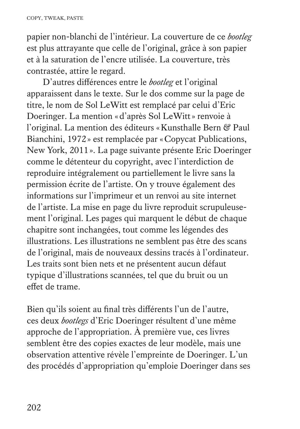papier non-blanchi de l'intérieur. La couverture de ce *bootleg* est plus attrayante que celle de l'original, grâce à son papier et à la saturation de l'encre utilisée. La couverture, très contrastée, attire le regard.

D'autres différences entre le *bootleg* et l'original apparaissent dans le texte. Sur le dos comme sur la page de titre, le nom de Sol LeWitt est remplacé par celui d'Eric Doeringer. La mention «d'après Sol LeWitt» renvoie à l'original. La mention des éditeurs «Kunsthalle Bern & Paul Bianchini, 1972» est remplacée par «Copycat Publications, New York, 2011». La page suivante présente Eric Doeringer comme le détenteur du copyright, avec l'interdiction de reproduire intégralement ou partiellement le livre sans la permission écrite de l'artiste. On y trouve également des informations sur l'imprimeur et un renvoi au site internet de l'artiste. La mise en page du livre reproduit scrupuleusement l'original. Les pages qui marquent le début de chaque chapitre sont inchangées, tout comme les légendes des illustrations. Les illustrations ne semblent pas être des scans de l'original, mais de nouveaux dessins tracés à l'ordinateur. Les traits sont bien nets et ne présentent aucun défaut typique d'illustrations scannées, tel que du bruit ou un effet de trame.

Bien qu'ils soient au final très différents l'un de l'autre, ces deux *bootlegs* d'Eric Doeringer résultent d'une même approche de l'appropriation. À première vue, ces livres semblent être des copies exactes de leur modèle, mais une observation attentive révèle l'empreinte de Doeringer. L'un des procédés d'appropriation qu'emploie Doeringer dans ses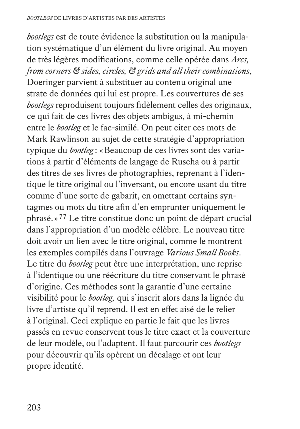*bootlegs* est de toute évidence la substitution ou la manipulation systématique d'un élément du livre original. Au moyen de très légères modifications, comme celle opérée dans *Arcs, from corners & sides, circles, & grids and all their combinations*, Doeringer parvient à substituer au contenu original une strate de données qui lui est propre. Les couvertures de ses *bootlegs* reproduisent toujours fidèlement celles des originaux, ce qui fait de ces livres des objets ambigus, à mi-chemin entre le *bootleg* et le fac-similé. On peut citer ces mots de Mark Rawlinson au sujet de cette stratégie d'appropriation typique du *bootleg* : «Beaucoup de ces livres sont des variations à partir d'éléments de langage de Ruscha ou à partir des titres de ses livres de photographies, reprenant à l'identique le titre original ou l'inversant, ou encore usant du titre comme d'une sorte de gabarit, en omettant certains syntagmes ou mots du titre afin d'en emprunter uniquement le phrasé.»77 Le titre constitue donc un point de départ crucial dans l'appropriation d'un modèle célèbre. Le nouveau titre doit avoir un lien avec le titre original, comme le montrent les exemples compilés dans l'ouvrage *Various Small Books*. Le titre du *bootleg* peut être une interprétation, une reprise à l'identique ou une réécriture du titre conservant le phrasé d'origine. Ces méthodes sont la garantie d'une certaine visibilité pour le *bootleg,* qui s'inscrit alors dans la lignée du livre d'artiste qu'il reprend. Il est en effet aisé de le relier à l'original. Ceci explique en partie le fait que les livres passés en revue conservent tous le titre exact et la couverture de leur modèle, ou l'adaptent. Il faut parcourir ces *bootlegs* pour découvrir qu'ils opèrent un décalage et ont leur propre identité.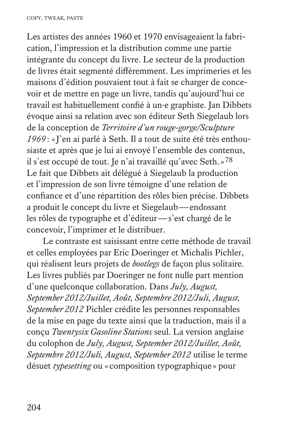Les artistes des années 1960 et 1970 envisageaient la fabrication, l'impression et la distribution comme une partie intégrante du concept du livre. Le secteur de la production de livres était segmenté différemment. Les imprimeries et les maisons d'édition pouvaient tout à fait se charger de concevoir et de mettre en page un livre, tandis qu'aujourd'hui ce travail est habituellement confié à un·e graphiste. Jan Dibbets évoque ainsi sa relation avec son éditeur Seth Siegelaub lors de la conception de *Territoire d'un rouge-gorge/Sculpture 1969*: «J'en ai parlé à Seth. Il a tout de suite été très enthousiaste et après que je lui ai envoyé l'ensemble des contenus, il s'est occupé de tout. Je n'ai travaillé qu'avec Seth.»78 Le fait que Dibbets ait délégué à Siegelaub la production et l'impression de son livre témoigne d'une relation de confiance et d'une répartition des rôles bien précise. Dibbets a produit le concept du livre et Siegelaub—endossant les rôles de typographe et d'éditeur—s'est chargé de le concevoir, l'imprimer et le distribuer.

Le contraste est saisissant entre cette méthode de travail et celles employées par Eric Doeringer et Michalis Pichler, qui réalisent leurs projets de *bootlegs* de façon plus solitaire. Les livres publiés par Doeringer ne font nulle part mention d'une quelconque collaboration. Dans *July, August, September 2012/Juillet, Août, Septembre 2012/Juli, August, September 2012* Pichler crédite les personnes responsables de la mise en page du texte ainsi que la traduction, mais il a conçu *Twentysix Gasoline Stations* seul. La version anglaise du colophon de *July, August, September 2012/Juillet, Août, Septembre 2012/Juli, August, September 2012* utilise le terme désuet *typesetting* ou « composition typographique » pour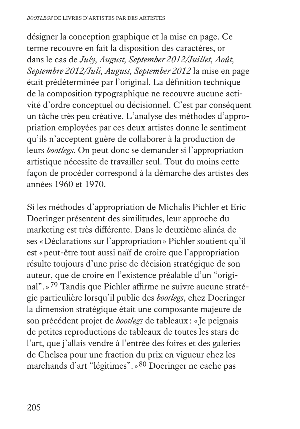désigner la conception graphique et la mise en page. Ce terme recouvre en fait la disposition des caractères, or dans le cas de *July, August, September 2012/Juillet, Août, Septembre 2012/Juli, August, September 2012* la mise en page était prédéterminée par l'original. La définition technique de la composition typographique ne recouvre aucune activité d'ordre conceptuel ou décisionnel. C'est par conséquent un tâche très peu créative. L'analyse des méthodes d'appropriation employées par ces deux artistes donne le sentiment qu'ils n'acceptent guère de collaborer à la production de leurs *bootlegs*. On peut donc se demander si l'appropriation artistique nécessite de travailler seul. Tout du moins cette façon de procéder correspond à la démarche des artistes des années 1960 et 1970.

Si les méthodes d'appropriation de Michalis Pichler et Eric Doeringer présentent des similitudes, leur approche du marketing est très différente. Dans le deuxième alinéa de ses «Déclarations sur l'appropriation» Pichler soutient qu'il est «peut-être tout aussi naïf de croire que l'appropriation résulte toujours d'une prise de décision stratégique de son auteur, que de croire en l'existence préalable d'un "original".»79 Tandis que Pichler affirme ne suivre aucune stratégie particulière lorsqu'il publie des *bootlegs*, chez Doeringer la dimension stratégique était une composante majeure de son précédent projet de *bootlegs* de tableaux: «Je peignais de petites reproductions de tableaux de toutes les stars de l'art, que j'allais vendre à l'entrée des foires et des galeries de Chelsea pour une fraction du prix en vigueur chez les marchands d'art "légitimes".»80 Doeringer ne cache pas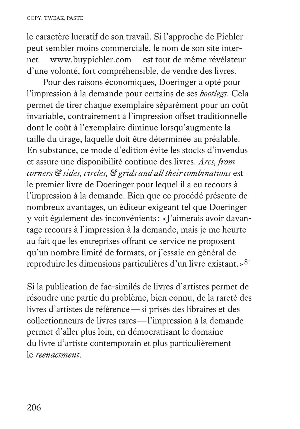le caractère lucratif de son travail. Si l'approche de Pichler peut sembler moins commerciale, le nom de son site internet—www.buypichler.com—est tout de même révélateur d'une volonté, fort compréhensible, de vendre des livres.

Pour des raisons économiques, Doeringer a opté pour l'impression à la demande pour certains de ses *bootlegs*. Cela permet de tirer chaque exemplaire séparément pour un coût invariable, contrairement à l'impression offset traditionnelle dont le coût à l'exemplaire diminue lorsqu'augmente la taille du tirage, laquelle doit être déterminée au préalable. En substance, ce mode d'édition évite les stocks d'invendus et assure une disponibilité continue des livres. *Arcs, from corners & sides, circles, & grids and all their combinations* est le premier livre de Doeringer pour lequel il a eu recours à l'impression à la demande. Bien que ce procédé présente de nombreux avantages, un éditeur exigeant tel que Doeringer y voit également des inconvénients: «J'aimerais avoir davantage recours à l'impression à la demande, mais je me heurte au fait que les entreprises offrant ce service ne proposent qu'un nombre limité de formats, or j'essaie en général de reproduire les dimensions particulières d'un livre existant.»81

Si la publication de fac-similés de livres d'artistes permet de résoudre une partie du problème, bien connu, de la rareté des livres d'artistes de référence—si prisés des libraires et des collectionneurs de livres rares—l'impression à la demande permet d'aller plus loin, en démocratisant le domaine du livre d'artiste contemporain et plus particulièrement le *reenactment*.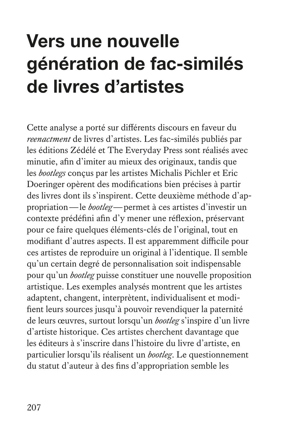# **Vers une nouvelle génération de fac-similés de livres d'artistes**

Cette analyse a porté sur différents discours en faveur du *reenactment* de livres d'artistes. Les fac-similés publiés par les éditions Zédélé et The Everyday Press sont réalisés avec minutie, afin d'imiter au mieux des originaux, tandis que les *bootlegs* conçus par les artistes Michalis Pichler et Eric Doeringer opèrent des modifications bien précises à partir des livres dont ils s'inspirent. Cette deuxième méthode d'appropriation—le *bootleg*—permet à ces artistes d'investir un contexte prédéfini afin d'y mener une réflexion, préservant pour ce faire quelques éléments-clés de l'original, tout en modifiant d'autres aspects. Il est apparemment difficile pour ces artistes de reproduire un original à l'identique. Il semble qu'un certain degré de personnalisation soit indispensable pour qu'un *bootleg* puisse constituer une nouvelle proposition artistique. Les exemples analysés montrent que les artistes adaptent, changent, interprètent, individualisent et modifient leurs sources jusqu'à pouvoir revendiquer la paternité de leurs œuvres, surtout lorsqu'un *bootleg* s'inspire d'un livre d'artiste historique. Ces artistes cherchent davantage que les éditeurs à s'inscrire dans l'histoire du livre d'artiste, en particulier lorsqu'ils réalisent un *bootleg*. Le questionnement du statut d'auteur à des fins d'appropriation semble les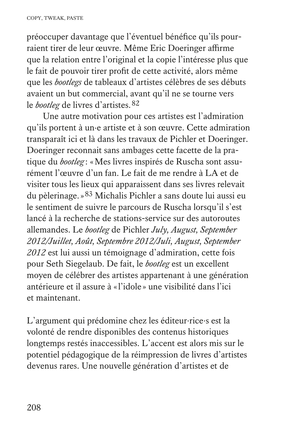préoccuper davantage que l'éventuel bénéfice qu'ils pourraient tirer de leur œuvre. Même Eric Doeringer affirme que la relation entre l'original et la copie l'intéresse plus que le fait de pouvoir tirer profit de cette activité, alors même que les *bootlegs* de tableaux d'artistes célèbres de ses débuts avaient un but commercial, avant qu'il ne se tourne vers le *bootleg* de livres d'artistes. 82

Une autre motivation pour ces artistes est l'admiration qu'ils portent à un·e artiste et à son œuvre. Cette admiration transparaît ici et là dans les travaux de Pichler et Doeringer. Doeringer reconnait sans ambages cette facette de la pratique du *bootleg* : «Mes livres inspirés de Ruscha sont assurément l'œuvre d'un fan. Le fait de me rendre à LA et de visiter tous les lieux qui apparaissent dans ses livres relevait du pèlerinage.»83 Michalis Pichler a sans doute lui aussi eu le sentiment de suivre le parcours de Ruscha lorsqu'il s'est lancé à la recherche de stations-service sur des autoroutes allemandes. Le *bootleg* de Pichler *July, August, September 2012/Juillet, Août, Septembre 2012/Juli, August, September 2012* est lui aussi un témoignage d'admiration, cette fois pour Seth Siegelaub. De fait, le *bootleg* est un excellent moyen de célébrer des artistes appartenant à une génération antérieure et il assure à «l'idole » une visibilité dans l'ici et maintenant.

L'argument qui prédomine chez les éditeur·rice·s est la volonté de rendre disponibles des contenus historiques longtemps restés inaccessibles. L'accent est alors mis sur le potentiel pédagogique de la réimpression de livres d'artistes devenus rares. Une nouvelle génération d'artistes et de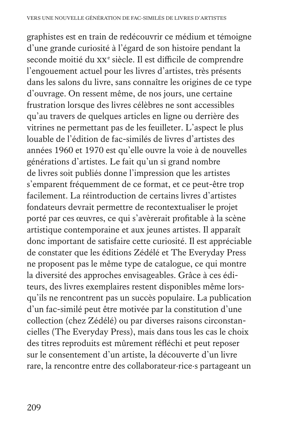graphistes est en train de redécouvrir ce médium et témoigne d'une grande curiosité à l'égard de son histoire pendant la seconde moitié du xx<sup>e</sup> siècle. Il est difficile de comprendre l'engouement actuel pour les livres d'artistes, très présents dans les salons du livre, sans connaître les origines de ce type d'ouvrage. On ressent même, de nos jours, une certaine frustration lorsque des livres célèbres ne sont accessibles qu'au travers de quelques articles en ligne ou derrière des vitrines ne permettant pas de les feuilleter. L'aspect le plus louable de l'édition de fac-similés de livres d'artistes des années 1960 et 1970 est qu'elle ouvre la voie à de nouvelles générations d'artistes. Le fait qu'un si grand nombre de livres soit publiés donne l'impression que les artistes s'emparent fréquemment de ce format, et ce peut-être trop facilement. La réintroduction de certains livres d'artistes fondateurs devrait permettre de recontextualiser le projet porté par ces œuvres, ce qui s'avèrerait profitable à la scène artistique contemporaine et aux jeunes artistes. Il apparaît donc important de satisfaire cette curiosité. Il est appréciable de constater que les éditions Zédélé et The Everyday Press ne proposent pas le même type de catalogue, ce qui montre la diversité des approches envisageables. Grâce à ces éditeurs, des livres exemplaires restent disponibles même lorsqu'ils ne rencontrent pas un succès populaire. La publication d'un fac-similé peut être motivée par la constitution d'une collection (chez Zédélé) ou par diverses raisons circonstancielles (The Everyday Press), mais dans tous les cas le choix des titres reproduits est mûrement réfléchi et peut reposer sur le consentement d'un artiste, la découverte d'un livre rare, la rencontre entre des collaborateur·rice·s partageant un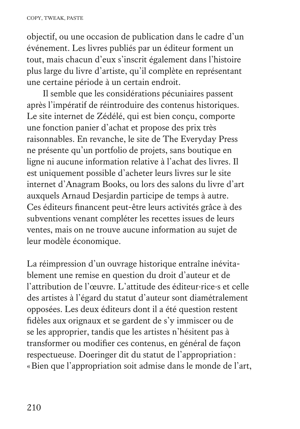objectif, ou une occasion de publication dans le cadre d'un événement. Les livres publiés par un éditeur forment un tout, mais chacun d'eux s'inscrit également dans l'histoire plus large du livre d'artiste, qu'il complète en représentant une certaine période à un certain endroit.

Il semble que les considérations pécuniaires passent après l'impératif de réintroduire des contenus historiques. Le site internet de Zédélé, qui est bien conçu, comporte une fonction panier d'achat et propose des prix très raisonnables. En revanche, le site de The Everyday Press ne présente qu'un portfolio de projets, sans boutique en ligne ni aucune information relative à l'achat des livres. Il est uniquement possible d'acheter leurs livres sur le site internet d'Anagram Books, ou lors des salons du livre d'art auxquels Arnaud Desjardin participe de temps à autre. Ces éditeurs financent peut-être leurs activités grâce à des subventions venant compléter les recettes issues de leurs ventes, mais on ne trouve aucune information au sujet de leur modèle économique.

La réimpression d'un ouvrage historique entraîne inévitablement une remise en question du droit d'auteur et de l'attribution de l'œuvre. L'attitude des éditeur·rice·s et celle des artistes à l'égard du statut d'auteur sont diamétralement opposées. Les deux éditeurs dont il a été question restent fidèles aux orignaux et se gardent de s'y immiscer ou de se les approprier, tandis que les artistes n'hésitent pas à transformer ou modifier ces contenus, en général de façon respectueuse. Doeringer dit du statut de l'appropriation: «Bien que l'appropriation soit admise dans le monde de l'art,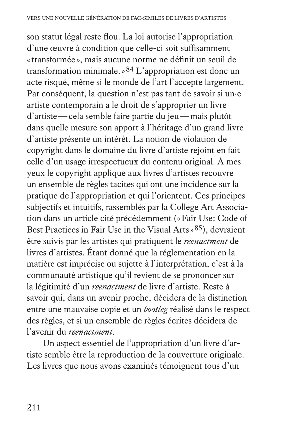son statut légal reste flou. La loi autorise l'appropriation d'une œuvre à condition que celle-ci soit suffisamment «transformée », mais aucune norme ne définit un seuil de transformation minimale.»84 L'appropriation est donc un acte risqué, même si le monde de l'art l'accepte largement. Par conséquent, la question n'est pas tant de savoir si un·e artiste contemporain a le droit de s'approprier un livre d'artiste—cela semble faire partie du jeu—mais plutôt dans quelle mesure son apport à l'héritage d'un grand livre d'artiste présente un intérêt. La notion de violation de copyright dans le domaine du livre d'artiste rejoint en fait celle d'un usage irrespectueux du contenu original. À mes yeux le copyright appliqué aux livres d'artistes recouvre un ensemble de règles tacites qui ont une incidence sur la pratique de l'appropriation et qui l'orientent. Ces principes subjectifs et intuitifs, rassemblés par la College Art Association dans un article cité précédemment («Fair Use: Code of Best Practices in Fair Use in the Visual Arts »<sup>85</sup>), devraient être suivis par les artistes qui pratiquent le *reenactment* de livres d'artistes. Étant donné que la réglementation en la matière est imprécise ou sujette à l'interprétation, c'est à la communauté artistique qu'il revient de se prononcer sur la légitimité d'un *reenactment* de livre d'artiste. Reste à savoir qui, dans un avenir proche, décidera de la distinction entre une mauvaise copie et un *bootleg* réalisé dans le respect des règles, et si un ensemble de règles écrites décidera de l'avenir du *reenactment*.

Un aspect essentiel de l'appropriation d'un livre d'artiste semble être la reproduction de la couverture originale. Les livres que nous avons examinés témoignent tous d'un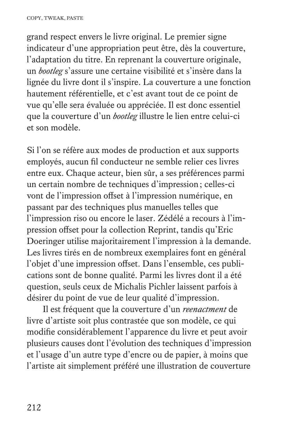grand respect envers le livre original. Le premier signe indicateur d'une appropriation peut être, dès la couverture, l'adaptation du titre. En reprenant la couverture originale, un *bootleg* s'assure une certaine visibilité et s'insère dans la lignée du livre dont il s'inspire. La couverture a une fonction hautement référentielle, et c'est avant tout de ce point de vue qu'elle sera évaluée ou appréciée. Il est donc essentiel que la couverture d'un *bootleg* illustre le lien entre celui-ci et son modèle.

Si l'on se réfère aux modes de production et aux supports employés, aucun fil conducteur ne semble relier ces livres entre eux. Chaque acteur, bien sûr, a ses préférences parmi un certain nombre de techniques d'impression; celles-ci vont de l'impression offset à l'impression numérique, en passant par des techniques plus manuelles telles que l'impression riso ou encore le laser. Zédélé a recours à l'impression offset pour la collection Reprint, tandis qu'Eric Doeringer utilise majoritairement l'impression à la demande. Les livres tirés en de nombreux exemplaires font en général l'objet d'une impression offset. Dans l'ensemble, ces publications sont de bonne qualité. Parmi les livres dont il a été question, seuls ceux de Michalis Pichler laissent parfois à désirer du point de vue de leur qualité d'impression.

Il est fréquent que la couverture d'un *reenactment* de livre d'artiste soit plus contrastée que son modèle, ce qui modifie considérablement l'apparence du livre et peut avoir plusieurs causes dont l'évolution des techniques d'impression et l'usage d'un autre type d'encre ou de papier, à moins que l'artiste ait simplement préféré une illustration de couverture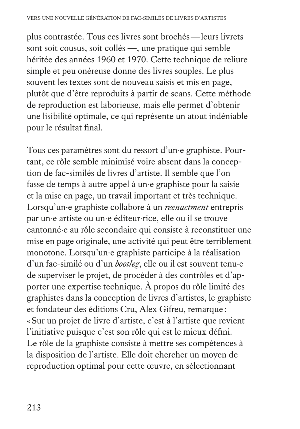plus contrastée. Tous ces livres sont brochés—leurs livrets sont soit cousus, soit collés —, une pratique qui semble héritée des années 1960 et 1970. Cette technique de reliure simple et peu onéreuse donne des livres souples. Le plus souvent les textes sont de nouveau saisis et mis en page, plutôt que d'être reproduits à partir de scans. Cette méthode de reproduction est laborieuse, mais elle permet d'obtenir une lisibilité optimale, ce qui représente un atout indéniable pour le résultat final.

Tous ces paramètres sont du ressort d'un·e graphiste. Pourtant, ce rôle semble minimisé voire absent dans la conception de fac-similés de livres d'artiste. Il semble que l'on fasse de temps à autre appel à un·e graphiste pour la saisie et la mise en page, un travail important et très technique. Lorsqu'un·e graphiste collabore à un *reenactment* entrepris par un·e artiste ou un·e éditeur·rice, elle ou il se trouve cantonné·e au rôle secondaire qui consiste à reconstituer une mise en page originale, une activité qui peut être terriblement monotone. Lorsqu'un·e graphiste participe à la réalisation d'un fac-similé ou d'un *bootleg*, elle ou il est souvent tenu·e de superviser le projet, de procéder à des contrôles et d'apporter une expertise technique. À propos du rôle limité des graphistes dans la conception de livres d'artistes, le graphiste et fondateur des éditions Cru, Alex Gifreu, remarque : «Sur un projet de livre d'artiste, c'est à l'artiste que revient l'initiative puisque c'est son rôle qui est le mieux défini. Le rôle de la graphiste consiste à mettre ses compétences à la disposition de l'artiste. Elle doit chercher un moyen de reproduction optimal pour cette œuvre, en sélectionnant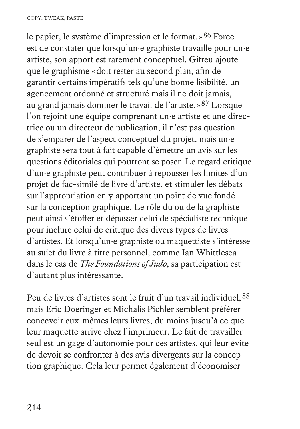le papier, le système d'impression et le format.»86 Force est de constater que lorsqu'un·e graphiste travaille pour un·e artiste, son apport est rarement conceptuel. Gifreu ajoute que le graphisme «doit rester au second plan, afin de garantir certains impératifs tels qu'une bonne lisibilité, un agencement ordonné et structuré mais il ne doit jamais, au grand jamais dominer le travail de l'artiste.»87 Lorsque l'on rejoint une équipe comprenant un·e artiste et une directrice ou un directeur de publication, il n'est pas question de s'emparer de l'aspect conceptuel du projet, mais un·e graphiste sera tout à fait capable d'émettre un avis sur les questions éditoriales qui pourront se poser. Le regard critique d'un·e graphiste peut contribuer à repousser les limites d'un projet de fac-similé de livre d'artiste, et stimuler les débats sur l'appropriation en y apportant un point de vue fondé sur la conception graphique. Le rôle du ou de la graphiste peut ainsi s'étoffer et dépasser celui de spécialiste technique pour inclure celui de critique des divers types de livres d'artistes. Et lorsqu'un·e graphiste ou maquettiste s'intéresse au sujet du livre à titre personnel, comme Ian Whittlesea dans le cas de *The Foundations of Judo*, sa participation est d'autant plus intéressante.

Peu de livres d'artistes sont le fruit d'un travail individuel, 88 mais Eric Doeringer et Michalis Pichler semblent préférer concevoir eux-mêmes leurs livres, du moins jusqu'à ce que leur maquette arrive chez l'imprimeur. Le fait de travailler seul est un gage d'autonomie pour ces artistes, qui leur évite de devoir se confronter à des avis divergents sur la conception graphique. Cela leur permet également d'économiser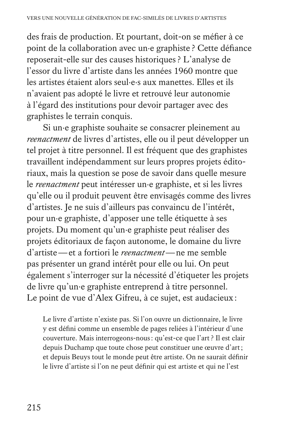des frais de production. Et pourtant, doit-on se méfier à ce point de la collaboration avec un·e graphiste ? Cette défiance reposerait-elle sur des causes historiques ? L'analyse de l'essor du livre d'artiste dans les années 1960 montre que les artistes étaient alors seul·e·s aux manettes. Elles et ils n'avaient pas adopté le livre et retrouvé leur autonomie à l'égard des institutions pour devoir partager avec des graphistes le terrain conquis.

Si un·e graphiste souhaite se consacrer pleinement au *reenactment* de livres d'artistes, elle ou il peut développer un tel projet à titre personnel. Il est fréquent que des graphistes travaillent indépendamment sur leurs propres projets éditoriaux, mais la question se pose de savoir dans quelle mesure le *reenactment* peut intéresser un·e graphiste, et si les livres qu'elle ou il produit peuvent être envisagés comme des livres d'artistes. Je ne suis d'ailleurs pas convaincu de l'intérêt, pour un·e graphiste, d'apposer une telle étiquette à ses projets. Du moment qu'un·e graphiste peut réaliser des projets éditoriaux de façon autonome, le domaine du livre d'artiste—et a fortiori le *reenactment*—ne me semble pas présenter un grand intérêt pour elle ou lui. On peut également s'interroger sur la nécessité d'étiqueter les projets de livre qu'un·e graphiste entreprend à titre personnel. Le point de vue d'Alex Gifreu, à ce sujet, est audacieux:

 Le livre d'artiste n'existe pas. Si l'on ouvre un dictionnaire, le livre y est défini comme un ensemble de pages reliées à l'intérieur d'une couverture. Mais interrogeons-nous: qu'est-ce que l'art ? Il est clair depuis Duchamp que toute chose peut constituer une œuvre d'art; et depuis Beuys tout le monde peut être artiste. On ne saurait définir le livre d'artiste si l'on ne peut définir qui est artiste et qui ne l'est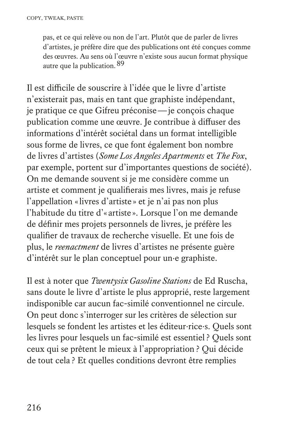pas, et ce qui relève ou non de l'art. Plutôt que de parler de livres d'artistes, je préfère dire que des publications ont été conçues comme des œuvres. Au sens où l'œuvre n'existe sous aucun format physique autre que la publication. 89

Il est difficile de souscrire à l'idée que le livre d'artiste n'existerait pas, mais en tant que graphiste indépendant, je pratique ce que Gifreu préconise—je conçois chaque publication comme une œuvre. Je contribue à diffuser des informations d'intérêt sociétal dans un format intelligible sous forme de livres, ce que font également bon nombre de livres d'artistes (*Some Los Angeles Apartments* et *The Fox*, par exemple, portent sur d'importantes questions de société). On me demande souvent si je me considère comme un artiste et comment je qualifierais mes livres, mais je refuse l'appellation «livres d'artiste » et je n'ai pas non plus l'habitude du titre d'« artiste ». Lorsque l'on me demande de définir mes projets personnels de livres, je préfère les qualifier de travaux de recherche visuelle. Et une fois de plus, le *reenactment* de livres d'artistes ne présente guère d'intérêt sur le plan conceptuel pour un·e graphiste.

Il est à noter que *Twentysix Gasoline Stations* de Ed Ruscha, sans doute le livre d'artiste le plus approprié, reste largement indisponible car aucun fac-similé conventionnel ne circule. On peut donc s'interroger sur les critères de sélection sur lesquels se fondent les artistes et les éditeur·rice·s. Quels sont les livres pour lesquels un fac-similé est essentiel ? Quels sont ceux qui se prêtent le mieux à l'appropriation? Qui décide de tout cela ? Et quelles conditions devront être remplies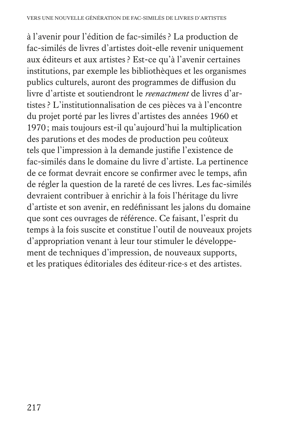à l'avenir pour l'édition de fac-similés ? La production de fac-similés de livres d'artistes doit-elle revenir uniquement aux éditeurs et aux artistes ? Est-ce qu'à l'avenir certaines institutions, par exemple les bibliothèques et les organismes publics culturels, auront des programmes de diffusion du livre d'artiste et soutiendront le *reenactment* de livres d'artistes ? L'institutionnalisation de ces pièces va à l'encontre du projet porté par les livres d'artistes des années 1960 et 1970; mais toujours est-il qu'aujourd'hui la multiplication des parutions et des modes de production peu coûteux tels que l'impression à la demande justifie l'existence de fac-similés dans le domaine du livre d'artiste. La pertinence de ce format devrait encore se confirmer avec le temps, afin de régler la question de la rareté de ces livres. Les fac-similés devraient contribuer à enrichir à la fois l'héritage du livre d'artiste et son avenir, en redéfinissant les jalons du domaine que sont ces ouvrages de référence. Ce faisant, l'esprit du temps à la fois suscite et constitue l'outil de nouveaux projets d'appropriation venant à leur tour stimuler le développement de techniques d'impression, de nouveaux supports, et les pratiques éditoriales des éditeur·rice·s et des artistes.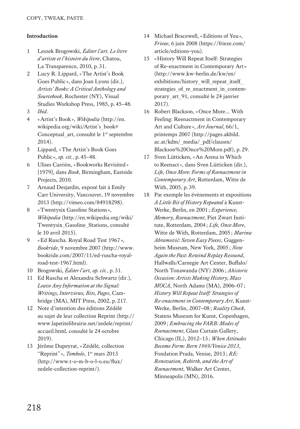#### **Introduction**

- 1 Leszek Brogowski, *Éditer l'art. Le livre d'artiste et l'histoire du livre*, Chatou, La Transparence, 2010, p.31.
- 2 Lucy R. Lippard, «The Artist's Book Goes Public », dans Joan Lyons (dir.), *Artists' Books: A Critical Anthology and Sourcebook*, Rochester (NY), Visual Studies Workshop Press, 1985, p.45–48.
- 3 *Ibid*.
- 4 «Artist's Book», *Wikipedia* (http://en. wikipedia.org/wiki/Artist's\_book# Conceptual art, consulté le 1<sup>er</sup> septembre 2014).
- 5 Lippard, «The Artist's Book Goes Public », *op. cit.*, p.45–48.
- 6 Ulises Carrión, «Bookworks Revisited» [1979], dans *Book*, Birmingham, Eastside Projects, 2010.
- 7 Arnaud Desjardin, exposé fait à Emily Carr University, Vancouver, 19 novembre 2013 (http://vimeo.com/84918298).
- 8 «Twentysix Gasoline Stations», *Wikipedia* (http://en.wikipedia.org/wiki/ Twentysix\_Gasoline\_Stations, consulté le 10 avril 2015).
- 9 «Ed Ruscha. Royal Road Test 1967», *Bookride*, 9 novembre 2007 (http://www. bookride.com/2007/11/ed-ruscha-royalroad-test-1967.html).
- 10 Brogowski, *Éditer l'art*, *op. cit.*, p.31.
- 11 Ed Ruscha et Alexandra Schwartz (dir.), *Leave Any Information at the Signal: Writings, Interviews, Bits, Pages*, Cambridge (MA), MIT Press, 2002, p.217.
- 12 Note d'intention des éditions Zédélé au sujet de leur collection Reprint (http:// www.lapetitelibrairie.net/zedele/reprint/ accueil.html, consulté le 24 octobre 2019).
- 13 Jérôme Dupeyrat, «Zédélé, collection "Reprint" », *Tombolo*, 1<sup>er</sup> mars 2013 (http://www.t-o-m-b-o-l-o.eu/flux/ zedele-collection-reprint/).
- 14 Michael Bracewell, «Editions of You», *Frieze*, 6 juin 2008 (https://frieze.com/ article/editions-you).
- 15 «History Will Repeat Itself: Strategies of Re-enactment in Contemporary Art» (http://www.kw-berlin.de/kw/en/ exhibitions/history\_will\_repeat\_itself strategies of re\_enactment\_in\_contemporary\_art\_91, consulté le 24 janvier 2017).
- 16 Robert Blackson, «Once More… With Feeling: Reenactment in Contemporary Art and Culture », *Art Journal*, 66/1, printemps 2007 (http://pages.akbild. ac.at/kdm/\_media/\_pdf/clausen/ Blackson%20Once%20More.pdf), p.29.
- 17 Sven Lütticken, «An Arena in Which to Reenact», dans Sven Lütticken (dir.), *Life, Once More: Forms of Reenactment in Contemporary Art*, Rotterdam, Witte de With, 2005, p.39.
- 18 Par exemple les événements et expositions *A Little Bit of History Repeated* à Kunst-Werke, Berlin, en 2001; *Experience, Memory, Reenactment*, Piet Zwart Institute, Rotterdam, 2004; *Life, Once More*, Witte de With, Rotterdam, 2005; *Marina Abramović: Seven Easy Pieces*, Guggenheim Museum, New York, 2005; *Now Again the Past: Rewind Replay Resound*, Hallwalls/Carnegie Art Center, Buffalo/ North Tonawanda (NY) 2006; *Ahistoric Occasion: Artists Making History, Mass MOCA*, North Adams (MA), 2006–07; *History Will Repeat Itself: Strategies of Re-enactment in Contemporary Art*, Kunst-Werke, Berlin, 2007–08; *Reality Check*, Statens Museum for Kunst, Copenhagen, 2009; *Embracing the FARB: Modes of Reenactment*, Glass Curtain Gallery, Chicago (IL), 2012–13; *When Attitudes Become Form: Bern 1969/Venice 2013*, Fondation Prada, Venise, 2013; *RE: Renovation, Rebirth, and the Art of Reenactment*, Walker Art Center, Minneapolis (MN), 2016.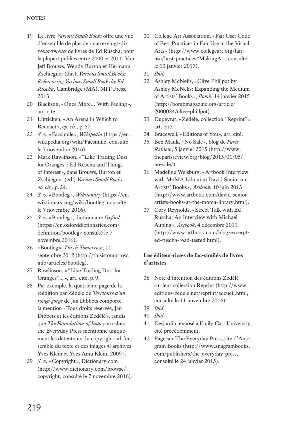- 19 Le livre *Various Small Books* offre une vue d'ensemble de plus de quatre-vingt-dix *reenactments* de livres de Ed Ruscha, pour la plupart publiés entre 2000 et 2011. Voir Jeff Brouws, Wendy Burton et Hermann Zschiegner (dir.), *Various Small Books: Referencing Various Small Books by Ed Ruscha*, Cambridge (MA), MIT Press, 2013.
- 20 Blackson, «Once More… With Feeling », art. cité.
- 21 Lütticken «An Arena in Which to Reenact», *op. cit.*, p.57.
- 22 *S. v.* «Facsimile », *Wikipedia* (https://en. wikipedia.org/wiki/Facsimile, consulté le 7 novembre 2016).
- 23 Mark Rawlinson, « "Like Trading Dust for Oranges": Ed Ruscha and Things of Interest», dans Brouws, Burton et Zschiegner (ed.) *Various Small Books*, *op. cit.*, p.24.
- 24 *S. v.* «Bootleg », *Wiktionary* (https://en. wiktionary.org/wiki/bootleg, consulté le 7 novembre 2016).
- 25 *S. v.* «Bootleg », dictionnaire *Oxford* (https://en.oxforddictionaries.com/ definition/bootleg> consulté le 7 novembre 2016).
- 26 «Bootleg », *This is Tomorrow*, 11 septembre 2012 (http://thisistomorrow. info/articles/bootleg).
- 27 Rawlinson, « "Like Trading Dust for Oranges"…», art. cité, p.9.
- 28 Par exemple, la quatrième page de la réédition par Zédélé de *Territoire d'un rouge-gorge* de Jan Dibbets comporte la mention «Tous droits réservés, Jan Dibbets et les éditions Zédélé », tandis que *The Foundations of Judo* paru chez the Everyday Press mentionne uniquement les détenteurs du copyright: «L'ensemble du texte et des images © archives Yves Klein et Yves Amu Klein, 2009».
- 29 *S. v.* «Copyright», Dictionary.com (http://www.dictionary.com/browse/ copyright, consulté le 7 novembre 2016).
- 30 College Art Association, «Fair Use: Code of Best Practices in Fair Use in the Visual Arts» (http://www.collegeart.org/fairuse/best-practices#MakingArt, consulté le 13 janvier 2017).
- 31 *Ibid.*
- 32 Ashley McNelis, «Clive Phillpot by Ashley McNelis: Expanding the Medium of Artists' Books», *Bomb*, 14 janvier 2015 (http://bombmagazine.org/article/ 2000024/clive-phillpot).
- 33 Dupeyrat, «Zédélé, collection "Reprint" », art. cité.
- 34 Bracewell, «Editions of You», art. cité.
- 35 Ben Mauk, «No Sale », blog de *Paris Review*, 5 janvier 2015 (http://www. theparisreview.org/blog/2015/01/05/ no-sale/).
- 36 Madeline Weisburg, «Artbook Interview with MoMA Librarian David Senior on Artists' Books», *Artbook*, 10 juin 2013 (http://www.artbook.com/david-seniorartists-books-at-the-moma-library.html).
- 37 Cory Reynolds, «Street Talk with Ed Ruscha: An Interview with Michael Auping », *Artbook*, 4 décembre 2011 (http://www.artbook.com/blog-excerpted-ruscha-road-tested.html).

### **Les éditeur·rice·s de fac-similés de livres d'artistes**

- 38 Note d'intention des éditions Zédélé sur leur collection Reprint (http://www. editions-zedele.net/reprint/accueil.html, consulté le 11 novembre 2016).
- 39 *Ibid*.
- 40 *Ibid*.
- 41 Desjardin, exposé à Emily Carr University, cité précédemment.
- 42 Page sur The Everyday Press, site d'Anagram Books (http://www.anagrambooks. com/publishers/the-everyday-press, consulté le 24 janvier 2015).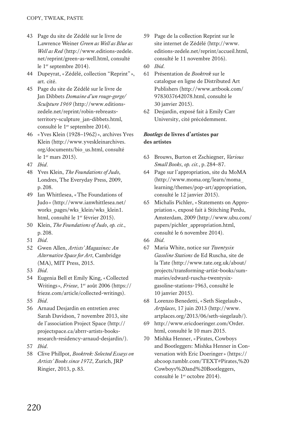- 43 Page du site de Zédélé sur le livre de Lawrence Weiner *Green as Well as Blue as Well as Red* (http://www.editions-zedele. net/reprint/green-as-well.html, consulté le 1<sup>er</sup> septembre 2014).
- 44 Dupeyrat, «Zédélé, collection "Reprint" », art. cité.
- 45 Page du site de Zédélé sur le livre de Jan Dibbets *Domaine d'un rouge-gorge/ Sculpture 1969* (http://www.editionszedele.net/reprint/robin-rebreaststerritory-sculpture\_jan-dibbets.html, consulté le 1er septembre 2014).
- 46 «Yves Klein (1928–1962)», archives Yves Klein (http://www.yveskleinarchives. org/documents/bio\_us.html, consulté le 1er mars 2015).
- 47 *Ibid*.
- 48 Yves Klein, *The Foundations of Judo*, Londres, The Everyday Press, 2009, p.208.
- 49 Ian Whittlesea, «The Foundations of Judo» (http://www.ianwhittlesea.net/ works\_pages/wks\_klein/wks\_klein1. html, consulté le 1er février 2015).
- 50 Klein, *The Foundations of Judo*, *op. cit.*, p.208.
- 51 *Ibid*.
- 52 Gwen Allen, *Artists' Magazines: An Alternative Space for Art*, Cambridge (MA), MIT Press, 2015.
- 53 *Ibid*.
- 54 Eugenia Bell et Emily King, «Collected Writings», *Frieze*, 1<sup>er</sup> août 2006 (https:// frieze.com/article/collected-writings).
- 55 *Ibid*.
- 56 Arnaud Desjardin en entretien avec Sarah Davidson, 7 novembre 2013, site de l'association Project Space (http:// projectspace.ca/abrrr-artists-booksresearch-residency-arnaud-desjardin/).
- 57 *Ibid*.
- 58 Clive Phillpot, *Booktrek: Selected Essays on Artists' Books since 1972*, Zurich, JRP Ringier, 2013, p.83.
- 59 Page de la collection Reprint sur le site internet de Zédélé (http://www. editions-zedele.net/reprint/accueil.html, consulté le 11 novembre 2016).
- 60 *Ibid*.
- 61 Présentation de *Booktrek* sur le catalogue en ligne de Distributed Art Publishers (http://www.artbook.com/ 9783037642078.html, consulté le 30 janvier 2015).
- 62 Desjardin, exposé fait à Emily Carr University, cité précédemment.

#### *Bootlegs* **de livres d'artistes par des artistes**

- 63 Brouws, Burton et Zschiegner, *Various Small Books*, *op. cit.*, p.284–87.
- 64 Page sur l'appropriation, site du MoMA (http://www.moma.org/learn/moma\_ learning/themes/pop-art/appropriation, consulté le 12 janvier 2015).
- 65 Michalis Pichler, «Statements on Appropriation», exposé fait à Stitching Perdu, Amsterdam, 2009 (http://www.ubu.com/ papers/pichler\_appropriation.html, consulté le 6 novembre 2014).
- 66 *Ibid*.
- 67 Maria White, notice sur *Twentysix Gasoline Stations* de Ed Ruscha, site de la Tate (http://www.tate.org.uk/about/ projects/transforming-artist-books/summaries/edward-ruscha-twentysixgasoline-stations-1963, consulté le 10 janvier 2015).
- 68 Lorenzo Benedetti, «Seth Siegelaub», *Artplaces*, 17 juin 2013 (http://www. artplaces.org/2013/06/seth-siegelaub/).
- 69 http://www.ericdoeringer.com/Order. html, consulté le 10 mars 2015.
- 70 Mishka Henner, «Pirates, Cowboys and Bootleggers: Mishka Henner in Conversation with Eric Doeringer» (https:// abcoop.tumblr.com/TEXT#Pirates,%20 Cowboys%20and%20Bootleggers, consulté le 1<sup>er</sup> octobre 2014).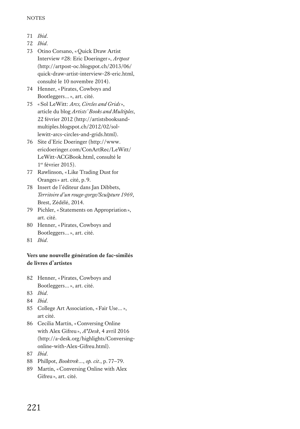- 71 *Ibid*.
- 72 *Ibid*.
- 73 Otino Corsano, «Quick Draw Artist Interview #28: Eric Doeringer», *Artpost* (http://artpost-oc.blogspot.ch/2013/06/ quick-draw-artist-interview-28-eric.html, consulté le 10 novembre 2014).
- 74 Henner, «Pirates, Cowboys and Bootleggers…», art. cité.
- 75 «Sol LeWitt: *Arcs, Circles and Grids*», article du blog *Artists' Books and Multiples*, 22 février 2012 (http://artistsbooksandmultiples.blogspot.ch/2012/02/sollewitt-arcs-circles-and-grids.html).
- 76 Site d'Eric Doeringer (http://www. ericdoeringer.com/ConArtRec/LeWitt/ LeWitt-ACGBook.html, consulté le 1er février 2015).
- 77 Rawlinson, «Like Trading Dust for Oranges» art. cité, p.9.
- 78 Insert de l'éditeur dans Jan Dibbets, *Territoire d'un rouge-gorge/Sculpture 1969*, Brest, Zédélé, 2014.
- 79 Pichler, «Statements on Appropriation», art. cité.
- 80 Henner, «Pirates, Cowboys and Bootleggers…», art. cité.
- 81 *Ibid*.

## **Vers une nouvelle génération de fac-similés de livres d'artistes**

- 82 Henner, «Pirates, Cowboys and Bootleggers…», art. cité.
- 83 *Ibid*.
- 84 *Ibid*.
- 85 College Art Association, «Fair Use…», art cité.
- 86 Cecilia Martín, «Conversing Online with Alex Gifreu», *A\*Desk*, 4 avril 2016 (http://a-desk.org/highlights/Conversingonline-with-Alex-Gifreu.html).
- 87 *Ibid*.
- 88 Phillpot, *Booktrek*…, *op. cit.*, p.77–79.
- 89 Martín, «Conversing Online with Alex Gifreu», art. cité.